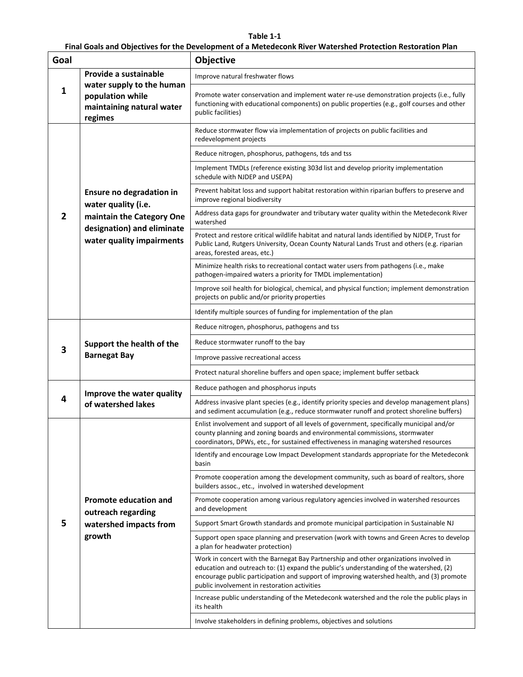## **Table 1-1**

**Final Goals and Objectives for the Development of a Metedeconk River Watershed Protection Restoration Plan**

| Goal |                                                                                       | Objective                                                                                                                                                                                                                                                                                                                    |  |  |  |  |  |  |  |  |
|------|---------------------------------------------------------------------------------------|------------------------------------------------------------------------------------------------------------------------------------------------------------------------------------------------------------------------------------------------------------------------------------------------------------------------------|--|--|--|--|--|--|--|--|
|      | Provide a sustainable                                                                 | Improve natural freshwater flows                                                                                                                                                                                                                                                                                             |  |  |  |  |  |  |  |  |
| 1    | water supply to the human<br>population while<br>maintaining natural water<br>regimes | Promote water conservation and implement water re-use demonstration projects (i.e., fully<br>functioning with educational components) on public properties (e.g., golf courses and other<br>public facilities)                                                                                                               |  |  |  |  |  |  |  |  |
|      |                                                                                       | Reduce stormwater flow via implementation of projects on public facilities and<br>redevelopment projects                                                                                                                                                                                                                     |  |  |  |  |  |  |  |  |
|      |                                                                                       | Reduce nitrogen, phosphorus, pathogens, tds and tss                                                                                                                                                                                                                                                                          |  |  |  |  |  |  |  |  |
|      |                                                                                       | Implement TMDLs (reference existing 303d list and develop priority implementation<br>schedule with NJDEP and USEPA)                                                                                                                                                                                                          |  |  |  |  |  |  |  |  |
|      | Ensure no degradation in<br>water quality (i.e.                                       | Prevent habitat loss and support habitat restoration within riparian buffers to preserve and<br>improve regional biodiversity                                                                                                                                                                                                |  |  |  |  |  |  |  |  |
| 2    | maintain the Category One<br>designation) and eliminate                               | Address data gaps for groundwater and tributary water quality within the Metedeconk River<br>watershed                                                                                                                                                                                                                       |  |  |  |  |  |  |  |  |
|      | water quality impairments                                                             | Protect and restore critical wildlife habitat and natural lands identified by NJDEP, Trust for<br>Public Land, Rutgers University, Ocean County Natural Lands Trust and others (e.g. riparian<br>areas, forested areas, etc.)                                                                                                |  |  |  |  |  |  |  |  |
|      |                                                                                       | Minimize health risks to recreational contact water users from pathogens (i.e., make<br>pathogen-impaired waters a priority for TMDL implementation)                                                                                                                                                                         |  |  |  |  |  |  |  |  |
|      |                                                                                       | Improve soil health for biological, chemical, and physical function; implement demonstration<br>projects on public and/or priority properties                                                                                                                                                                                |  |  |  |  |  |  |  |  |
|      |                                                                                       | Identify multiple sources of funding for implementation of the plan                                                                                                                                                                                                                                                          |  |  |  |  |  |  |  |  |
|      |                                                                                       | Reduce nitrogen, phosphorus, pathogens and tss                                                                                                                                                                                                                                                                               |  |  |  |  |  |  |  |  |
| 3    | Support the health of the                                                             | Reduce stormwater runoff to the bay                                                                                                                                                                                                                                                                                          |  |  |  |  |  |  |  |  |
|      | <b>Barnegat Bay</b>                                                                   | Improve passive recreational access                                                                                                                                                                                                                                                                                          |  |  |  |  |  |  |  |  |
|      |                                                                                       | Protect natural shoreline buffers and open space; implement buffer setback                                                                                                                                                                                                                                                   |  |  |  |  |  |  |  |  |
|      | Improve the water quality                                                             | Reduce pathogen and phosphorus inputs                                                                                                                                                                                                                                                                                        |  |  |  |  |  |  |  |  |
| 4    | of watershed lakes                                                                    | Address invasive plant species (e.g., identify priority species and develop management plans)<br>and sediment accumulation (e.g., reduce stormwater runoff and protect shoreline buffers)                                                                                                                                    |  |  |  |  |  |  |  |  |
|      |                                                                                       | Enlist involvement and support of all levels of government, specifically municipal and/or<br>county planning and zoning boards and environmental commissions, stormwater<br>coordinators, DPWs, etc., for sustained effectiveness in managing watershed resources                                                            |  |  |  |  |  |  |  |  |
|      |                                                                                       | Identify and encourage Low Impact Development standards appropriate for the Metedeconk<br>basin                                                                                                                                                                                                                              |  |  |  |  |  |  |  |  |
|      |                                                                                       | Promote cooperation among the development community, such as board of realtors, shore<br>builders assoc., etc., involved in watershed development                                                                                                                                                                            |  |  |  |  |  |  |  |  |
|      | <b>Promote education and</b><br>outreach regarding                                    | Promote cooperation among various regulatory agencies involved in watershed resources<br>and development                                                                                                                                                                                                                     |  |  |  |  |  |  |  |  |
| 5    | watershed impacts from                                                                | Support Smart Growth standards and promote municipal participation in Sustainable NJ                                                                                                                                                                                                                                         |  |  |  |  |  |  |  |  |
|      | growth                                                                                | Support open space planning and preservation (work with towns and Green Acres to develop<br>a plan for headwater protection)                                                                                                                                                                                                 |  |  |  |  |  |  |  |  |
|      |                                                                                       | Work in concert with the Barnegat Bay Partnership and other organizations involved in<br>education and outreach to: (1) expand the public's understanding of the watershed, (2)<br>encourage public participation and support of improving watershed health, and (3) promote<br>public involvement in restoration activities |  |  |  |  |  |  |  |  |
|      |                                                                                       | Increase public understanding of the Metedeconk watershed and the role the public plays in<br>its health                                                                                                                                                                                                                     |  |  |  |  |  |  |  |  |
|      |                                                                                       | Involve stakeholders in defining problems, objectives and solutions                                                                                                                                                                                                                                                          |  |  |  |  |  |  |  |  |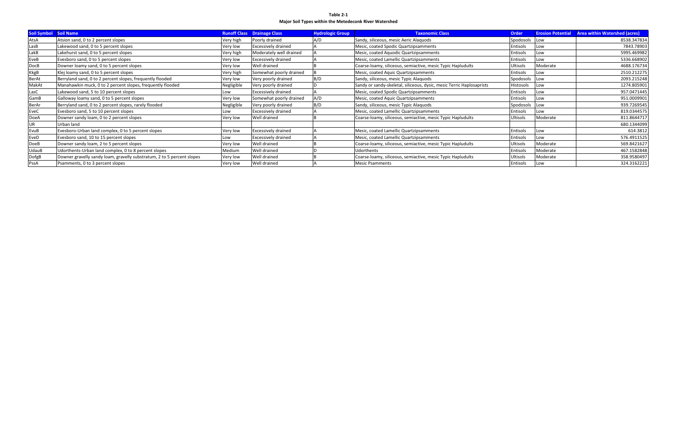**Table 2-1 Major Soil Types within the Metedeconk River Watershed**

| <b>Soil Symbol</b> | <b>Soil Name</b>                                                       |            | <b>Runoff Class Drainage Class</b> | <b>Hydrologic Group</b> | <b>Taxonomic Class</b>                                                | <b>Order</b>    | <b>Erosion Potential</b> | <b>Area within Watershed (acres)</b> |
|--------------------|------------------------------------------------------------------------|------------|------------------------------------|-------------------------|-----------------------------------------------------------------------|-----------------|--------------------------|--------------------------------------|
| AtsA               | Atsion sand, 0 to 2 percent slopes                                     | Very high  | Poorly drained                     | A/D                     | Sandy, siliceous, mesic Aeric Alaguods                                | Spodosols       | Low                      | 8538.347834                          |
| LasB               | Lakewood sand, 0 to 5 percent slopes                                   | Very low   | <b>Excessively drained</b>         |                         | Mesic, coated Spodic Quartzipsamments                                 | <b>Entisols</b> | Low                      | 7843.78903                           |
| LakB               | Lakehurst sand, 0 to 5 percent slopes                                  | Very high  | Moderately well drained            |                         | Mesic, coated Aquodic Quartzipsamments                                | <b>Entisols</b> | Low                      | 5995.469982                          |
| EveB               | Evesboro sand, 0 to 5 percent slopes                                   | Very low   | Excessively drained                |                         | Mesic, coated Lamellic Quartzipsamments                               | <b>Entisols</b> | Low                      | 5336.668902                          |
| DocB               | Downer loamy sand, 0 to 5 percent slopes                               | Very low   | Well drained                       |                         | Coarse-loamy, siliceous, semiactive, mesic Typic Hapludults           | <b>Ultisols</b> | Moderate                 | 4688.176734                          |
| KkgB               | Klej loamy sand, 0 to 5 percent slopes                                 | Very high  | Somewhat poorly drained            |                         | Mesic, coated Aquic Quartzipsamments                                  | Entisols        | Low                      | 2510.212275                          |
| <b>BerAt</b>       | Berryland sand, 0 to 2 percent slopes, frequently flooded              | Very low   | Very poorly drained                | B/D                     | Sandy, siliceous, mesic Typic Alaquods                                | Spodosols       | Low                      | 2093.215248                          |
| MakAt              | Manahawkin muck, 0 to 2 percent slopes, frequently flooded             | Negligible | Very poorly drained                |                         | Sandy or sandy-skeletal, siliceous, dysic, mesic Terric Haplosaprists | Histosols       | Low                      | 1274.805901                          |
| LasC               | Lakewood sand, 5 to 10 percent slopes                                  | Low        | <b>Excessively drained</b>         |                         | Mesic, coated Spodic Quartzipsamments                                 | Entisols        | Low                      | 957.0471445                          |
| GamB               | Galloway loamy sand, 0 to 5 percent slopes                             | Very low   | Somewhat poorly drained            | A/D                     | Mesic, coated Aquic Quartzipsamments                                  | Entisols        | Low                      | 951.0009901                          |
| <b>BerAr</b>       | Berryland sand, 0 to 2 percent slopes, rarely flooded                  | Negligible | Very poorly drained                | B/D                     | Sandy, siliceous, mesic Typic Alaquods                                | Spodosols       | <b>Low</b>               | 939.7269545                          |
| EveC               | Evesboro sand, 5 to 10 percent slopes                                  | Low        | Excessively drained                |                         | Mesic, coated Lamellic Quartzipsamments                               | <b>Entisols</b> | Low                      | 819.0344575                          |
| <b>DoeA</b>        | Downer sandy loam, 0 to 2 percent slopes                               | Very low   | Well drained                       |                         | Coarse-loamy, siliceous, semiactive, mesic Typic Hapludults           | <b>Ultisols</b> | Moderate                 | 811.8644717                          |
| UR                 | Urban land                                                             |            |                                    |                         |                                                                       |                 |                          | 680.1344099                          |
| EvuB               | Evesboro-Urban land complex, 0 to 5 percent slopes                     | Very low   | Excessively drained                |                         | Mesic, coated Lamellic Quartzipsamments                               | <b>Entisols</b> | Low                      | 614.3812                             |
| EveD               | Evesboro sand, 10 to 15 percent slopes                                 | Low        | Excessively drained                |                         | Mesic, coated Lamellic Quartzipsamments                               | <b>Entisols</b> | Low                      | 576.4911525                          |
| <b>DoeB</b>        | Downer sandy loam, 2 to 5 percent slopes                               | Very low   | Well drained                       |                         | Coarse-loamy, siliceous, semiactive, mesic Typic Hapludults           | <b>Ultisols</b> | Moderate                 | 569.8421627                          |
| UdauB              | Udorthents-Urban land complex, 0 to 8 percent slopes                   | Medium     | Well drained                       |                         | Udorthents                                                            | Entisols        | Moderate                 | 467.1582848                          |
| DofgB              | Downer gravelly sandy loam, gravelly substratum, 2 to 5 percent slopes | Very low   | Well drained                       |                         | Coarse-loamy, siliceous, semiactive, mesic Typic Hapludults           | Ultisols        | Moderate                 | 358.9580497                          |
| PssA               | Psamments, 0 to 3 percent slopes                                       | Very low   | Well drained                       |                         | <b>Mesic Psamments</b>                                                | <b>Entisols</b> | Low                      | 324.3162221                          |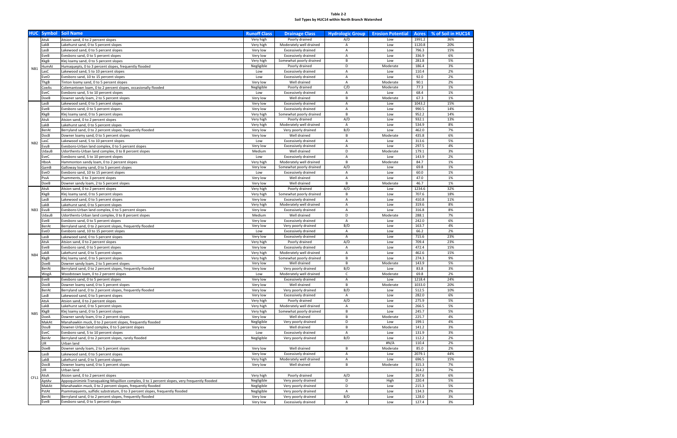**Table 2-2 Soil Types by HUC14 within North Branch Watershed**

|                 | <b>HUC</b> Symbol   | <b>Soil Name</b>                                                                              | <b>Runoff Class</b>   | <b>Drainage Class</b>                                 | <b>Hydrologic Group</b> | <b>Erosion Potential</b> | Acres           | % of Soil in HUC14 |
|-----------------|---------------------|-----------------------------------------------------------------------------------------------|-----------------------|-------------------------------------------------------|-------------------------|--------------------------|-----------------|--------------------|
|                 | AtsA                | Atsion sand, 0 to 2 percent slopes                                                            | Very high             | Poorly drained                                        | A/D                     | Low                      | 1991.2          | 36%                |
|                 | LakB                | Lakehurst sand, 0 to 5 percent slopes                                                         | Very high             | Moderately well drained                               | Α                       | Low                      | 1120.8          | 20%                |
|                 | LasB                | Lakewood sand, 0 to 5 percent slopes                                                          | Very low              | <b>Excessively drained</b>                            | Α                       | Low                      | 796.3           | 15%                |
|                 | EveB                | Evesboro sand, 0 to 5 percent slopes                                                          | Very low              | <b>Excessively drained</b>                            | A                       | Low                      | 336.9           | 6%                 |
|                 | KkgB                | Klej loamy sand, 0 to 5 percent slopes                                                        | Very high             | Somewhat poorly drained                               | B                       | Low                      | 281.8           | 5%                 |
| NB1             | HumAt               | Humaquepts, 0 to 3 percent slopes, frequently flooded                                         | Negligible            | Poorly drained                                        | D                       | Moderate                 | 186.4           | 3%                 |
|                 | .asC                | Lakewood sand, 5 to 10 percent slopes                                                         | Low                   | <b>Excessively drained</b>                            | Α                       | Low                      | 110.4           | 2%                 |
|                 | EveD                | Evesboro sand, 10 to 15 percent slopes                                                        | Low                   | <b>Excessively drained</b>                            | Α                       | Low                      | 92.0            | 2%                 |
|                 | ThgB                | Tinton loamy sand, 0 to 5 percent slopes                                                      | Very low              | Well drained                                          | A                       | Moderate                 | 90.1            | 2%                 |
|                 | CoeAs               | Colemantown loam, 0 to 2 percent slopes, occasionally flooded                                 | Negligible            | Poorly drained                                        | C/D                     | Moderate                 | 77.3            | 1%                 |
|                 | EveC                | Evesboro sand, 5 to 10 percent slopes                                                         | Low                   | <b>Excessively drained</b>                            | A                       | Low                      | 68.4            | 1%                 |
|                 | DoeB                | Downer sandy loam, 2 to 5 percent slopes                                                      | Very low              | Well drained                                          | B                       | Moderate                 | 67.3            | 1%                 |
|                 | LasB                | Lakewood sand, 0 to 5 percent slopes                                                          | Very low              | <b>Excessively drained</b>                            | A<br>A                  | Low<br>Low               | 1043.2<br>990.5 | 15%<br>14%         |
|                 | EveB<br><b>KkgB</b> | Evesboro sand, 0 to 5 percent slopes<br>Klej loamy sand, 0 to 5 percent slopes                | Very low<br>Very high | <b>Excessively drained</b><br>Somewhat poorly drained | B                       | Low                      | 952.2           | 14%                |
|                 | AtsA                | Atsion sand, 0 to 2 percent slopes                                                            | Very high             | Poorly drained                                        | A/D                     | Low                      | 932.1           | 13%                |
|                 | LakB                | Lakehurst sand, 0 to 5 percent slopes                                                         | Very high             | Moderately well drained                               | Α                       | Low                      | 534.9           | 8%                 |
|                 | BerAt               | Berryland sand, 0 to 2 percent slopes, frequently flooded                                     | Very low              | Very poorly drained                                   | B/D                     | Low                      | 462.0           | 7%                 |
|                 | DocB                | Downer loamy sand, 0 to 5 percent slopes                                                      | Very low              | Well drained                                          | B                       | Moderate                 | 435.8           | 6%                 |
|                 | .asC                | Lakewood sand, 5 to 10 percent slopes                                                         | Low                   | <b>Excessively drained</b>                            | Α                       | Low                      | 313.6           | 5%                 |
| NB <sub>2</sub> | EvuB                | Evesboro-Urban land complex, 0 to 5 percent slopes                                            | Very low              | <b>Excessively drained</b>                            | Α                       | Low                      | 297.5           | 4%                 |
|                 | UdauB               | Udorthents-Urban land complex, 0 to 8 percent slopes                                          | Medium                | Well drained                                          | D                       | Moderate                 | 179.1           | 3%                 |
|                 | EveC                | Evesboro sand, 5 to 10 percent slopes                                                         | Low                   | <b>Excessively drained</b>                            | A                       | Low                      | 143.9           | 2%                 |
|                 | HboA                | Hammonton sandy loam, 0 to 2 percent slopes                                                   | Very high             | Moderately well drained                               | B                       | Moderate                 | 84.7            | 1%                 |
|                 | GamB                | Galloway loamy sand, 0 to 5 percent slopes                                                    | Very low              | Somewhat poorly drained                               | A/D                     | Low                      | 69.8            | 1%                 |
|                 | EveD                | Evesboro sand, 10 to 15 percent slopes                                                        | Low                   | <b>Excessively drained</b>                            | A                       | Low                      | 60.0            | 1%                 |
|                 | PssA                | Psamments, 0 to 3 percent slopes                                                              | Very low              | Well drained                                          | Α                       | Low                      | 47.0            | 1%                 |
|                 | DoeB                | Downer sandy loam, 2 to 5 percent slopes                                                      | Very low              | Well drained                                          | B                       | Moderate                 | 46.7            | 1%                 |
|                 | AtsA                | Atsion sand, 0 to 2 percent slopes                                                            | Very high             | Poorly drained                                        | A/D                     | Low                      | 1234.6          | 32%                |
|                 | KkgB                | Klej loamy sand, 0 to 5 percent slopes                                                        | Very high             | Somewhat poorly drained                               | B                       | Low                      | 707.6           | 18%                |
|                 | .asB                | Lakewood sand, 0 to 5 percent slopes                                                          | Very low              | <b>Excessively drained</b>                            | Α                       | Low                      | 410.8           | 11%                |
|                 | .akB                | Lakehurst sand, 0 to 5 percent slopes                                                         | Very high             | Moderately well drained                               | A                       | Low                      | 319.6           | 8%                 |
| NB3             | EvuB                | Evesboro-Urban land complex, 0 to 5 percent slopes                                            | Very low              | <b>Excessively drained</b>                            | A                       | Low                      | 316.8           | 8%                 |
|                 | UdauB               | Udorthents-Urban land complex, 0 to 8 percent slopes                                          | Medium                | Well drained                                          | D                       | Moderate                 | 288.1           | 7%                 |
|                 | EveB                | Evesboro sand, 0 to 5 percent slopes                                                          | Very low              | <b>Excessively drained</b>                            | A                       | Low                      | 242.0           | 6%                 |
|                 | BerAt               | Berryland sand, 0 to 2 percent slopes, frequently flooded                                     | Very low              | Very poorly drained                                   | B/D                     | Low                      | 163.7           | 4%                 |
|                 | EveD                | Evesboro sand, 10 to 15 percent slopes                                                        | Low                   | Excessively drained                                   | A                       | Low                      | 66.2            | 2%                 |
|                 | LasB                | Lakewood sand, 0 to 5 percent slopes                                                          | Very low              | <b>Excessively drained</b>                            | A                       | Low                      | 715.6           | 23%                |
|                 | AtsA                | Atsion sand, 0 to 2 percent slopes                                                            | Very high             | Poorly drained                                        | A/D                     | Low                      | 709.4<br>472.4  | 23%                |
|                 | EveB<br>.akB        | Evesboro sand, 0 to 5 percent slopes                                                          | Very low<br>Very high | <b>Excessively drained</b><br>Moderately well drained | A<br>A                  | Low<br>Low               | 462.6           | 15%<br>15%         |
| NB4             | (kgB                | Lakehurst sand, 0 to 5 percent slopes<br>Klej loamy sand, 0 to 5 percent slopes               | Very high             | Somewhat poorly drained                               | B                       | Low                      | 274.3           | 9%                 |
|                 | DoeB                | Downer sandy loam, 2 to 5 percent slopes                                                      | Very low              | Well drained                                          | B                       | Moderate                 | 143.9           | 5%                 |
|                 | BerAt               | Berryland sand, 0 to 2 percent slopes, frequently flooded                                     | Very low              | Very poorly drained                                   | B/D                     | Low                      | 83.8            | 3%                 |
|                 | WogA                | Woodstown loam, 0 to 2 percent slopes                                                         | Low                   | Moderately well drained                               | C                       | Moderate                 | 69.8            | 2%                 |
|                 | EveB                | Evesboro sand, 0 to 5 percent slopes                                                          | Very low              | <b>Excessively drained</b>                            | Α                       | Low                      | 1218.4          | 24%                |
|                 | DocB                | Downer loamy sand, 0 to 5 percent slopes                                                      | Very low              | Well drained                                          | B                       | Moderate                 | 1033.0          | 20%                |
|                 | BerAt               | Berryland sand, 0 to 2 percent slopes, frequently flooded                                     | Very low              | Very poorly drained                                   | B/D                     | Low                      | 512.5           | 10%                |
|                 | LasB                | Lakewood sand, 0 to 5 percent slopes                                                          | Very low              | <b>Excessively drained</b>                            | A                       | Low                      | 282.0           | 6%                 |
|                 | AtsA                | Atsion sand, 0 to 2 percent slopes                                                            | Very high             | Poorly drained                                        | A/D                     | Low                      | 275.9           | 5%                 |
|                 | LakB                | Lakehurst sand, 0 to 5 percent slopes                                                         | Very high             | Moderately well drained                               | Α                       | Low                      | 266.5           | 5%                 |
| NB <sub>5</sub> | KkgB                | Klej loamy sand, 0 to 5 percent slopes                                                        | Very high             | Somewhat poorly drained                               | B                       | Low                      | 245.7           | 5%                 |
|                 | DoeA                | Downer sandy loam, 0 to 2 percent slopes                                                      | Very low              | Well drained                                          | B                       | Moderate                 | 225.7           | 4%                 |
|                 | MakAt               | Manahawkin muck, 0 to 2 percent slopes, frequently flooded                                    | Negligible            | Very poorly drained                                   | D                       | Low                      | 199.1           | 4%                 |
|                 | DouB                | Downer-Urban land complex, 0 to 5 percent slopes                                              | Very low              | Well drained                                          | B                       | Moderate                 | 141.2           | 3%                 |
|                 | EveC                | Evesboro sand, 5 to 10 percent slopes                                                         | Low                   | <b>Excessively drained</b>                            | $\overline{A}$          | Low                      | 131.9           | 3%                 |
|                 | BerAr               | Berryland sand, 0 to 2 percent slopes, rarely flooded                                         | Negligible            | Very poorly drained                                   | B/D                     | Low                      | 112.2           | 2%                 |
|                 | UR                  | Urban land                                                                                    |                       |                                                       | B                       | #N/A                     | 110.4           | 2%<br>2%           |
|                 | DoeB<br>LasB        | Downer sandy loam, 2 to 5 percent slopes<br>Lakewood sand, 0 to 5 percent slopes              | Very low<br>Very low  | Well drained<br><b>Excessively drained</b>            | A                       | Moderate<br>Low          | 85.0<br>2079.1  | 44%                |
|                 | LakB                | Lakehurst sand, 0 to 5 percent slopes                                                         | Very high             | Moderately well drained                               | A                       | Low                      | 696.5           | 15%                |
|                 | DocB                | Downer loamy sand, 0 to 5 percent slopes                                                      | Very low              | Well drained                                          | B                       | Moderate                 | 315.3           | 7%                 |
|                 | UR                  | Urban land                                                                                    |                       |                                                       |                         |                          | 314.2           | 7%                 |
|                 | AtsA                | Atsion sand, 0 to 2 percent slopes                                                            | Very high             | Poorly drained                                        | A/D                     | Low                      | 267.6           | 6%                 |
| CFL1            | AptAv               | Appoquinimink-Transquaking-Mispillion complex, 0 to 1 percent slopes, very frequently flooded | Negligible            | Very poorly drained                                   | D                       | High                     | 220.4           | 5%                 |
|                 | MakAt               | Manahawkin muck, 0 to 2 percent slopes, frequently flooded                                    | Negligible            | Very poorly drained                                   | D                       | Low                      | 215.3           | 5%                 |
|                 | PstAt               | Psammaquents, sulfidic substratum, 0 to 3 percent slopes, frequently flooded                  | Negligible            | Very poorly drained                                   | $\mathsf{A}$            | Low                      | 134.3           | 3%                 |
|                 | BerAt               | Berryland sand, 0 to 2 percent slopes, frequently flooded                                     | Very low              | Very poorly drained                                   | B/D                     | Low                      | 128.0           | 3%                 |
|                 | EveB                | Evesboro sand, 0 to 5 percent slopes                                                          | Very low              | <b>Excessively drained</b>                            | $\mathsf{A}$            | Low                      | 127.4           | 3%                 |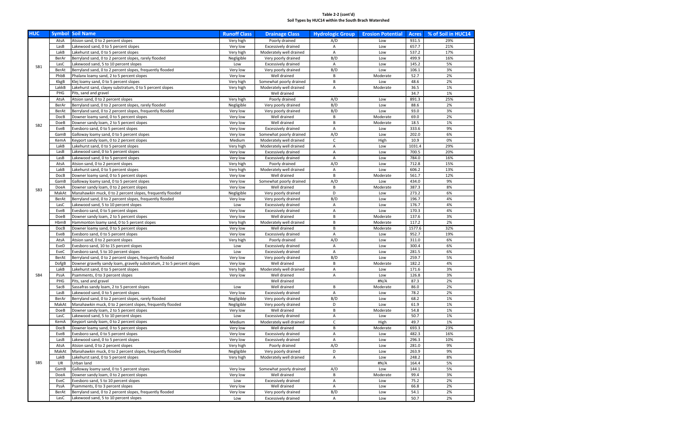### **Table 2-2 (cont'd) Soil Types by HUC14 within the South Brach Watershed**

| <b>HUC</b>      |              | <b>Symbol Soil Name</b>                                                    | <b>Runoff Class</b>   | <b>Drainage Class</b>                 | <b>Hydrologic Group</b> | <b>Erosion Potential</b> | <b>Acres</b>   | % of Soil in HUC14 |
|-----------------|--------------|----------------------------------------------------------------------------|-----------------------|---------------------------------------|-------------------------|--------------------------|----------------|--------------------|
|                 | AtsA         | Atsion sand, 0 to 2 percent slopes                                         | Very high             | Poorly drained                        | A/D                     | Low                      | 931.5          | 29%                |
|                 | LasB         | Lakewood sand, 0 to 5 percent slopes                                       | Very low              | Excessively drained                   | Α                       | Low                      | 657.7          | 21%                |
|                 | LakB         | Lakehurst sand, 0 to 5 percent slopes                                      | Very high             | Moderately well drained               | Α                       | Low                      | 537.2          | 17%                |
|                 | BerAr        | Berryland sand, 0 to 2 percent slopes, rarely flooded                      | Negligible            | Very poorly drained                   | B/D                     | Low                      | 499.9          | 16%                |
|                 | LasC         | Lakewood sand, 5 to 10 percent slopes                                      | Low                   | <b>Excessively drained</b>            | A                       | Low                      | 145.2          | 5%                 |
| SB1             | BerAt        | Berryland sand, 0 to 2 percent slopes, frequently flooded                  | Very low              | Very poorly drained                   | B/D                     | Low                      | 106.1          | 3%                 |
|                 | PhbB         | Phalanx loamy sand, 2 to 5 percent slopes                                  | Very low              | Well drained                          | B                       | Moderate                 | 52.7           | 2%                 |
|                 | KkgB         | Klej loamy sand, 0 to 5 percent slopes                                     | Very high             | Somewhat poorly drained               | B                       | Low                      | 48.6           | 2%                 |
|                 | LakkB        | Lakehurst sand, clayey substratum, 0 to 5 percent slopes                   | Very high             | Moderately well drained               | A                       | Moderate                 | 36.5           | 1%                 |
|                 | PHG          | Pits, sand and gravel                                                      |                       | Well drained                          |                         |                          | 34.7           | 1%                 |
|                 | AtsA         | Atsion sand, 0 to 2 percent slopes                                         | Very high             | Poorly drained                        | A/D                     | Low                      | 891.3          | 25%                |
|                 | BerAr        | Berryland sand, 0 to 2 percent slopes, rarely flooded                      | Negligible            | Very poorly drained                   | B/D                     | Low                      | 88.6           | 2%                 |
|                 | BerAt        | Berryland sand, 0 to 2 percent slopes, frequently flooded                  | Very low              | Very poorly drained                   | B/D                     | Low                      | 93.0           | $3%$               |
|                 | DocB         | Downer loamy sand, 0 to 5 percent slopes                                   | Very low              | Well drained                          | B                       | Moderate                 | 69.0           | 2%                 |
| SB <sub>2</sub> | DoeB         | Downer sandy loam, 2 to 5 percent slopes                                   | Very low              | Well drained                          | B                       | Moderate                 | 18.5           | 1%                 |
|                 | EveB         | Evesboro sand, 0 to 5 percent slopes                                       | Very low              | <b>Excessively drained</b>            | A                       | Low                      | 333.6          | 9%                 |
|                 | GamB         | Galloway loamy sand, 0 to 5 percent slopes                                 | Very low              | Somewhat poorly drained               | A/D                     | Low                      | 202.0          | 6%                 |
|                 | KemA         | Keyport sandy loam, 0 to 2 percent slopes                                  | Medium                | Moderately well drained               | C                       | High                     | 10.9           | 0%                 |
|                 | LakB         | Lakehurst sand, 0 to 5 percent slopes                                      | Very high             | Moderately well drained               | Α                       | Low                      | 1031.4         | 29%                |
|                 | LasB         | Lakewood sand, 0 to 5 percent slopes                                       | Very low              | Excessively drained                   | Α                       | Low                      | 700.5          | 20%                |
|                 | LasB         | Lakewood sand, 0 to 5 percent slopes                                       | Very low              | Excessively drained                   | Α                       | Low                      | 784.0          | 16%                |
|                 | AtsA         | Atsion sand, 0 to 2 percent slopes                                         | Very high             | Poorly drained                        | A/D                     | Low                      | 712.8          | 15%                |
|                 | LakB         | Lakehurst sand, 0 to 5 percent slopes                                      | Very high             | Moderately well drained               | Α                       | Low                      | 606.2          | 13%                |
|                 | DocB         | Downer loamy sand, 0 to 5 percent slopes                                   | Very low              | Well drained                          | B                       | Moderate                 | 561.7          | 12%                |
|                 | GamB         | Galloway loamy sand, 0 to 5 percent slopes                                 | Very low              | Somewhat poorly drained               | A/D                     | Low                      | 434.0          | 9%                 |
| SB <sub>3</sub> | DoeA         | Downer sandy loam, 0 to 2 percent slopes                                   | Very low              | Well drained                          | B                       | Moderate                 | 387.3          | 8%                 |
|                 | MakAt        | Manahawkin muck, 0 to 2 percent slopes, frequently flooded                 | Negligible            | Very poorly drained                   | D                       | Low                      | 273.2          | 6%                 |
|                 | BerAt        | Berryland sand, 0 to 2 percent slopes, frequently flooded                  | Very low              | Very poorly drained                   | B/D                     | Low                      | 196.7          | 4%                 |
|                 | LasC         | Lakewood sand, 5 to 10 percent slopes                                      | Low                   | <b>Excessively drained</b>            | Α                       | Low                      | 176.7          | 4%                 |
|                 | EveB         | Evesboro sand, 0 to 5 percent slopes                                       | Very low              | Excessively drained                   | Α                       | Low                      | 170.3          | 4%                 |
|                 | DoeB         | Downer sandy loam, 2 to 5 percent slopes                                   | Very low              | Well drained                          | $\sf B$                 | Moderate                 | 137.6          | $3%$               |
|                 | HbmB         | Hammonton loamy sand, 0 to 5 percent slopes                                | Very high             | Moderately well drained               | B                       | Moderate                 | 117.2          | 2%                 |
|                 | <b>DocB</b>  | Downer loamy sand, 0 to 5 percent slopes                                   | Very low              | Well drained                          | B<br>Α                  | Moderate                 | 1577.6         | 32%                |
|                 | EveB<br>AtsA | Evesboro sand, 0 to 5 percent slopes<br>Atsion sand, 0 to 2 percent slopes | Very low<br>Very high | Excessively drained<br>Poorly drained | A/D                     | Low<br>Low               | 952.7<br>311.0 | 19%<br>6%          |
|                 | EveD         | Evesboro sand, 10 to 15 percent slopes                                     | Low                   | Excessively drained                   | Α                       | Low                      | 300.4          | 6%                 |
|                 | EveC         | Evesboro sand, 5 to 10 percent slopes                                      | Low                   | <b>Excessively drained</b>            | Α                       | Low                      | 281.5          | 6%                 |
|                 | BerAt        | Berryland sand, 0 to 2 percent slopes, frequently flooded                  | Very low              | Very poorly drained                   | B/D                     | Low                      | 259.7          | 5%                 |
|                 | DofgB        | Downer gravelly sandy loam, gravelly substratum, 2 to 5 percent slopes     | Very low              | Well drained                          | B                       | Moderate                 | 182.2          | 4%                 |
|                 | LakB         | Lakehurst sand, 0 to 5 percent slopes                                      | Very high             | Moderately well drained               | Α                       | Low                      | 171.6          | 3%                 |
| SB4             | PssA         | Psamments, 0 to 3 percent slopes                                           | Very low              | Well drained                          | $\overline{A}$          | Low                      | 126.8          | 3%                 |
|                 | PHG          | Pits, sand and gravel                                                      |                       | Well drained                          |                         | #N/A                     | 87.3           | 2%                 |
|                 | SacB         | Sassafras sandy loam, 2 to 5 percent slopes                                | Low                   | Well drained                          | B                       | Moderate                 | 86.0           | 2%                 |
|                 | LasB         | Lakewood sand, 0 to 5 percent slopes                                       | Very low              | <b>Excessively drained</b>            | A                       | Low                      | 78.2           | 2%                 |
|                 | BerAr        | Berryland sand, 0 to 2 percent slopes, rarely flooded                      | Negligible            | Very poorly drained                   | B/D                     | Low                      | 68.2           | 1%                 |
|                 | MakAt        | Manahawkin muck, 0 to 2 percent slopes, frequently flooded                 | Negligible            | Very poorly drained                   | D                       | Low                      | 61.9           | 1%                 |
|                 | DoeB         | Downer sandy loam, 2 to 5 percent slopes                                   | Very low              | Well drained                          | B                       | Moderate                 | 54.8           | 1%                 |
|                 | LasC         | Lakewood sand, 5 to 10 percent slopes                                      | Low                   | <b>Excessively drained</b>            | A                       | Low                      | 50.7           | 1%                 |
|                 | KemA         | Keyport sandy loam, 0 to 2 percent slopes                                  | Medium                | Moderately well drained               | $\mathsf{C}$            | High                     | 49.7           | 1%                 |
|                 | DocB         | Downer loamy sand, 0 to 5 percent slopes                                   | Very low              | Well drained                          | B                       | Moderate                 | 693.3          | 23%                |
|                 | EveB         | Evesboro sand, 0 to 5 percent slopes                                       | Very low              | <b>Excessively drained</b>            | A                       | Low                      | 482.3          | 16%                |
|                 | LasB         | Lakewood sand, 0 to 5 percent slopes                                       | Very low              | Excessively drained                   | A                       | Low                      | 296.3          | 10%                |
|                 | AtsA         | Atsion sand, 0 to 2 percent slopes                                         | Very high             | Poorly drained                        | A/D                     | Low                      | 281.0          | 9%                 |
|                 | MakAt        | Manahawkin muck, 0 to 2 percent slopes, frequently flooded                 | Negligible            | Very poorly drained                   | D                       | Low                      | 263.9          | 9%                 |
|                 | LakB         | Lakehurst sand, 0 to 5 percent slopes                                      | Very high             | Moderately well drained               | A                       | Low                      | 248.2          | 8%                 |
| SB <sub>5</sub> | UR           | Urban land                                                                 |                       |                                       |                         | #N/A                     | 164.4          | 5%                 |
|                 | GamB         | Galloway loamy sand, 0 to 5 percent slopes                                 | Very low              | Somewhat poorly drained               | A/D                     | Low                      | 144.1          | 5%                 |
|                 | DoeA         | Downer sandy loam, 0 to 2 percent slopes                                   | Very low              | Well drained                          | B                       | Moderate                 | 99.4           | 3%                 |
|                 | EveC         | Evesboro sand, 5 to 10 percent slopes                                      | Low                   | Excessively drained                   | A                       | Low                      | 75.2           | 2%                 |
|                 | PssA         | Psamments, 0 to 3 percent slopes                                           | Very low              | Well drained                          | A                       | Low                      | 66.8           | 2%                 |
|                 | BerAt        | Berryland sand, 0 to 2 percent slopes, frequently flooded                  | Very low              | Very poorly drained                   | B/D                     | Low                      | 54.1           | 2%                 |
|                 | LasC         | Lakewood sand, 5 to 10 percent slopes                                      | Low                   | Excessively drained                   | A                       | Low                      | 50.7           | 2%                 |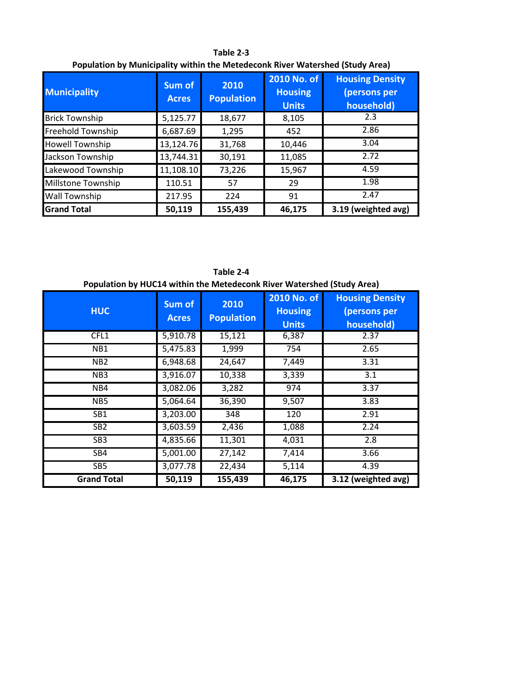**Table 2-3 Population by Municipality within the Metedeconk River Watershed (Study Area)**

| <b>Municipality</b>    | Sum of<br><b>Acres</b> | 2010<br><b>Population</b> | 2010 No. of<br><b>Housing</b><br><b>Units</b> | <b>Housing Density</b><br>(persons per<br>household) |
|------------------------|------------------------|---------------------------|-----------------------------------------------|------------------------------------------------------|
| <b>Brick Township</b>  | 5,125.77               | 18,677                    | 8,105                                         | 2.3                                                  |
| Freehold Township      | 6,687.69               | 1,295                     | 452                                           | 2.86                                                 |
| <b>Howell Township</b> | 13,124.76              | 31,768                    | 10,446                                        | 3.04                                                 |
| Jackson Township       | 13,744.31              | 30,191                    | 11,085                                        | 2.72                                                 |
| Lakewood Township      | 11,108.10              | 73,226                    | 15,967                                        | 4.59                                                 |
| Millstone Township     | 110.51                 | 57                        | 29                                            | 1.98                                                 |
| <b>Wall Township</b>   | 217.95                 | 224                       | 91                                            | 2.47                                                 |
| <b>Grand Total</b>     | 50,119                 | 155,439                   | 46,175                                        | 3.19 (weighted avg)                                  |

**HUC Sum of Acres 2010 Population 2010 No. of Housing Units Housing Density (persons per household)** CFL1 5,910.78 15,121 6,387 2.37 NB1 | 5,475.83 | 1,999 | 754 | 2.65 NB2 6,948.68 24,647 7,449 3.31 NB3 3,916.07 10,338 3,339 3.1 NB4 3,082.06 3,282 974 3.37 NB5 5,064.64 36,390 9,507 3.83 SB1 3,203.00 348 120 2.91 SB2 3,603.59 2,436 1,088 2.24 SB3 4,835.66 11,301 4,031 2.8 SB4 5,001.00 27,142 7,414 3.66 SB5 3,077.78 22,434 5,114 4.39 **Grand Total 50,119 155,439 46,175 3.12 (weighted avg) Population by HUC14 within the Metedeconk River Watershed (Study Area)**

**Table 2-4**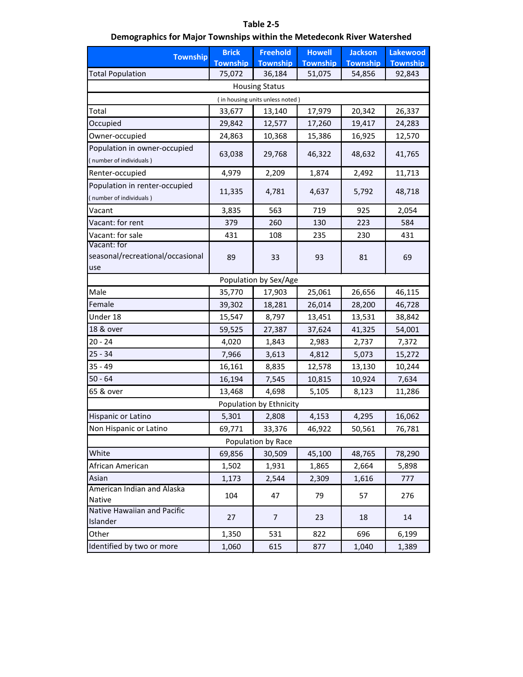## **Table 2-5**

## **Demographics for Major Townships within the Metedeconk River Watershed**

| <b>Township</b>                  | <b>Brick</b>    | <b>Freehold</b>                 | <b>Howell</b>   | <b>Jackson</b>  | <b>Lakewood</b> |
|----------------------------------|-----------------|---------------------------------|-----------------|-----------------|-----------------|
|                                  | <b>Township</b> | <b>Township</b>                 | <b>Township</b> | <b>Township</b> | <b>Township</b> |
| <b>Total Population</b>          | 75,072          | 36,184                          | 51,075          | 54,856          | 92,843          |
|                                  |                 | <b>Housing Status</b>           |                 |                 |                 |
|                                  |                 | (in housing units unless noted) |                 |                 |                 |
| Total                            | 33,677          | 13,140                          | 17,979          | 20,342          | 26,337          |
| Occupied                         | 29,842          | 12,577                          | 17,260          | 19,417          | 24,283          |
| Owner-occupied                   | 24,863          | 10,368                          | 15,386          | 16,925          | 12,570          |
| Population in owner-occupied     |                 |                                 |                 |                 |                 |
| (number of individuals)          | 63,038          | 29,768                          | 46,322          | 48,632          | 41,765          |
| Renter-occupied                  | 4,979           | 2,209                           | 1,874           | 2,492           | 11,713          |
| Population in renter-occupied    |                 |                                 |                 |                 |                 |
| (number of individuals)          | 11,335          | 4,781                           | 4,637           | 5,792           | 48,718          |
| Vacant                           | 3,835           | 563                             | 719             | 925             | 2,054           |
| Vacant: for rent                 | 379             | 260                             | 130             | 223             | 584             |
| Vacant: for sale                 | 431             | 108                             | 235             | 230             | 431             |
| Vacant: for                      |                 |                                 |                 |                 |                 |
| seasonal/recreational/occasional | 89              | 33                              | 93              | 81              | 69              |
| use                              |                 |                                 |                 |                 |                 |
|                                  |                 | Population by Sex/Age           |                 |                 |                 |
| Male                             | 35,770          | 17,903                          | 25,061          | 26,656          | 46,115          |
| Female                           | 39,302          | 18,281                          | 26,014          | 28,200          | 46,728          |
| Under 18                         | 15,547          | 8,797                           | 13,451          | 13,531          | 38,842          |
| 18 & over                        | 59,525          | 27,387                          | 37,624          | 41,325          | 54,001          |
| $20 - 24$                        | 4,020           | 1,843                           | 2,983           | 2,737           | 7,372           |
| $25 - 34$                        | 7,966           | 3,613                           | 4,812           | 5,073           | 15,272          |
| $35 - 49$                        | 16,161          | 8,835                           | 12,578          | 13,130          | 10,244          |
| $50 - 64$                        | 16,194          | 7,545                           | 10,815          | 10,924          | 7,634           |
| 65 & over                        | 13,468          | 4,698                           | 5,105           | 8,123           | 11,286          |
|                                  |                 | Population by Ethnicity         |                 |                 |                 |
| Hispanic or Latino               | 5,301           | 2,808                           | 4,153           | 4,295           | 16,062          |
| Non Hispanic or Latino           | 69,771          | 33,376                          | 46,922          | 50,561          | 76,781          |
|                                  |                 | Population by Race              |                 |                 |                 |
| White                            | 69,856          | 30,509                          | 45,100          | 48,765          | 78,290          |
| African American                 | 1,502           | 1,931                           | 1,865           | 2,664           | 5,898           |
| Asian                            | 1,173           | 2,544                           | 2,309           | 1,616           | 777             |
| American Indian and Alaska       |                 |                                 |                 |                 |                 |
| Native                           | 104             | 47                              | 79              | 57              | 276             |
| Native Hawaiian and Pacific      | 27              | 7                               | 23              | 18              | 14              |
| Islander                         |                 |                                 |                 |                 |                 |
| Other                            | 1,350           | 531                             | 822             | 696             | 6,199           |
| Identified by two or more        | 1,060           | 615                             | 877             | 1,040           | 1,389           |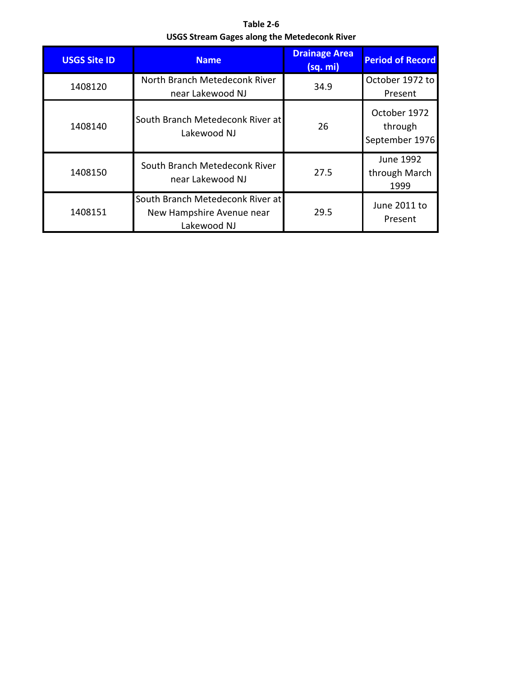**Table 2-6 USGS Stream Gages along the Metedeconk River**

| <b>USGS Site ID</b> | <b>Name</b>                                                                  | <b>Drainage Area</b><br>(sq. mi) | <b>Period of Record</b>                   |
|---------------------|------------------------------------------------------------------------------|----------------------------------|-------------------------------------------|
| 1408120             | North Branch Metedeconk River<br>near Lakewood NJ                            | 34.9                             | October 1972 to<br>Present                |
| 1408140             | South Branch Metedeconk River at<br>Lakewood NJ                              | 26                               | October 1972<br>through<br>September 1976 |
| 1408150             | South Branch Metedeconk River<br>near Lakewood NJ                            | 27.5                             | June 1992<br>through March<br>1999        |
| 1408151             | South Branch Metedeconk River at<br>New Hampshire Avenue near<br>Lakewood NJ | 29.5                             | June 2011 to<br>Present                   |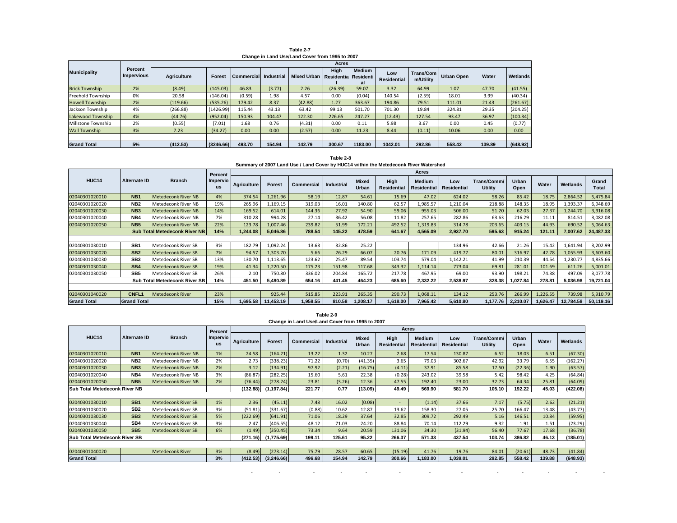**Table 2-7 Change in Land Use/Land Cover from 1995 to 2007**

|                        |                       |                    |           |                   |            |                                  | Acres   |              |                           |                        |                   |        |          |
|------------------------|-----------------------|--------------------|-----------|-------------------|------------|----------------------------------|---------|--------------|---------------------------|------------------------|-------------------|--------|----------|
| <b>Municipality</b>    | Percent<br>Impervious | <b>Agriculture</b> | Forest    | <b>Commercial</b> | Industrial | Mixed Urban Residentia Residenti | High    | Medium<br>аı | Low<br><b>Residential</b> | Trans/Com<br>m/Utility | <b>Urban Open</b> | Water  | Wetlands |
| <b>Brick Township</b>  | 2%                    | (8.49)             | (145.03)  | 46.83             | (3.77)     | 2.26                             | (26.39) | 59.07        | 3.32                      | 64.99                  | 1.07              | 47.70  | (41.55)  |
| Freehold Township      | 0%                    | 20.58              | (146.04)  | (0.59)            | 1.98       | 4.57                             | 0.00    | (0.04)       | 140.54                    | (2.59)                 | 18.01             | 3.99   | (40.34)  |
| <b>Howell Township</b> | 2%                    | (119.66)           | (535.26)  | 179.42            | 8.37       | (42.88)                          | 1.27    | 363.67       | 194.86                    | 79.51                  | 111.01            | 21.43  | (261.67) |
| Jackson Township       | 4%                    | (266.88)           | (1426.99) | 115.44            | 43.13      | 63.42                            | 99.13   | 501.70       | 701.30                    | 19.84                  | 324.81            | 29.35  | (204.25) |
| Lakewood Township      | 4%                    | (44.76)            | (952.04)  | 150.93            | 104.47     | 122.30                           | 226.65  | 247.27       | (12.43)                   | 127.54                 | 93.47             | 36.97  | (100.34) |
| Millstone Township     | 2%                    | (0.55)             | (7.01)    | 1.68              | 0.76       | (4.31)                           | 0.00    | 0.11         | 5.98                      | 3.67                   | 0.00              | 0.45   | (0.77)   |
| <b>Wall Township</b>   | 3%                    | 7.23               | (34.27)   | 0.00              | 0.00       | (2.57)                           | 0.00    | 11.23        | 8.44                      | (0.11)                 | 10.06             | 0.00   | 0.00     |
|                        |                       |                    |           |                   |            |                                  |         |              |                           |                        |                   |        |          |
| <b>Grand Total</b>     | 5%                    | (412.53)           | (3246.66) | 493.70            | 154.94     | 142.79                           | 300.67  | 1183.00      | 1042.01                   | 292.86                 | 558.42            | 139.89 | (648.92) |

| Table 2-8                                                                            |
|--------------------------------------------------------------------------------------|
| Summary of 2007 Land Use / Land Cover by HUC14 within the Metedeconk River Watershed |

|                    |                    |                                      | Percent               |             | Acres     |                   |                   |                       |                     |                              |                    |                               |               |          |           |                |
|--------------------|--------------------|--------------------------------------|-----------------------|-------------|-----------|-------------------|-------------------|-----------------------|---------------------|------------------------------|--------------------|-------------------------------|---------------|----------|-----------|----------------|
| HUC14              | Alternate ID       | <b>Branch</b>                        | Impervio<br><b>us</b> | Agriculture | Forest    | <b>Commercial</b> | <b>Industrial</b> | <b>Mixed</b><br>Urban | High<br>Residential | <b>Medium</b><br>Residential | Low<br>Residential | Trans/Comm/<br><b>Utility</b> | Urban<br>Open | Water    | Wetlands  | Grand<br>Total |
| 02040301020010     | NB <sub>1</sub>    | Metedeconk River NB                  | 4%                    | 374.54      | ,261.96   | 58.19             | 12.87             | 54.61                 | 15.69               | 47.02                        | 624.02             | 58.26                         | 85.42         | 18.75    | 2,864.52  | 5,475.84       |
| 02040301020020     | NB <sub>2</sub>    | Metedeconk River NB                  | 19%                   | 265.96      | 1,169.15  | 319.03            | 16.01             | 140.80                | 62.57               | 1,985.57                     | 1,210.04           | 218.88                        | 148.35        | 18.95    | 1,393.37  | 6,948.69       |
| 02040301020030     | NB <sub>3</sub>    | Metedeconk River NB                  | 14%                   | 169.52      | 614.01    | 144.36            | 27.92             | 54.90                 | 59.06               | 955.03                       | 506.00             | 51.20                         | 62.03         | 27.37    | 1,244.70  | 3,916.08       |
| 02040301020040     | NB4                | Metedeconk River NB                  | 7%                    | 310.28      | 994.28    | 27.14             | 36.42             | 56.08                 | 11.82               | 257.65                       | 282.86             | 63.63                         | 216.29        | 11.11    | 814.51    | 3,082.08       |
| 02040301020050     | <b>NB5</b>         | Metedeconk River NB                  | 22%                   | 123.78      | .007.46   | 239.82            | 51.99             | 172.21                | 492.52              | 1,319.83                     | 314.78             | 203.65                        | 403.15        | 44.93    | 690.52    | 5,064.63       |
|                    |                    | <b>Sub Total Metedeconk River NB</b> | 14%                   | 1.244.08    | 5.046.86  | 788.54            | 145.22            | 478.59                | 641.67              | 4.565.09                     | 2,937.70           | 595.63                        | 915.24        | 121.11   | 7.007.62  | 24,487.33      |
|                    |                    |                                      |                       |             |           |                   |                   |                       |                     |                              |                    |                               |               |          |           |                |
| 02040301030010     | SB <sub>1</sub>    | Metedeconk River SB                  | 3%                    | 182.79      | 1,092.24  | 13.63             | 32.86             | 25.22                 |                     |                              | 134.96             | 42.66                         | 21.26         | 15.42    | 1,641.94  | 3,202.99       |
| 02040301030020     | SB <sub>2</sub>    | Metedeconk River SB                  | 7%                    | 94.57       | 1,303.70  | 5.66              | 26.29             | 66.07                 | 20.76               | 171.09                       | 419.77             | 80.01                         | 316.97        | 42.78    | 1,055.93  | 3,603.60       |
| 02040301030030     | SB <sub>3</sub>    | Metedeconk River SB                  | 13%                   | 130.70      | 1,113.65  | 123.62            | 25.47             | 89.54                 | 103.74              | 579.04                       | 1,142.21           | 41.99                         | 210.39        | 44.54    | 1,230.77  | 4,835.66       |
| 02040301030040     | SB <sub>4</sub>    | Metedeconk River SB                  | 19%                   | 41.34       | ,220.50   | 175.23            | 151.98            | 117.68                | 343.32              | 1,114.14                     | 773.04             | 69.81                         | 281.01        | 101.69   | 611.26    | 5,001.01       |
| 02040301030050     | SB <sub>5</sub>    | Metedeconk River SB                  | 26%                   | 2.10        | 750.80    | 336.02            | 204.84            | 165.72                | 217.78              | 467.95                       | 69.00              | 93.90                         | 198.21        | 74.38    | 497.09    | 3,077.78       |
|                    |                    | Sub Total Metedeconk River SB        | 14%                   | 451.50      | 5,480.89  | 654.16            | 441.45            | 464.23                | 685.60              | 2,332.22                     | 2,538.97           | 328.38                        | 1,027.84      | 278.81   | 5.036.98  | 19,721.04      |
|                    |                    |                                      |                       |             |           |                   |                   |                       |                     |                              |                    |                               |               |          |           |                |
| 02040301040020     | <b>CNFL1</b>       | Metedeconk River                     | 23%                   |             | 925.44    | 515.85            | 223.91            | 265.35                | 290.73              | 1,068.11                     | 134.12             | 253.76                        | 266.99        | 1,226.55 | 739.98    | 5,910.79       |
| <b>Grand Total</b> | <b>Grand Total</b> |                                      | 15%                   | 1,695.58    | 11,453.19 | 1,958.55          | 810.58            | 1,208.17              | 1,618.00            | 7,965.42                     | 5,610.80           | 1.177.76                      | 2,210.07      | 1,626.47 | 12,784.58 | 50,119.16      |

**Change in Land Use/Land Cover from 1995 to 2007 Table 2-9**

|                                      |                 |                            | Percent               |                    |               |                   |            |                |                            | <b>Acres</b>                 |                           |                               |                      |        |          |
|--------------------------------------|-----------------|----------------------------|-----------------------|--------------------|---------------|-------------------|------------|----------------|----------------------------|------------------------------|---------------------------|-------------------------------|----------------------|--------|----------|
| HUC14                                | Alternate ID    | <b>Branch</b>              | Impervio<br><b>us</b> | <b>Agriculture</b> | <b>Forest</b> | <b>Commercial</b> | Industrial | Mixed<br>Urban | High<br><b>Residential</b> | Medium<br><b>Residential</b> | Low<br><b>Residential</b> | Trans/Comm/<br><b>Utility</b> | <b>Urban</b><br>Open | Water  | Wetlands |
| 02040301020010                       | NB <sub>1</sub> | <b>Metedeconk River NB</b> | 1%                    | 24.58              | (164.21)      | 13.22             | 1.32       | 10.27          | 2.68                       | 17.54                        | 130.87                    | 6.52                          | 18.03                | 6.51   | (67.30)  |
| 02040301020020                       | NB <sub>2</sub> | Metedeconk River NB        | 2%                    | 2.73               | (338.23)      | 71.22             | (0.70)     | (41.35)        | 3.65                       | 79.03                        | 302.67                    | 42.92                         | 33.79                | 6.55   | (162.27) |
| 02040301020030                       | NB <sub>3</sub> | <b>Metedeconk River NB</b> | 2%                    | 3.12               | (134.91)      | 97.92             | (2.21)     | (16.75)        | (4.11)                     | 37.91                        | 85.58                     | 17.50                         | (22.36)              | 1.90   | (63.57)  |
| 02040301020040                       | NB4             | Metedeconk River NB        | 3%                    | (86.87)            | (282.25)      | 15.60             | 5.61       | 22.38          | (0.28)                     | 243.02                       | 39.58                     | 5.42                          | 98.42                | 4.25   | (64.84)  |
| 02040301020050                       | NB <sub>5</sub> | <b>Metedeconk River NB</b> | 2%                    | (76.44)            | (278.24)      | 23.81             | (3.26)     | 12.36          | 47.55                      | 192.40                       | 23.00                     | 32.73                         | 64.34                | 25.81  | (64.09)  |
| <b>Sub Total Metedeconk River NB</b> |                 |                            |                       | (132.88)           | (1, 197.84)   | 221.77            | 0.77       | 13.09)         | 49.49                      | 569.90                       | 581.70                    | 105.10                        | 192.22               | 45.03  | (422.08) |
|                                      |                 |                            |                       |                    |               |                   |            |                |                            |                              |                           |                               |                      |        |          |
| 02040301030010                       | SB <sub>1</sub> | <b>Metedeconk River SB</b> | 1%                    | 2.36               | (45.11)       | 7.48              | 16.02      | (0.08)         | $\overline{a}$             | (1.14)                       | 37.66                     | 7.17                          | (5.75)               | 2.62   | (21.21)  |
| 02040301030020                       | SB <sub>2</sub> | Metedeconk River SB        | 3%                    | (51.81)            | (331.67)      | (0.88)            | 10.62      | 12.87          | 13.62                      | 158.30                       | 27.05                     | 25.70                         | 166.47               | 13.48  | (43.77)  |
| 02040301030030                       | SB <sub>3</sub> | <b>Metedeconk River SB</b> | 5%                    | (222.69)           | (641.91)      | 71.06             | 18.29      | 37.64          | 32.85                      | 309.72                       | 292.49                    | 5.16                          | 146.51               | 10.84  | (59.95)  |
| 02040301030040                       | SB <sub>4</sub> | Metedeconk River SB        | 3%                    | 2.47               | (406.55)      | 48.12             | 71.03      | 24.20          | 88.84                      | 70.14                        | 112.29                    | 9.32                          | 1.91                 | 1.51   | (23.29)  |
| 02040301030050                       | SB <sub>5</sub> | <b>Metedeconk River SB</b> | 6%                    | (1.49)             | (350.45)      | 73.34             | 9.64       | 20.59          | 131.06                     | 34.30                        | (31.94)                   | 56.40                         | 77.67                | 17.68  | (36.78)  |
| <b>Sub Total Metedeconk River SB</b> |                 |                            |                       | (271.16)           | (1,775.69)    | 199.11            | 125.61     | 95.22          | 266.37                     | 571.33                       | 437.54                    | 103.74                        | 386.82               | 46.13  | (185.01) |
|                                      |                 |                            |                       |                    |               |                   |            |                |                            |                              |                           |                               |                      |        |          |
| 02040301040020                       |                 | <b>Metedeconk River</b>    | 3%                    | (8.49)             | (273.14)      | 75.79             | 28.57      | 60.65          | (15.19)                    | 41.76                        | 19.76                     | 84.01                         | (20.61)              | 48.73  | (41.84)  |
| <b>Grand Total</b>                   |                 |                            | 3%                    | (412.53)           | (3,246.66)    | 496.68            | 154.94     | 142.79         | 300.66                     | 1,183.00                     | ,039.01                   | 292.85                        | 558.42               | 139.88 | (648.93) |

- - - - - - - - - - - - -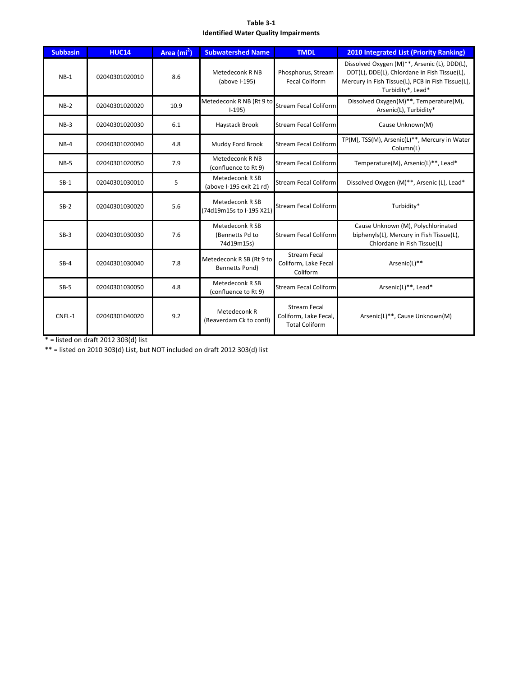### **Table 3-1 Identified Water Quality Impairments**

| <b>Subbasin</b> | <b>HUC14</b>   | Area (mi <sup>2</sup> ) | <b>Subwatershed Name</b>                          | <b>TMDL</b>                                                           | <b>2010 Integrated List (Priority Ranking)</b>                                                                                                                         |
|-----------------|----------------|-------------------------|---------------------------------------------------|-----------------------------------------------------------------------|------------------------------------------------------------------------------------------------------------------------------------------------------------------------|
| $NB-1$          | 02040301020010 | 8.6                     | Metedeconk R NB<br>(above I-195)                  | Phosphorus, Stream<br><b>Fecal Coliform</b>                           | Dissolved Oxygen (M)**, Arsenic (L), DDD(L),<br>DDT(L), DDE(L), Chlordane in Fish Tissue(L),<br>Mercury in Fish Tissue(L), PCB in Fish Tissue(L),<br>Turbidity*, Lead* |
| $NB-2$          | 02040301020020 | 10.9                    | Metedeconk R NB (Rt 9 to<br>$1-195$               | Stream Fecal Coliform                                                 | Dissolved Oxygen(M)**, Temperature(M),<br>Arsenic(L), Turbidity*                                                                                                       |
| $NB-3$          | 02040301020030 | 6.1                     | Haystack Brook                                    | <b>Stream Fecal Coliform</b>                                          | Cause Unknown(M)                                                                                                                                                       |
| $NB-4$          | 02040301020040 | 4.8                     | Muddy Ford Brook                                  | <b>Stream Fecal Coliform</b>                                          | TP(M), TSS(M), Arsenic(L)**, Mercury in Water<br>Column(L)                                                                                                             |
| $NB-5$          | 02040301020050 | 7.9                     | Metedeconk R NB<br>(confluence to Rt 9)           | <b>Stream Fecal Coliform</b>                                          | Temperature(M), Arsenic(L)**, Lead*                                                                                                                                    |
| $SB-1$          | 02040301030010 | 5                       | Metedeconk R SB<br>(above I-195 exit 21 rd)       | <b>Stream Fecal Coliform</b>                                          | Dissolved Oxygen (M)**, Arsenic (L), Lead*                                                                                                                             |
| $SB-2$          | 02040301030020 | 5.6                     | Metedeconk R SB<br>(74d19m15s to I-195 X21)       | <b>Stream Fecal Coliform</b>                                          | Turbidity*                                                                                                                                                             |
| $SB-3$          | 02040301030030 | 7.6                     | Metedeconk R SB<br>(Bennetts Pd to<br>74d19m15s)  | <b>Stream Fecal Coliform</b>                                          | Cause Unknown (M), Polychlorinated<br>biphenyls(L), Mercury in Fish Tissue(L),<br>Chlordane in Fish Tissue(L)                                                          |
| $SB-4$          | 02040301030040 | 7.8                     | Metedeconk R SB (Rt 9 to<br><b>Bennetts Pond)</b> | <b>Stream Fecal</b><br>Coliform, Lake Fecal<br>Coliform               | Arsenic(L)**                                                                                                                                                           |
| $SB-5$          | 02040301030050 | 4.8                     | Metedeconk R SB<br>(confluence to Rt 9)           | <b>Stream Fecal Coliform</b>                                          | Arsenic(L)**, Lead*                                                                                                                                                    |
| CNFL-1          | 02040301040020 | 9.2                     | Metedeconk R<br>(Beaverdam Ck to confl)           | <b>Stream Fecal</b><br>Coliform, Lake Fecal,<br><b>Total Coliform</b> | Arsenic(L)**, Cause Unknown(M)                                                                                                                                         |

 $*$  = listed on draft 2012 303(d) list

\*\* = listed on 2010 303(d) List, but NOT included on draft 2012 303(d) list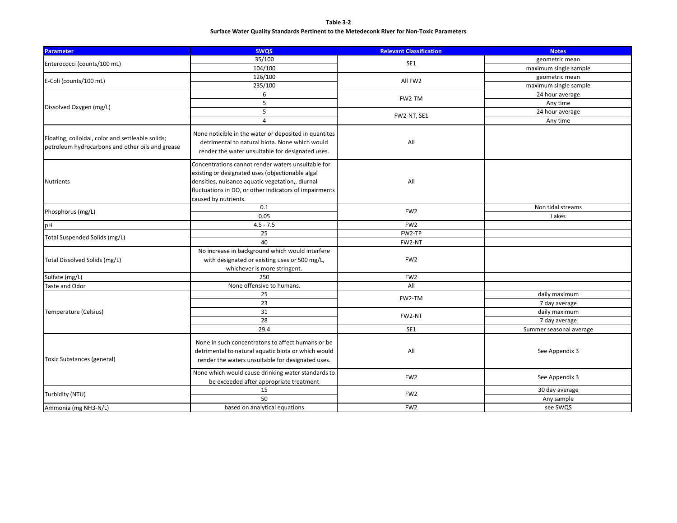### **Table 3-2 Surface Water Quality Standards Pertinent to the Metedeconk River for Non-Toxic Parameters**

| <b>Parameter</b>                                                                                      | <b>SWQS</b>                                                                                                                                                                                                                                  | <b>Relevant Classification</b> | <b>Notes</b>                   |  |
|-------------------------------------------------------------------------------------------------------|----------------------------------------------------------------------------------------------------------------------------------------------------------------------------------------------------------------------------------------------|--------------------------------|--------------------------------|--|
|                                                                                                       | 35/100                                                                                                                                                                                                                                       | SE1                            | geometric mean                 |  |
| Enterococci (counts/100 mL)                                                                           | 104/100                                                                                                                                                                                                                                      |                                | maximum single sample          |  |
|                                                                                                       | 126/100                                                                                                                                                                                                                                      |                                | geometric mean                 |  |
| E-Coli (counts/100 mL)                                                                                | 235/100                                                                                                                                                                                                                                      | All FW2                        | maximum single sample          |  |
|                                                                                                       | 6                                                                                                                                                                                                                                            | FW2-TM                         | 24 hour average                |  |
|                                                                                                       | 5                                                                                                                                                                                                                                            |                                | Any time                       |  |
| Dissolved Oxygen (mg/L)                                                                               | 5                                                                                                                                                                                                                                            | FW2-NT, SE1                    | 24 hour average                |  |
|                                                                                                       | $\overline{4}$                                                                                                                                                                                                                               |                                | Any time                       |  |
| Floating, colloidal, color and settleable solids;<br>petroleum hydrocarbons and other oils and grease | None noticible in the water or deposited in quantites<br>detrimental to natural biota. None which would<br>render the water unsuitable for designated uses.                                                                                  | All                            |                                |  |
| Nutrients                                                                                             | Concentrations cannot render waters unsuitable for<br>existing or designated uses (objectionable algal<br>densities, nuisance aquatic vegetation,, diurnal<br>fluctuations in DO, or other indicators of impairments<br>caused by nutrients. | All                            |                                |  |
| Phosphorus (mg/L)                                                                                     | 0.1                                                                                                                                                                                                                                          | FW <sub>2</sub>                | Non tidal streams              |  |
|                                                                                                       | 0.05                                                                                                                                                                                                                                         |                                | Lakes                          |  |
| pH                                                                                                    | $4.5 - 7.5$                                                                                                                                                                                                                                  | FW <sub>2</sub>                |                                |  |
| Total Suspended Solids (mg/L)                                                                         | 25                                                                                                                                                                                                                                           | FW2-TP                         |                                |  |
|                                                                                                       | 40                                                                                                                                                                                                                                           | FW2-NT                         |                                |  |
| Total Dissolved Solids (mg/L)                                                                         | No increase in background which would interfere<br>with designated or existing uses or 500 mg/L,<br>whichever is more stringent.                                                                                                             | FW <sub>2</sub>                |                                |  |
| Sulfate (mg/L)                                                                                        | 250                                                                                                                                                                                                                                          | FW <sub>2</sub>                |                                |  |
| Taste and Odor                                                                                        | None offensive to humans.                                                                                                                                                                                                                    | All                            |                                |  |
|                                                                                                       | 25<br>23                                                                                                                                                                                                                                     | FW2-TM                         | daily maximum<br>7 day average |  |
| Temperature (Celsius)                                                                                 | 31<br>28                                                                                                                                                                                                                                     | FW2-NT                         | daily maximum<br>7 day average |  |
|                                                                                                       | 29.4                                                                                                                                                                                                                                         | SE1                            | Summer seasonal average        |  |
| <b>Toxic Substances (general)</b>                                                                     | None in such concentratons to affect humans or be<br>detrimental to natural aquatic biota or which would<br>render the waters unsuitable for designated uses.                                                                                | All                            | See Appendix 3                 |  |
|                                                                                                       | None which would cause drinking water standards to<br>be exceeded after appropriate treatment                                                                                                                                                | FW <sub>2</sub>                | See Appendix 3                 |  |
| Turbidity (NTU)                                                                                       | 15                                                                                                                                                                                                                                           | FW <sub>2</sub>                | 30 day average                 |  |
|                                                                                                       | 50                                                                                                                                                                                                                                           |                                | Any sample                     |  |
| Ammonia (mg NH3-N/L)                                                                                  | based on analytical equations                                                                                                                                                                                                                | FW <sub>2</sub>                | see SWQS                       |  |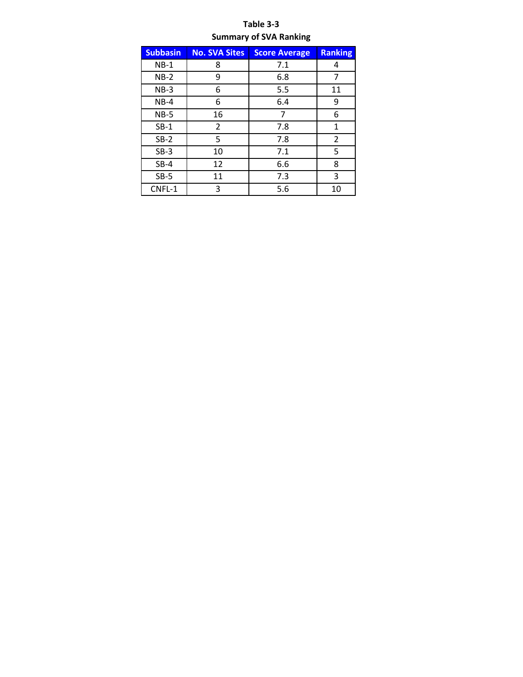## **Table 3-3 Summary of SVA Ranking**

| <b>Subbasin</b> | <b>No. SVA Sites</b> | <b>Score Average</b> | <b>Ranking</b> |
|-----------------|----------------------|----------------------|----------------|
| $NB-1$          | 8                    | 7.1                  | 4              |
| $NB-2$          | 9                    | 6.8                  | 7              |
| $NB-3$          | 6                    | 5.5                  | 11             |
| $NB-4$          | 6                    | 6.4                  | 9              |
| $NB-5$          | 16                   | 7                    | 6              |
| $SB-1$          | 2                    | 7.8                  | 1              |
| $SB-2$          | 5                    | 7.8                  | 2              |
| $SB-3$          | 10                   | 7.1                  | 5              |
| $SB-4$          | 12                   | 6.6                  | 8              |
| $SB-5$          | 11                   | 7.3                  | 3              |
| CNFL-1          | 3                    | 5.6                  | 10             |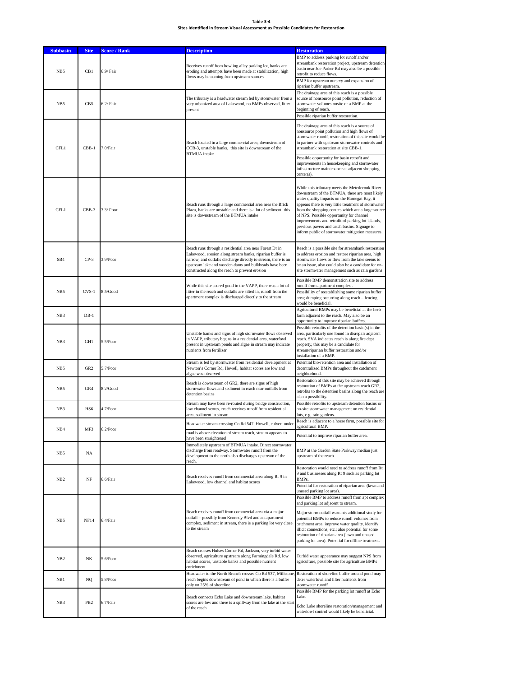#### **Table 3-4 Sites Identified in Stream Visual Assessment as Possible Candidates for Restoration**

| <b>Subbasin</b> | <b>Site</b>     | <b>Score / Rank</b> | <b>Description</b>                                                                                                                                                                                                                                                                               | <b>Restoration</b>                                                                                                                                                                                                                                                                                                                                                                                                                                                    |  |
|-----------------|-----------------|---------------------|--------------------------------------------------------------------------------------------------------------------------------------------------------------------------------------------------------------------------------------------------------------------------------------------------|-----------------------------------------------------------------------------------------------------------------------------------------------------------------------------------------------------------------------------------------------------------------------------------------------------------------------------------------------------------------------------------------------------------------------------------------------------------------------|--|
| NB5             | CB1             | 6.9/ Fair           | Receives runoff from bowling alley parking lot, banks are<br>eroding and attempts have been made at stabilization, high<br>flows may be coming from upstream sources                                                                                                                             | BMP to address parking lot runoff and/or<br>streambank restoration project, upstream detention<br>basin near Joe Parker Rd may also be a possible<br>retrofit to reduce flows.<br>BMP for upstream nursery and expansion of<br>riparian buffer upstream.                                                                                                                                                                                                              |  |
| NB5             | CB5             | $6.2/$ Fair         | The tributary is a headwater stream fed by stormwater from a<br>very urbanized area of Lakewood, no BMPs observed, litter<br>present                                                                                                                                                             | The drainage area of this reach is a possible<br>source of nonsource point pollution, reduction of<br>stormwater volumes onsite or a BMP at the<br>beginning of reach.<br>Possible riparian buffer restoration.                                                                                                                                                                                                                                                       |  |
| CFL1            | $CBB-1$         | 7.0/Fair            | Reach located in a large commercial area, downstream of<br>CCB-3, unstable banks, this site is downstream of the<br><b>BTMUA</b> intake                                                                                                                                                          | The drainage area of this reach is a source of<br>nonsource point pollution and high flows of<br>stormwater runoff, restoration of this site would be<br>in partner with upstream stormwater controls and<br>streambank restoration at site CBB-1.                                                                                                                                                                                                                    |  |
|                 |                 |                     |                                                                                                                                                                                                                                                                                                  | Possible opportunity for basin retrofit and<br>improvements in housekeeping and stormwater<br>infrastructure maintenance at adjacent shopping<br>center(s).                                                                                                                                                                                                                                                                                                           |  |
| CFL1            | CBB-3           | $3.3/$ Poor         | Reach runs through a large commercial area near the Brick<br>Plaza, banks are unstable and there is a lot of sediment, this<br>site is downstream of the BTMUA intake                                                                                                                            | While this tributary meets the Metedeconk River<br>downstream of the BTMUA, there are most likely<br>water quality impacts on the Barnegat Bay, it<br>appears there is very little treatment of stormwater<br>from the shopping centers which are a large source<br>of NPS. Possible opportunity for channel<br>improvements and retrofit of parking lot islands,<br>pervious pavers and catch basins. Signage to<br>inform public of stormwater mitigation measures. |  |
| SB4             | $CP-3$          | 3.9/Poor            | Reach runs through a residential area near Forest Dr in<br>Lakewood, erosion along stream banks, riparian buffer is<br>narrow, and outfalls discharge directly to stream, there is an<br>upstream lake and wooden dams and bulkheads have been<br>constructed along the reach to prevent erosion | Reach is a possible site for streambank restoration<br>to address erosion and restore riparian area, high<br>stormwater flows or flow from the lake seems to<br>be an issue, also could also be a candidate for on-<br>site stormwater management such as rain gardens                                                                                                                                                                                                |  |
| NB5             | CVS-1           | 8.5/Good            | While this site scored good in the VAPP, there was a lot of<br>litter in the reach and outfalls are silted in, runoff from the<br>apartment complex is discharged directly to the stream                                                                                                         | Possible BMP demonstration site to address<br>unoff from apartment complex<br>Possibility of reestablishing some riparian buffer<br>area; dumping occurring along reach - fencing<br>would be beneficial.                                                                                                                                                                                                                                                             |  |
| NB <sub>3</sub> | $DB-1$          |                     |                                                                                                                                                                                                                                                                                                  | Agricultural BMPs may be beneficial at the herb<br>farm adjacent to the reach. May also be an<br>opportunity to improve riparian buffers                                                                                                                                                                                                                                                                                                                              |  |
| NB <sub>3</sub> | GH1             | 5.5/Poor            | Unstable banks and signs of high stormwater flows observed<br>in VAPP, tributary begins in a residential area, waterfowl<br>present in upstream ponds and algae in stream may indicate<br>nutrients from fertilizer                                                                              | Possible retrofits of the detention basin(s) in the<br>area, particularly one found in disrepair adjacent<br>reach. SVA indicates reach is along fire dept<br>property, this may be a candidate for<br>stream/riparian buffer restoration and/or<br>installation of a BMP.                                                                                                                                                                                            |  |
| NB5             | GR <sub>2</sub> | 5.7/Poor            | Stream is fed by stormwater from residential development at<br>Newton's Corner Rd, Howell, habitat scores are low and<br>algae was observed                                                                                                                                                      | Potential bio-retention area and installation of<br>decentralized BMPs throughout the catchment<br>neighborhood.                                                                                                                                                                                                                                                                                                                                                      |  |
| NB5             | GR4             | 8.2/Good            | Reach is downstream of GR2, there are signs of high<br>stormwater flows and sediment in reach near outfalls from<br>detention basins                                                                                                                                                             | Restoration of this site may be achieved through<br>restoration of BMPs at the upstream reach GR2,<br>retrofits to the detention basins along the reach are<br>also a possibility.                                                                                                                                                                                                                                                                                    |  |
| NB <sub>3</sub> | HS6             | 4.7/Poor            | Stream may have been re-routed during bridge construction,<br>low channel scores, reach receives runoff from residential<br>area, sediment in stream                                                                                                                                             | Possible retrofits to upstream detention basins or<br>on-site stormwater management on residential<br>lots, e.g. rain gardens.                                                                                                                                                                                                                                                                                                                                        |  |
| NB4             | MF3             | $6.2$ /Poor         | Headwater stream crossing Co Rd 547, Howell, culvert under<br>road is above elevation of stream reach, stream appears to                                                                                                                                                                         | Reach is adjacent to a horse farm, possible site for<br>ericultural RMP                                                                                                                                                                                                                                                                                                                                                                                               |  |
|                 |                 |                     | have been straightened<br>Immediately upstream of BTMUA intake. Direct stormwater                                                                                                                                                                                                                | Potential to improve riparian buffer area.                                                                                                                                                                                                                                                                                                                                                                                                                            |  |
| NB <sub>5</sub> | NA              |                     | discharge from roadway. Stormwater runoff from the<br>development to the north also discharges upstream of the<br>reach.                                                                                                                                                                         | BMP at the Garden State Parkway median just<br>upstream of the reach.                                                                                                                                                                                                                                                                                                                                                                                                 |  |
| NB <sub>2</sub> | $_{\rm NF}$     | 6.6/Fair            | Reach receives runoff from commercial area along Rt 9 in<br>Lakewood, low channel and habitat scores                                                                                                                                                                                             | Restoration would need to address runoff from Rt<br>9 and businesses along Rt 9 such as parking lot<br>BMPs.<br>Potential for restoration of riparian area (lawn and<br>unused parking lot area).                                                                                                                                                                                                                                                                     |  |
| NB5             | <b>NF14</b>     | 6.4/Fair            | Reach receives runoff from commercial area via a major<br>outfall - possibly from Kennedy Blvd and an apartment<br>complex, sediment in stream, there is a parking lot very close<br>to the stream                                                                                               | Possible BMP to address runoff from apt complex<br>and parking lot adjacent to stream.<br>Major storm outfall warrants additional study for<br>potential BMPs to reduce runoff volumes from<br>catchment area, improve water quality, identify<br>illicit connections, etc.; also potential for some<br>restoration of riparian area (lawn and unused<br>parking lot area). Potential for offline treatment.                                                          |  |
| NB <sub>2</sub> | NK              | 5.6/Poor            | Reach crosses Hulses Corner Rd, Jackson, very turbid water<br>observed, agriculture upstream along Farmingdale Rd, low<br>habitat scores, unstable banks and possible nutrient<br>enrichment                                                                                                     | Turbid water appearance may suggest NPS from<br>agriculture, possible site for agriculture BMPs                                                                                                                                                                                                                                                                                                                                                                       |  |
| NB1             | NQ              | 5.8/Poor            | Headwater to the North Branch crosses Co Rd 537, Millstone.<br>reach begins downstream of pond in which there is a buffer<br>only on 25% of shoreline                                                                                                                                            | Restoration of shoreline buffer around pond may<br>deter waterfowl and filter nutrients from<br>stormwater runoff.                                                                                                                                                                                                                                                                                                                                                    |  |
|                 |                 |                     | Reach connects Echo Lake and downstream lake, habitat                                                                                                                                                                                                                                            | Possible BMP for the parking lot runoff at Echo<br>Lake.                                                                                                                                                                                                                                                                                                                                                                                                              |  |
| NB <sub>3</sub> | PB <sub>2</sub> | 6.7/Fair            | scores are low and there is a spillway from the lake at the start<br>of the reach                                                                                                                                                                                                                | Echo Lake shoreline restoration/management and<br>waterfowl control would likely be beneficial.                                                                                                                                                                                                                                                                                                                                                                       |  |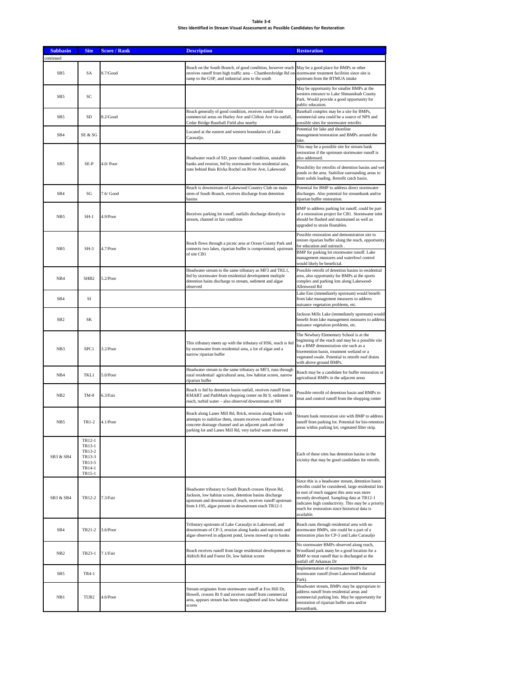# **Table 3-4 Sites Identified in Stream Visual Assessment as Possible Candidates for Restoration**

| <b>Subbasin</b> | <b>Site</b>                                                        | <b>Score / Rank</b> | <b>Description</b>                                                                                                                                                                                                                              | <b>Restoration</b>                                                                                                                                                                                                                                                                                                              |
|-----------------|--------------------------------------------------------------------|---------------------|-------------------------------------------------------------------------------------------------------------------------------------------------------------------------------------------------------------------------------------------------|---------------------------------------------------------------------------------------------------------------------------------------------------------------------------------------------------------------------------------------------------------------------------------------------------------------------------------|
| ontinued        |                                                                    |                     | Reach on the South Branch, of good condition, however reach                                                                                                                                                                                     |                                                                                                                                                                                                                                                                                                                                 |
| SB <sub>5</sub> | SA                                                                 | 8.7/Good            | receives runoff from high traffic area – Chambersbridge Rd on<br>ramp to the GSP, and industrial area to the south                                                                                                                              | May be a good place for BMPs or other<br>stormwater treatment facilities since site is<br>upstream from the BTMUA intake                                                                                                                                                                                                        |
| SB5             | SC                                                                 |                     |                                                                                                                                                                                                                                                 | May be opportunity for smaller BMPs at the<br>western entrance to Lake Shenandoah County<br>Park. Would provide a good opportunity for<br>public education.                                                                                                                                                                     |
| SB5             | SD                                                                 | 8.2/Good            | Reach generally of good condition, receives runoff from<br>commercial areas on Hurley Ave and Clifton Ave via outfall,<br>Cedar Bridge Baseball Field also nearby                                                                               | Baseball complex may be a site for BMPs,<br>commercial area could be a source of NPS and<br>possible sites for stormwater retrofits                                                                                                                                                                                             |
| SB4             | SE & SG                                                            |                     | Located at the eastern and western boundaries of Lake<br>Carasaljo.                                                                                                                                                                             | Potential for lake and shoreline<br>management/restoration and BMPs around the<br>lake.                                                                                                                                                                                                                                         |
| SB <sub>5</sub> | SE-P                                                               | $4.0/$ Poor         | Headwater reach of SD, poor channel condition, unstable<br>banks and erosion, fed by stormwater from residential area,                                                                                                                          | This may be a possible site for stream bank<br>restoration if the upstream stormwater runoff is<br>also addressed.                                                                                                                                                                                                              |
|                 |                                                                    |                     | runs behind Bais Rivka Rochel on River Ave, Lakewood                                                                                                                                                                                            | Possibility for retrofits of detention basins and wet<br>ponds in the area. Stabilize surrounding areas to<br>limit solids loading. Retrofit catch basin.                                                                                                                                                                       |
| SB <sub>4</sub> | SG                                                                 | 7.6/ Good           | Reach is downstream of Lakewood Country Club on main<br>stem of South Branch, receives discharge from detention<br>basins                                                                                                                       | Potential for BMP to address direct stormwater<br>discharges. Also potential for streambank and/or<br>riparian buffer restoration.                                                                                                                                                                                              |
| NB <sub>5</sub> | SH-1                                                               | 4.9/Poor            | Receives parking lot runoff, outfalls discharge directly to<br>stream, channel in fair condition                                                                                                                                                | BMP to address parking lot runoff, could be part<br>of a restoration project for CB1. Stormwater inlet<br>should be flushed and maintained as well as<br>upgraded to strain floatables.                                                                                                                                         |
| NB5             | SH-3                                                               | 4.7/Poor            | Reach flows through a picnic area at Ocean County Park and<br>connects two lakes, riparian buffer is compromised, upstream                                                                                                                      | Possible restoration and demonstration site to<br>restore riparian buffer along the reach, opportunity<br>for education and outreach.                                                                                                                                                                                           |
|                 |                                                                    |                     | of site CB1                                                                                                                                                                                                                                     | BMP for parking lot stormwater runoff. Lake<br>management measures and waterfowl control<br>would likely be beneficial.                                                                                                                                                                                                         |
| NB4             | SHB <sub>2</sub>                                                   | 5.2/Poor            | Headwater stream to the same tributary as MF3 and TKL1,<br>fed by stormwater from residential development multiple<br>detention bains discharge to stream, sediment and algae<br>observed                                                       | Possible retrofit of detention basins in residential<br>area, also opportunity for BMPs at the sports<br>complex and parking lots along Lakewood-<br>Allenwood Rd                                                                                                                                                               |
| SB <sub>4</sub> | SI                                                                 |                     |                                                                                                                                                                                                                                                 | Lake Eno (immediately upstream) would benefit<br>from lake management measures to address<br>nuisance vegetation problems, etc.                                                                                                                                                                                                 |
| SB <sub>2</sub> | SK                                                                 |                     |                                                                                                                                                                                                                                                 | Jackson Mills Lake (immediately upstream) would<br>benefit from lake management measures to address<br>nuisance vegetation problems, etc.                                                                                                                                                                                       |
| NB <sub>3</sub> | SPC1                                                               | $3.2$ /Poor         | This tributary meets up with the tributary of HS6, reach is fed<br>by stormwater from residential area, a lot of algae and a<br>narrow riparian buffer                                                                                          | The Newbury Elementary School is at the<br>beginning of the reach and may be a possible site<br>for a BMP demonstration site such as a<br>bioretention basin, treatment wetland or a<br>vegetated swale. Potential to retrofit roof drains<br>with above ground BMPs.                                                           |
| NB4             | <b>TKL1</b>                                                        | $5.0$ /Poor         | Headwater stream to the same tributary as MF3, runs through<br>rural residential/agricultural area, low habitat scores, narrow<br>riparian buffer                                                                                               | Reach may be a candidate for buffer restoration or<br>agricultural BMPs in the adjacent areas                                                                                                                                                                                                                                   |
| NB <sub>2</sub> | $TM-8$                                                             | 6.3/Fair            | Reach is fed by detention basin outfall, receives runoff from<br>KMART and PathMark shopping center on Rt 9, sediment in<br>reach, turbid water - also observed downstream at NH                                                                | Possible retrofit of detention basin and BMPs to<br>treat and control runoff from the shopping center                                                                                                                                                                                                                           |
| NB5             | TR1-2                                                              | 4.1/Poor            | Reach along Lanes Mill Rd, Brick, erosion along banks with<br>attempts to stabilize them, stream receives runoff from a<br>concrete drainage channel and an adjacent park and ride<br>parking lot and Lanes Mill Rd, very turbid water observed | Stream bank restoration site with BMP to address<br>runoff from parking lot. Potential for bio-retention<br>areas within parking lot; vegetated filter strip.                                                                                                                                                                   |
| SB3 & SB4       | TR12-1<br>TR13-1<br>TR13-2<br>TR13-3<br>TR13-5<br>TR14-1<br>TR15-1 |                     |                                                                                                                                                                                                                                                 | Each of these sites has detention basins in the<br>vicinity that may be good candidates for retrofit.                                                                                                                                                                                                                           |
| SB3 & SB4       | TR12-2                                                             | 7.3/Fair            | Headwater tributary to South Branch crosses Hyson Rd,<br>Jackson, low habitat scores, detention basins discharge<br>upstream and downstream of reach, receives runoff upstream<br>from I-195, algae present in downstream reach TR12-1          | Since this is a headwater stream, detention basin<br>retrofits could be considered, large residential lots<br>to east of reach suggest this area was more<br>recently developed. Sampling data at TR12-1<br>indicates high conductivity. This may be a priority<br>reach for restoration since historical data is<br>available. |
| SB4             | TR21-2                                                             | $3.6$ /Poor         | Tributary upstream of Lake Carasaljo in Lakewood, and<br>downstream of CP-3, erosion along banks and nutrients and<br>algae observed in adjacent pond, lawns mowed up to banks                                                                  | Reach runs through residential area with no<br>stormwater BMPs, site could be a part of a<br>restoration plan for CP-3 and Lake Carasaljo                                                                                                                                                                                       |
| NB <sub>2</sub> | TR23-1                                                             | 7.1/Fair            | Reach receives runoff from large residential development on<br>Aldrich Rd and Forest Dr, low habitat scores                                                                                                                                     | No stormwater BMPs observed along reach,<br>Woodland park many be a good location for a<br>BMP to treat runoff that is discharged at the<br>outfall off Arkansas Dr<br>Implementation of stormwater BMPs for                                                                                                                    |
| SB5             | TR4-1                                                              |                     |                                                                                                                                                                                                                                                 | stormwater runoff (from Lakewood Industrial<br>Park).<br>Headwater stream, BMPs may be appropriate to                                                                                                                                                                                                                           |
| NB1             | TUR <sub>2</sub>                                                   | 4.6/Poor            | Stream originates from stormwater runoff at Fox Hill Dr,<br>Howell, crosses Rt 9 and receives runoff from commercial<br>area, appears stream has been straightened and low habitat<br>scores                                                    | address runoff from residential areas and<br>commercial parking lots. May be opportunity for<br>restoration of riparian buffer area and/or<br>streambank.                                                                                                                                                                       |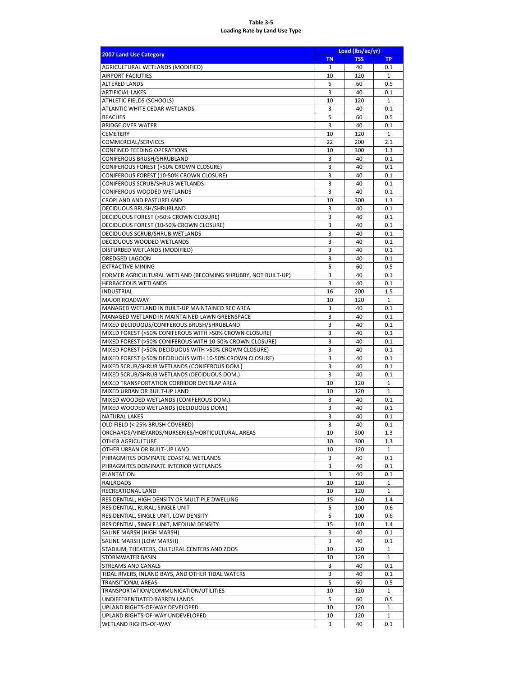### **Table 3-5 Loading Rate by Land Use Type**

| <b>2007 Land Use Category</b>                                                             | Load (lbs/ac/yr)                     |            |              |  |  |
|-------------------------------------------------------------------------------------------|--------------------------------------|------------|--------------|--|--|
|                                                                                           | <b>TSS</b><br><b>TN</b><br><b>TP</b> |            |              |  |  |
| AGRICULTURAL WETLANDS (MODIFIED)                                                          | 3                                    | 40         | 0.1          |  |  |
| <b>AIRPORT FACILITIES</b>                                                                 | 10                                   | 120        | 1            |  |  |
| <b>ALTERED LANDS</b><br>ARTIFICIAL LAKES                                                  | 5<br>3                               | 60<br>40   | 0.5<br>0.1   |  |  |
| ATHLETIC FIELDS (SCHOOLS)                                                                 | 10                                   | 120        | $\mathbf{1}$ |  |  |
| ATLANTIC WHITE CEDAR WETLANDS                                                             | 3                                    | 40         | 0.1          |  |  |
| <b>BEACHES</b>                                                                            | 5                                    | 60         | 0.5          |  |  |
| <b>BRIDGE OVER WATER</b>                                                                  | 3                                    | 40         | 0.1          |  |  |
| <b>CEMETERY</b>                                                                           | 10                                   | 120        | $\mathbf{1}$ |  |  |
| COMMERCIAL/SERVICES                                                                       | 22                                   | 200        | 2.1          |  |  |
| CONFINED FEEDING OPERATIONS                                                               | 10                                   | 300        | 1.3          |  |  |
| CONIFEROUS BRUSH/SHRUBLAND                                                                | 3                                    | 40         | 0.1          |  |  |
| CONIFEROUS FOREST (>50% CROWN CLOSURE)                                                    | 3                                    | 40         | 0.1          |  |  |
| CONIFEROUS FOREST (10-50% CROWN CLOSURE)                                                  | 3                                    | 40         | 0.1          |  |  |
| CONIFEROUS SCRUB/SHRUB WETLANDS                                                           | 3                                    | 40         | 0.1          |  |  |
| CONIFEROUS WOODED WETLANDS                                                                | 3                                    | 40         | 0.1          |  |  |
| CROPLAND AND PASTURELAND                                                                  | 10                                   | 300        | 1.3          |  |  |
| DECIDUOUS BRUSH/SHRUBLAND                                                                 | 3                                    | 40         | 0.1          |  |  |
| DECIDUOUS FOREST (>50% CROWN CLOSURE)<br>DECIDUOUS FOREST (10-50% CROWN CLOSURE)          | 3<br>3                               | 40<br>40   | 0.1<br>0.1   |  |  |
| DECIDUOUS SCRUB/SHRUB WETLANDS                                                            | 3                                    | 40         | 0.1          |  |  |
| <b>DECIDUOUS WOODED WETLANDS</b>                                                          | 3                                    | 40         | 0.1          |  |  |
| DISTURBED WETLANDS (MODIFIED)                                                             | 3                                    | 40         | 0.1          |  |  |
| DREDGED LAGOON                                                                            | 3                                    | 40         | 0.1          |  |  |
| <b>EXTRACTIVE MINING</b>                                                                  | 5                                    | 60         | 0.5          |  |  |
| FORMER AGRICULTURAL WETLAND (BECOMING SHRUBBY, NOT BUILT-UP)                              | 3                                    | 40         | 0.1          |  |  |
| <b>HERBACEOUS WETLANDS</b>                                                                | 3                                    | 40         | 0.1          |  |  |
| <b>INDUSTRIAL</b>                                                                         | 16                                   | 200        | 1.5          |  |  |
| <b>MAJOR ROADWAY</b>                                                                      | 10                                   | 120        | 1            |  |  |
| MANAGED WETLAND IN BUILT-UP MAINTAINED REC AREA                                           | 3                                    | 40         | 0.1          |  |  |
| MANAGED WETLAND IN MAINTAINED LAWN GREENSPACE                                             | 3                                    | 40         | 0.1          |  |  |
| MIXED DECIDUOUS/CONIFEROUS BRUSH/SHRUBLAND                                                | 3                                    | 40         | 0.1          |  |  |
| MIXED FOREST (>50% CONIFEROUS WITH >50% CROWN CLOSURE)                                    | 3                                    | 40         | 0.1          |  |  |
| MIXED FOREST (>50% CONIFEROUS WITH 10-50% CROWN CLOSURE)                                  | 3                                    | 40         | 0.1          |  |  |
| MIXED FOREST (>50% DECIDUOUS WITH >50% CROWN CLOSURE)                                     | 3                                    | 40         | 0.1          |  |  |
| MIXED FOREST (>50% DECIDUOUS WITH 10-50% CROWN CLOSURE)                                   | 3                                    | 40         | 0.1          |  |  |
| MIXED SCRUB/SHRUB WETLANDS (CONIFEROUS DOM.)                                              | 3<br>3                               | 40<br>40   | 0.1<br>0.1   |  |  |
| MIXED SCRUB/SHRUB WETLANDS (DECIDUOUS DOM.)<br>MIXED TRANSPORTATION CORRIDOR OVERLAP AREA | 10                                   | 120        | $\mathbf{1}$ |  |  |
| MIXED URBAN OR BUILT-UP LAND                                                              | 10                                   | 120        | 1            |  |  |
| MIXED WOODED WETLANDS (CONIFEROUS DOM.)                                                   | 3                                    | 40         | 0.1          |  |  |
| MIXED WOODED WETLANDS (DECIDUOUS DOM.)                                                    | 3                                    | 40         | 0.1          |  |  |
| NATURAL LAKES                                                                             | 3                                    | 40         | 0.1          |  |  |
| OLD FIELD (< 25% BRUSH COVERED)                                                           | 3                                    | 40         | 0.1          |  |  |
| ORCHARDS/VINEYARDS/NURSERIES/HORTICULTURAL AREAS                                          | 10                                   | 300        | 1.3          |  |  |
| OTHER AGRICULTURE                                                                         | 10                                   | 300        | 1.3          |  |  |
| OTHER URBAN OR BUILT-UP LAND                                                              | 10                                   | 120        | 1            |  |  |
| PHRAGMITES DOMINATE COASTAL WETLANDS                                                      | 3                                    | 40         | 0.1          |  |  |
| PHRAGMITES DOMINATE INTERIOR WETLANDS                                                     | 3                                    | 40         | 0.1          |  |  |
| <b>PLANTATION</b>                                                                         | 3                                    | 40         | 0.1          |  |  |
| RAILROADS                                                                                 | 10                                   | 120        | $\mathbf{1}$ |  |  |
| RECREATIONAL LAND                                                                         | 10                                   | 120        | $\mathbf{1}$ |  |  |
| RESIDENTIAL, HIGH DENSITY OR MULTIPLE DWELLING<br>RESIDENTIAL, RURAL, SINGLE UNIT         | 15<br>5                              | 140<br>100 | 1.4<br>0.6   |  |  |
| RESIDENTIAL, SINGLE UNIT, LOW DENSITY                                                     | 5                                    | 100        | 0.6          |  |  |
| RESIDENTIAL, SINGLE UNIT, MEDIUM DENSITY                                                  | 15                                   | 140        | 1.4          |  |  |
| SALINE MARSH (HIGH MARSH)                                                                 | 3                                    | 40         | 0.1          |  |  |
| SALINE MARSH (LOW MARSH)                                                                  | 3                                    | 40         | 0.1          |  |  |
| STADIUM, THEATERS, CULTURAL CENTERS AND ZOOS                                              | 10                                   | 120        | 1            |  |  |
| STORMWATER BASIN                                                                          | 10                                   | 120        | $\mathbf{1}$ |  |  |
| STREAMS AND CANALS                                                                        | 3                                    | 40         | 0.1          |  |  |
| TIDAL RIVERS, INLAND BAYS, AND OTHER TIDAL WATERS                                         | 3                                    | 40         | 0.1          |  |  |
| <b>TRANSITIONAL AREAS</b>                                                                 | 5                                    | 60         | 0.5          |  |  |
| TRANSPORTATION/COMMUNICATION/UTILITIES                                                    | 10                                   | 120        | 1            |  |  |
| UNDIFFERENTIATED BARREN LANDS                                                             | 5                                    | 60         | 0.5          |  |  |
| UPLAND RIGHTS-OF-WAY DEVELOPED                                                            | 10                                   | 120        | $\mathbf{1}$ |  |  |
| UPLAND RIGHTS-OF-WAY UNDEVELOPED                                                          | 10                                   | 120        | 1            |  |  |
| WETLAND RIGHTS-OF-WAY                                                                     | 3                                    | 40         | 0.1          |  |  |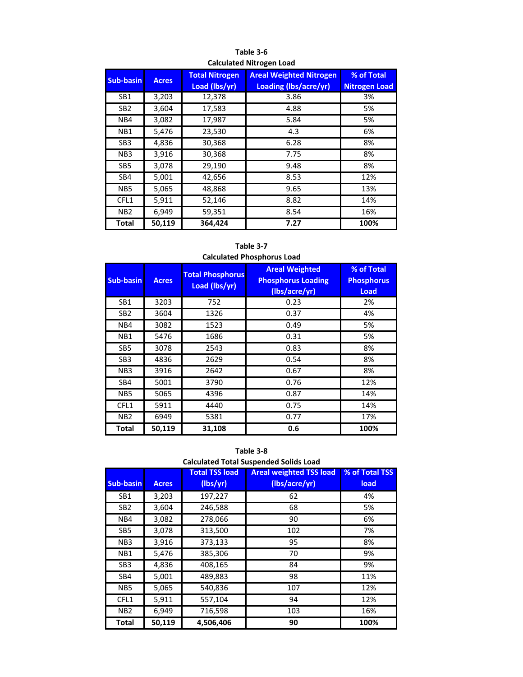| <b>Sub-basin</b> | <b>Acres</b> | <b>Total Nitrogen</b><br>Load (lbs/yr) | <b>Areal Weighted Nitrogen</b><br>Loading (lbs/acre/yr) | % of Total<br><b>Nitrogen Load</b> |
|------------------|--------------|----------------------------------------|---------------------------------------------------------|------------------------------------|
| SB1              | 3,203        | 12,378                                 | 3.86                                                    | 3%                                 |
| SB <sub>2</sub>  | 3,604        | 17,583                                 | 4.88                                                    | 5%                                 |
| N <sub>B4</sub>  | 3,082        | 17,987                                 | 5.84                                                    | 5%                                 |
| NB <sub>1</sub>  | 5,476        | 23,530                                 | 4.3                                                     | 6%                                 |
| SB <sub>3</sub>  | 4,836        | 30,368                                 | 6.28                                                    | 8%                                 |
| N <sub>B</sub> 3 | 3,916        | 30,368                                 | 7.75                                                    | 8%                                 |
| SB <sub>5</sub>  | 3,078        | 29,190                                 | 9.48                                                    | 8%                                 |
| SB4              | 5,001        | 42,656                                 | 8.53                                                    | 12%                                |
| NB <sub>5</sub>  | 5,065        | 48,868                                 | 9.65                                                    | 13%                                |
| CFL1             | 5,911        | 52,146                                 | 8.82                                                    | 14%                                |
| N <sub>B</sub> 2 | 6,949        | 59,351                                 | 8.54                                                    | 16%                                |
| <b>Total</b>     | 50,119       | 364.424                                | 7.27                                                    | 100%                               |

**Table 3-6 Calculated Nitrogen Load**

**Table 3-7 Calculated Phosphorus Load**

| <b>Sub-basin</b> | <b>Acres</b> | <b>Total Phosphorus</b><br>Load (lbs/yr) | <b>Areal Weighted</b><br><b>Phosphorus Loading</b><br>(lbs/acre/yr) | % of Total<br><b>Phosphorus</b><br><b>Load</b> |
|------------------|--------------|------------------------------------------|---------------------------------------------------------------------|------------------------------------------------|
| SB1              | 3203         | 752                                      | 0.23                                                                | 2%                                             |
| SB <sub>2</sub>  | 3604         | 1326                                     | 0.37                                                                | 4%                                             |
| NB4              | 3082         | 1523                                     | 0.49                                                                | 5%                                             |
| NB1              | 5476         | 1686                                     | 0.31                                                                | 5%                                             |
| SB <sub>5</sub>  | 3078         | 2543                                     | 0.83                                                                | 8%                                             |
| SB <sub>3</sub>  | 4836         | 2629                                     | 0.54                                                                | 8%                                             |
| NB <sub>3</sub>  | 3916         | 2642                                     | 0.67                                                                | 8%                                             |
| SB4              | 5001         | 3790                                     | 0.76                                                                | 12%                                            |
| NB <sub>5</sub>  | 5065         | 4396                                     | 0.87                                                                | 14%                                            |
| CFL1             | 5911         | 4440                                     | 0.75                                                                | 14%                                            |
| NB <sub>2</sub>  | 6949         | 5381                                     | 0.77                                                                | 17%                                            |
| Total            | 50,119       | 31,108                                   | 0.6                                                                 | 100%                                           |

**Table 3-8**

|  | <b>Calculated Total Suspended Solids Load</b> |  |
|--|-----------------------------------------------|--|
|--|-----------------------------------------------|--|

|                  |              | <b>Total TSS load</b> | <b>Areal weighted TSS load</b> | % of Total TSS |
|------------------|--------------|-----------------------|--------------------------------|----------------|
| <b>Sub-basin</b> | <b>Acres</b> | (lbs/yr)              | (lbs/acre/yr)                  | load           |
| SB <sub>1</sub>  | 3,203        | 197,227               | 62                             | 4%             |
| SB <sub>2</sub>  | 3,604        | 246,588               | 68                             | 5%             |
| N <sub>B4</sub>  | 3,082        | 278,066               | 90                             | 6%             |
| SB <sub>5</sub>  | 3,078        | 313,500               | 102                            | 7%             |
| N <sub>B</sub> 3 | 3,916        | 373,133               | 95                             | 8%             |
| NB1              | 5,476        | 385,306               | 70                             | 9%             |
| SB <sub>3</sub>  | 4,836        | 408,165               | 84                             | 9%             |
| SB4              | 5,001        | 489,883               | 98                             | 11%            |
| N <sub>B5</sub>  | 5,065        | 540,836               | 107                            | 12%            |
| CFL1             | 5,911        | 557,104               | 94                             | 12%            |
| N <sub>B2</sub>  | 6,949        | 716,598               | 103                            | 16%            |
| <b>Total</b>     | 50,119       | 4,506,406             | 90                             | 100%           |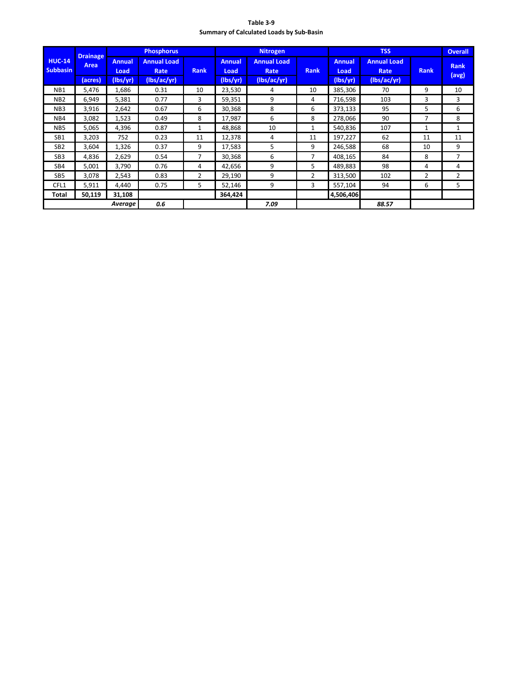| Table 3-9                                       |
|-------------------------------------------------|
| <b>Summary of Calculated Loads by Sub-Basin</b> |

|                                  | <b>Drainage</b> |                       | <b>Phosphorus</b>          |              |                       | <b>Nitrogen</b>            |                |                       | <b>TSS</b>                 |             |                      |
|----------------------------------|-----------------|-----------------------|----------------------------|--------------|-----------------------|----------------------------|----------------|-----------------------|----------------------------|-------------|----------------------|
| <b>HUC-14</b><br><b>Subbasin</b> | Area            | <b>Annual</b><br>Load | <b>Annual Load</b><br>Rate | <b>Rank</b>  | <b>Annual</b><br>Load | <b>Annual Load</b><br>Rate | <b>Rank</b>    | <b>Annual</b><br>Load | <b>Annual Load</b><br>Rate | <b>Rank</b> | <b>Rank</b><br>(avg) |
|                                  | (acres)         | (lbs/yr)              | (lbs/ac/yr)                |              | (lbs/yr)              | (lbs/ac/yr)                |                | (lbs/yr)              | (lbs/ac/yr)                |             |                      |
| NB <sub>1</sub>                  | 5,476           | 1,686                 | 0.31                       | 10           | 23,530                | 4                          | 10             | 385,306               | 70                         | 9           | 10                   |
| NB <sub>2</sub>                  | 6,949           | 5,381                 | 0.77                       | 3            | 59,351                | 9                          | 4              | 716,598               | 103                        | 3           | 3                    |
| NB <sub>3</sub>                  | 3,916           | 2,642                 | 0.67                       | 6            | 30,368                | 8                          | 6              | 373,133               | 95                         | 5           | 6                    |
| N <sub>B4</sub>                  | 3,082           | 1,523                 | 0.49                       | 8            | 17,987                | 6                          | 8              | 278,066               | 90                         | 7           | 8                    |
| N <sub>B5</sub>                  | 5,065           | 4,396                 | 0.87                       | $\mathbf{1}$ | 48,868                | 10                         | $\mathbf{1}$   | 540,836               | 107                        | 1           | $\mathbf{1}$         |
| SB1                              | 3,203           | 752                   | 0.23                       | 11           | 12,378                | 4                          | 11             | 197,227               | 62                         | 11          | 11                   |
| SB <sub>2</sub>                  | 3,604           | 1,326                 | 0.37                       | 9            | 17,583                | 5.                         | 9              | 246,588               | 68                         | 10          | 9                    |
| SB <sub>3</sub>                  | 4,836           | 2,629                 | 0.54                       | 7            | 30,368                | 6                          | 7              | 408,165               | 84                         | 8           | 7                    |
| SB4                              | 5,001           | 3,790                 | 0.76                       | 4            | 42,656                | 9                          | 5              | 489,883               | 98                         | 4           | 4                    |
| SB <sub>5</sub>                  | 3,078           | 2,543                 | 0.83                       | 2            | 29,190                | 9                          | $\overline{2}$ | 313,500               | 102                        | 2           | 2                    |
| CFL1                             | 5,911           | 4,440                 | 0.75                       | 5            | 52,146                | 9                          | 3              | 557,104               | 94                         | 6           | 5                    |
| Total                            | 50,119          | 31,108                |                            |              | 364,424               |                            |                | 4,506,406             |                            |             |                      |
|                                  |                 | Average               | 0.6                        |              |                       | 7.09                       |                |                       | 88.57                      |             |                      |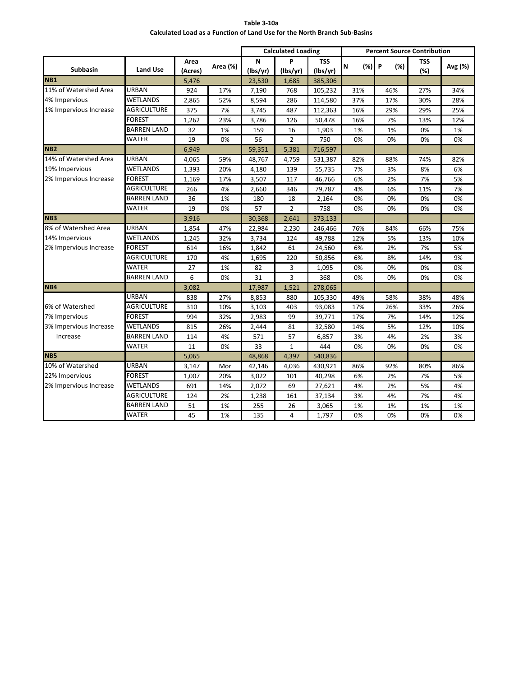| Table 3-10a                                                               |
|---------------------------------------------------------------------------|
| Calculated Load as a Function of Land Use for the North Branch Sub-Basins |

|                        |                    |         |          |          | <b>Calculated Loading</b> |          | <b>Percent Source Contribution</b> |          |            |         |
|------------------------|--------------------|---------|----------|----------|---------------------------|----------|------------------------------------|----------|------------|---------|
|                        |                    | Area    |          | N        | P                         | TSS      | (%)<br>N                           | P<br>(%) | <b>TSS</b> |         |
| <b>Subbasin</b>        | <b>Land Use</b>    | (Acres) | Area (%) | (lbs/yr) | (lbs/yr)                  | (lbs/yr) |                                    |          | (%)        | Avg (%) |
| <b>NB1</b>             |                    | 5,476   |          | 23,530   | 1,685                     | 385,306  |                                    |          |            |         |
| 11% of Watershed Area  | URBAN              | 924     | 17%      | 7,190    | 768                       | 105,232  | 31%                                | 46%      | 27%        | 34%     |
| 4% Impervious          | <b>WETLANDS</b>    | 2,865   | 52%      | 8,594    | 286                       | 114,580  | 37%                                | 17%      | 30%        | 28%     |
| 1% Impervious Increase | <b>AGRICULTURE</b> | 375     | 7%       | 3,745    | 487                       | 112,363  | 16%                                | 29%      | 29%        | 25%     |
|                        | <b>FOREST</b>      | 1,262   | 23%      | 3,786    | 126                       | 50,478   | 16%                                | 7%       | 13%        | 12%     |
|                        | <b>BARREN LAND</b> | 32      | 1%       | 159      | 16                        | 1,903    | 1%                                 | 1%       | 0%         | 1%      |
|                        | <b>WATER</b>       | 19      | 0%       | 56       | $\overline{2}$            | 750      | 0%                                 | 0%       | 0%         | 0%      |
| NB <sub>2</sub>        |                    | 6,949   |          | 59,351   | 5,381                     | 716,597  |                                    |          |            |         |
| 14% of Watershed Area  | URBAN              | 4,065   | 59%      | 48,767   | 4,759                     | 531,387  | 82%                                | 88%      | 74%        | 82%     |
| 19% Impervious         | <b>WETLANDS</b>    | 1,393   | 20%      | 4,180    | 139                       | 55,735   | 7%                                 | 3%       | 8%         | 6%      |
| 2% Impervious Increase | <b>FOREST</b>      | 1,169   | 17%      | 3,507    | 117                       | 46,766   | 6%                                 | 2%       | 7%         | 5%      |
|                        | <b>AGRICULTURE</b> | 266     | 4%       | 2,660    | 346                       | 79,787   | 4%                                 | 6%       | 11%        | 7%      |
|                        | <b>BARREN LAND</b> | 36      | 1%       | 180      | 18                        | 2,164    | 0%                                 | 0%       | 0%         | 0%      |
|                        | WATER              | 19      | 0%       | 57       | $\overline{2}$            | 758      | 0%                                 | 0%       | 0%         | 0%      |
| N <sub>B</sub> 3       |                    | 3,916   |          | 30,368   | 2,641                     | 373,133  |                                    |          |            |         |
| 8% of Watershed Area   | URBAN              | 1,854   | 47%      | 22,984   | 2,230                     | 246,466  | 76%                                | 84%      | 66%        | 75%     |
| 14% Impervious         | <b>WETLANDS</b>    | 1,245   | 32%      | 3,734    | 124                       | 49,788   | 12%                                | 5%       | 13%        | 10%     |
| 2% Impervious Increase | FOREST             | 614     | 16%      | 1,842    | 61                        | 24,560   | 6%                                 | 2%       | 7%         | 5%      |
|                        | AGRICULTURE        | 170     | 4%       | 1,695    | 220                       | 50,856   | 6%                                 | 8%       | 14%        | 9%      |
|                        | <b>WATER</b>       | 27      | 1%       | 82       | 3                         | 1,095    | 0%                                 | 0%       | 0%         | 0%      |
|                        | <b>BARREN LAND</b> | 6       | 0%       | 31       | 3                         | 368      | 0%                                 | 0%       | 0%         | 0%      |
| NB4                    |                    | 3,082   |          | 17,987   | 1,521                     | 278,065  |                                    |          |            |         |
|                        | URBAN              | 838     | 27%      | 8,853    | 880                       | 105,330  | 49%                                | 58%      | 38%        | 48%     |
| 6% of Watershed        | AGRICULTURE        | 310     | 10%      | 3,103    | 403                       | 93,083   | 17%                                | 26%      | 33%        | 26%     |
| 7% Impervious          | <b>FOREST</b>      | 994     | 32%      | 2,983    | 99                        | 39,771   | 17%                                | 7%       | 14%        | 12%     |
| 3% Impervious Increase | WETLANDS           | 815     | 26%      | 2,444    | 81                        | 32,580   | 14%                                | 5%       | 12%        | 10%     |
| Increase               | <b>BARREN LAND</b> | 114     | 4%       | 571      | 57                        | 6,857    | 3%                                 | 4%       | 2%         | 3%      |
|                        | <b>WATER</b>       | 11      | 0%       | 33       | $\mathbf 1$               | 444      | 0%                                 | 0%       | 0%         | 0%      |
| NB <sub>5</sub>        |                    | 5,065   |          | 48,868   | 4,397                     | 540,836  |                                    |          |            |         |
| 10% of Watershed       | URBAN              | 3,147   | Mor      | 42,146   | 4,036                     | 430,921  | 86%                                | 92%      | 80%        | 86%     |
| 22% Impervious         | <b>FOREST</b>      | 1,007   | 20%      | 3,022    | 101                       | 40,298   | 6%                                 | 2%       | 7%         | 5%      |
| 2% Impervious Increase | <b>WETLANDS</b>    | 691     | 14%      | 2,072    | 69                        | 27,621   | 4%                                 | 2%       | 5%         | 4%      |
|                        | <b>AGRICULTURE</b> | 124     | 2%       | 1,238    | 161                       | 37,134   | 3%                                 | 4%       | 7%         | 4%      |
|                        | <b>BARREN LAND</b> | 51      | 1%       | 255      | 26                        | 3,065    | 1%                                 | 1%       | 1%         | 1%      |
|                        | <b>WATER</b>       | 45      | 1%       | 135      | 4                         | 1,797    | 0%                                 | 0%       | 0%         | 0%      |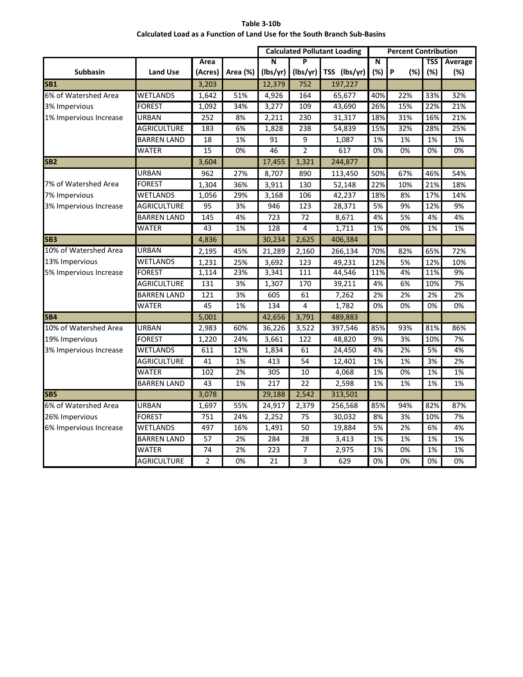| Table 3-10b                                                               |
|---------------------------------------------------------------------------|
| Calculated Load as a Function of Land Use for the South Branch Sub-Basins |

|                        |                    |                 |                  |                  |                 | <b>Calculated Pollutant Loading</b> |     | <b>Percent Contribution</b> |     |         |  |
|------------------------|--------------------|-----------------|------------------|------------------|-----------------|-------------------------------------|-----|-----------------------------|-----|---------|--|
|                        |                    | Area            |                  | N                | P               |                                     | N   |                             | TSS | Average |  |
| <b>Subbasin</b>        | <b>Land Use</b>    | (Acres)         | Area (%)         | (lbs/yr)         | (lbs/yr)        | TSS (lbs/yr)                        | (%) | P<br>(%)                    | (%) | (%)     |  |
| <b>SB1</b>             |                    | 3,203           |                  | 12,379           | 752             | 197,227                             |     |                             |     |         |  |
| 6% of Watershed Area   | WETLANDS           | 1,642           | 51%              | 4,926            | 164             | 65,677                              | 40% | 22%                         | 33% | 32%     |  |
| 3% Impervious          | <b>FOREST</b>      | 1,092           | 34%              | 3,277            | 109             | 43,690                              | 26% | 15%                         | 22% | 21%     |  |
| 1% Impervious Increase | URBAN              | 252             | 8%               | 2,211            | 230             | 31,317                              | 18% | 31%                         | 16% | 21%     |  |
|                        | <b>AGRICULTURE</b> | 183             | 6%               | 1,828            | 238             | 54,839                              | 15% | 32%                         | 28% | 25%     |  |
|                        | <b>BARREN LAND</b> | 18              | 1%               | 91               | $\overline{9}$  | 1,087                               | 1%  | 1%                          | 1%  | 1%      |  |
|                        | <b>WATER</b>       | 15              | 0%               | 46               | $\overline{2}$  | 617                                 | 0%  | 0%                          | 0%  | 0%      |  |
| <b>SB2</b>             |                    | 3,604           |                  | 17,455           | 1,321           | 244,877                             |     |                             |     |         |  |
|                        | <b>URBAN</b>       | 962             | 27%              | 8,707            | 890             | 113,450                             | 50% | 67%                         | 46% | 54%     |  |
| 7% of Watershed Area   | <b>FOREST</b>      | 1,304           | 36%              | 3,911            | 130             | 52,148                              | 22% | 10%                         | 21% | 18%     |  |
| 7% Impervious          | <b>WETLANDS</b>    | 1,056           | 29%              | 3,168            | 106             | 42,237                              | 18% | 8%                          | 17% | 14%     |  |
| 3% Impervious Increase | <b>AGRICULTURE</b> | $\overline{95}$ | $\overline{3\%}$ | 946              | $\frac{1}{2}$   | 28,371                              | 5%  | 9%                          | 12% | 9%      |  |
|                        | <b>BARREN LAND</b> | 145             | 4%               | 723              | 72              | 8,671                               | 4%  | 5%                          | 4%  | 4%      |  |
|                        | WATER              | 43              | 1%               | 128              | 4               | 1,711                               | 1%  | 0%                          | 1%  | 1%      |  |
| SB <sub>3</sub>        |                    | 4,836           |                  | 30,234           | 2,625           | 406,384                             |     |                             |     |         |  |
| 10% of Watershed Area  | <b>URBAN</b>       | 2,195           | 45%              | 21,289           | 2,160           | 266,134                             | 70% | 82%                         | 65% | 72%     |  |
| 13% Impervious         | WETLANDS           | 1,231           | 25%              | 3,692            | 123             | 49,231                              | 12% | 5%                          | 12% | 10%     |  |
| 5% Impervious Increase | <b>FOREST</b>      | 1,114           | 23%              | 3,341            | 111             | 44,546                              | 11% | 4%                          | 11% | 9%      |  |
|                        | <b>AGRICULTURE</b> | 131             | 3%               | 1,307            | 170             | 39,211                              | 4%  | 6%                          | 10% | 7%      |  |
|                        | <b>BARREN LAND</b> | 121             | 3%               | 605              | 61              | 7,262                               | 2%  | 2%                          | 2%  | 2%      |  |
|                        | WATER              | 45              | 1%               | 134              | 4               | 1,782                               | 0%  | 0%                          | 0%  | 0%      |  |
| SB <sub>4</sub>        |                    | 5,001           |                  | 42,656           | 3,791           | 489,883                             |     |                             |     |         |  |
| 10% of Watershed Area  | <b>URBAN</b>       | 2,983           | 60%              | 36,226           | 3,522           | 397,546                             | 85% | 93%                         | 81% | 86%     |  |
| 19% Impervious         | <b>FOREST</b>      | 1,220           | 24%              | 3,661            | 122             | 48,820                              | 9%  | 3%                          | 10% | 7%      |  |
| 3% Impervious Increase | WETLANDS           | 611             | 12%              | 1,834            | 61              | 24,450                              | 4%  | 2%                          | 5%  | 4%      |  |
|                        | AGRICULTURE        | 41              | 1%               | 413              | 54              | 12,401                              | 1%  | 1%                          | 3%  | 2%      |  |
|                        | WATER              | 102             | 2%               | 305              | 10              | 4,068                               | 1%  | 0%                          | 1%  | 1%      |  |
|                        | <b>BARREN LAND</b> | 43              | 1%               | $\overline{217}$ | $\overline{22}$ | 2,598                               | 1%  | 1%                          | 1%  | 1%      |  |
| <b>SB5</b>             |                    | 3,078           |                  | 29,188           | 2,542           | 313,501                             |     |                             |     |         |  |
| 6% of Watershed Area   | URBAN              | 1,697           | 55%              | 24,917           | 2,379           | 256,568                             | 85% | 94%                         | 82% | 87%     |  |
| 26% Impervious         | <b>FOREST</b>      | 751             | 24%              | 2,252            | 75              | 30,032                              | 8%  | 3%                          | 10% | 7%      |  |
| 6% Impervious Increase | <b>WETLANDS</b>    | 497             | 16%              | 1,491            | $\overline{50}$ | 19,884                              | 5%  | 2%                          | 6%  | 4%      |  |
|                        | <b>BARREN LAND</b> | $\overline{57}$ | 2%               | 284              | $\overline{28}$ | 3,413                               | 1%  | 1%                          | 1%  | 1%      |  |
|                        | <b>WATER</b>       | 74              | 2%               | 223              | 7               | 2,975                               | 1%  | 0%                          | 1%  | 1%      |  |
|                        | <b>AGRICULTURE</b> | $\overline{2}$  | 0%               | 21               | 3               | 629                                 | 0%  | 0%                          | 0%  | $0\%$   |  |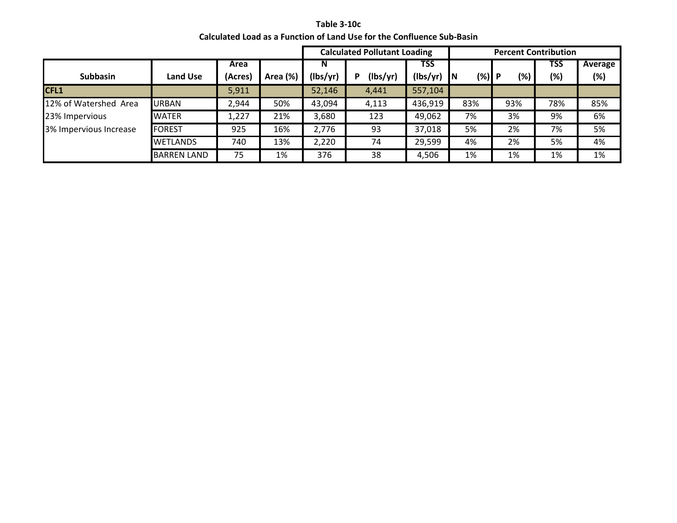**Table 3-10c Calculated Load as a Function of Land Use for the Confluence Sub-Basin**

|                        |                    |         |          |          | <b>Calculated Pollutant Loading</b> |            |                 |     | <b>Percent Contribution</b> |         |
|------------------------|--------------------|---------|----------|----------|-------------------------------------|------------|-----------------|-----|-----------------------------|---------|
|                        |                    | Area    |          | N        |                                     | <b>TSS</b> |                 |     | <b>TSS</b>                  | Average |
| <b>Subbasin</b>        | Land Use           | (Acres) | Area (%) | (lbs/yr) | (lbs/yr)<br>D                       | (lbs/yr)   | $(\%)$ P<br>IN. | (%) | $(\%)$                      | (%)     |
| CFL1                   |                    | 5,911   |          | 52,146   | 4,441                               | 557,104    |                 |     |                             |         |
| 12% of Watershed Area  | <b>URBAN</b>       | 2,944   | 50%      | 43,094   | 4,113                               | 436,919    | 83%             | 93% | 78%                         | 85%     |
| 23% Impervious         | <b>WATER</b>       | 1,227   | 21%      | 3,680    | 123                                 | 49,062     | 7%              | 3%  | 9%                          | 6%      |
| 3% Impervious Increase | <b>FOREST</b>      | 925     | 16%      | 2,776    | 93                                  | 37,018     | 5%              | 2%  | 7%                          | 5%      |
|                        | <b>WETLANDS</b>    | 740     | 13%      | 2,220    | 74                                  | 29,599     | 4%              | 2%  | 5%                          | 4%      |
|                        | <b>BARREN LAND</b> | 75      | 1%       | 376      | 38                                  | 4,506      | 1%              | 1%  | 1%                          | 1%      |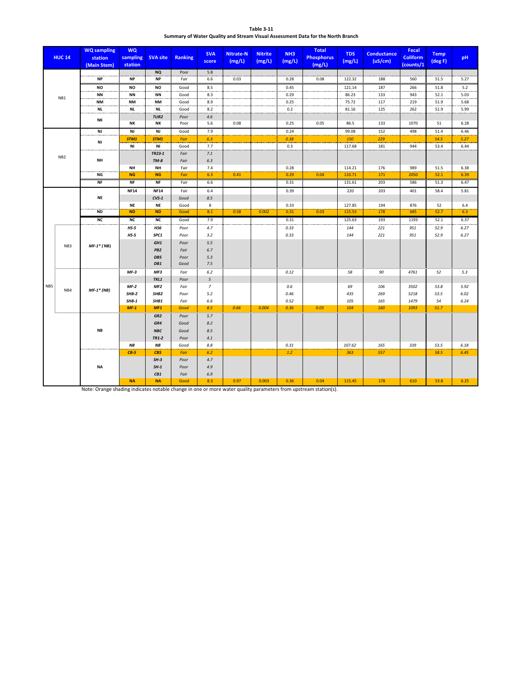| <b>Table 3-11</b>                                                               |
|---------------------------------------------------------------------------------|
| Summary of Water Quality and Stream Visual Assessment Data for the North Branch |

|     | <b>HUC 14</b>   | <b>WQ</b> sampling<br>station<br>(Main Stem) | <b>WQ</b><br>sampling<br>station | <b>SVA site</b>  | <b>Ranking</b> | <b>SVA</b><br>score | <b>Nitrate-N</b><br>(mg/L) | <b>Nitrite</b><br>(mg/L) | NH <sub>3</sub><br>(mg/L) | <b>Total</b><br><b>Phosphorus</b><br>(mg/L) | <b>TDS</b><br>(mg/L) | <b>Conductance</b><br>(uS/cm) | Fecal<br><b>Coliform</b><br>(counts/1 | <b>Temp</b><br>$(\text{deg } F)$ | <b>pH</b> |
|-----|-----------------|----------------------------------------------|----------------------------------|------------------|----------------|---------------------|----------------------------|--------------------------|---------------------------|---------------------------------------------|----------------------|-------------------------------|---------------------------------------|----------------------------------|-----------|
|     |                 |                                              |                                  | <b>NQ</b>        | Poor           | 5.8                 |                            |                          |                           |                                             |                      |                               |                                       |                                  |           |
|     |                 | <b>NP</b>                                    | <b>NP</b>                        | <b>NP</b>        | Fair           | 6.6                 | 0.03                       |                          | 0.28                      | 0.08                                        | 122.32               | 188                           | 560                                   | 51.5                             | 5.27      |
|     |                 | NO                                           | NO                               | NO               | Good           | 8.5                 |                            |                          | 0.45                      |                                             | 121.14               | 187                           | 266                                   | 51.8                             | 5.2       |
|     | NB1             | <b>NN</b>                                    | <b>NN</b>                        | <b>NN</b>        | Good           | 8.3                 |                            |                          | 0.29                      |                                             | 86.23                | 133<br>.                      | 943                                   | 52.1                             | 5.03      |
|     |                 | NM                                           | NM                               | <b>NM</b>        | Good           | 8.9                 |                            |                          | 0.25                      |                                             | 75.72                | 117                           | 219                                   | 51.9                             | 5.68      |
|     |                 | <b>NL</b>                                    | <b>NL</b>                        | <b>NL</b>        | Good           | 8.2                 |                            |                          | 0.2                       |                                             | 81.16                | 125                           | 262                                   | 51.9                             | 5.99      |
|     |                 | NΚ                                           |                                  | TUR <sub>2</sub> | Poor           | 4.6                 |                            |                          |                           |                                             |                      |                               |                                       |                                  |           |
|     |                 |                                              | NΚ                               | <b>NK</b>        | Poor           | 5.6                 | 0.08                       |                          | 0.25                      | 0.05                                        | 86.5                 | 133                           | 1070                                  | 51                               | 6.28      |
|     |                 | <b>NJ</b>                                    | <b>NJ</b>                        | <b>NJ</b>        | Good           | 7.9                 |                            |                          | 0.24                      |                                             | 99.08                | 152                           | 498                                   | 51.4                             | 6.46      |
|     |                 | NI                                           | STM1                             | STM1             | Fair           | 6.3                 |                            |                          | 0.38                      |                                             | 150                  | 229                           |                                       | 54.5                             | 5.27      |
|     |                 |                                              | NI                               | ΝI               | Good           | 7.7                 |                            |                          | 0.3                       |                                             | 117.68               | 181                           | 944                                   | 53.4                             | 6.44      |
|     | NB <sub>2</sub> |                                              |                                  | TR23-1           | Fair           | 7.1                 |                            |                          |                           |                                             |                      |                               |                                       |                                  |           |
|     |                 | <b>NH</b>                                    |                                  | $TM-8$           | Fair           | 6.3                 |                            |                          |                           |                                             |                      |                               |                                       |                                  |           |
|     |                 |                                              | <b>NH</b>                        | <b>NH</b>        | Fair           | 7.4                 |                            |                          | 0.28                      |                                             | 114.21               | 176                           | 989                                   | 51.5                             | 6.38      |
|     |                 | NG                                           | <b>NG</b>                        | <b>NG</b>        | Fair           | 6.3                 | 0.41                       |                          | 0.29                      | 0.04                                        | 110.71               | 171                           | 2050                                  | 52.1                             | 6.39      |
|     |                 | <b>NF</b>                                    | <b>NF</b>                        | <b>NF</b>        | Fair           | 6.6                 |                            |                          | 0.31                      |                                             | 131.61               | 203                           | 586                                   | 51.3                             | 6.47      |
|     |                 |                                              | <b>NF14</b>                      | <b>NF14</b>      | Fair           | 6.4                 |                            |                          | 0.39                      |                                             | 220                  | 203                           | 401                                   | 58.4                             | 5.81      |
|     | NE              |                                              | $CVS-1$                          | Good             | 8.5            |                     |                            |                          |                           |                                             |                      |                               |                                       |                                  |           |
|     |                 |                                              | <b>NE</b>                        | <b>NE</b>        | Good           | 8                   |                            |                          | 0.33                      |                                             | 127.85               | 194                           | 876                                   | 52                               | 6.4       |
|     |                 | <b>ND</b>                                    | <b>ND</b>                        | <b>ND</b>        | Good           | 8.1                 | 0.58                       | 0.002                    | 0.31                      | 0.03                                        | 115.53               | 178                           | 685                                   | 52.7                             | 6.3       |
|     |                 | NC                                           | <b>NC</b>                        | <b>NC</b>        | Good           | 7.9                 |                            |                          | 0.31                      |                                             | 125.63               | 193                           | 1193                                  | 52.1                             | 6.37      |
|     |                 |                                              | $HS-5$                           | HS6              | Poor           | 4.7                 |                            |                          | 0.33                      |                                             | 144                  | 221                           | 951                                   | 52.9                             | 6.27      |
|     |                 |                                              | $HS-5$                           | SPC1             | Poor           | 3.2                 |                            |                          | 0.33                      |                                             | 144                  | 221                           | 951                                   | 52.9                             | 6.27      |
|     |                 | $MF-1*$ (NB)                                 |                                  | GH1              | Poor           | 5.5                 |                            |                          |                           |                                             |                      |                               |                                       |                                  |           |
|     | NB <sub>3</sub> |                                              |                                  | PB <sub>2</sub>  | Fair           | 6.7                 |                            |                          |                           |                                             |                      |                               |                                       |                                  |           |
|     |                 |                                              |                                  | DB5              | Poor           | 5.3                 |                            |                          |                           |                                             |                      |                               |                                       |                                  |           |
|     |                 |                                              |                                  | DB1              | Good           | 7.5                 |                            |                          |                           |                                             |                      |                               |                                       |                                  |           |
|     |                 |                                              | $MF-3$                           | MF3              | Fair           | 6.2                 |                            |                          | 0.12                      |                                             | 58                   | 90                            | 4761                                  | 52                               | 5.3       |
|     |                 |                                              |                                  | TKL1             | Poor           | 5                   |                            |                          |                           |                                             |                      |                               |                                       |                                  |           |
| NB5 |                 |                                              | $MF-2$                           | MF <sub>2</sub>  | Fair           | $\overline{7}$      |                            |                          | 0.6                       |                                             | 69                   | 106                           | 3502                                  | 53.8                             | 5.92      |
|     | NB4             | $MF-1*$ (NB)                                 | $SHB-2$                          | SHB <sub>2</sub> | Poor           | 5.2                 |                            |                          | 0.46                      |                                             | 435                  | 269                           | 5218                                  | 53.5                             | 6.02      |
|     |                 |                                              | $SHB-1$                          | SHB1             | Fair           | 6.6                 |                            |                          | 0.52                      |                                             | 105                  | 165                           | 1479                                  | 54                               | 6.24      |
|     |                 |                                              | $MF-1$                           | MF1              | Good           | 8.5                 | 0.66                       | 0.004                    | 0.36                      | 0.03                                        | 104                  | 160                           | 1093                                  | 51.7                             |           |
|     |                 |                                              |                                  | GR <sub>2</sub>  | Poor           | 5.7                 |                            |                          |                           |                                             |                      |                               |                                       |                                  |           |
|     |                 |                                              |                                  | GR4              | Good           | 8.2                 |                            |                          |                           |                                             |                      |                               |                                       |                                  |           |
|     |                 | <b>NB</b>                                    |                                  | <b>NBC</b>       | Good           | 8.5                 |                            |                          |                           |                                             |                      |                               |                                       |                                  |           |
|     |                 |                                              |                                  | TR1-2            | Poor           | 4.1                 |                            |                          |                           |                                             |                      |                               |                                       |                                  |           |
|     |                 |                                              | NB                               | NB               | Good           | 8.8                 |                            |                          | 0.31                      |                                             | 107.62               | 165                           | 339                                   | 53.5                             | 6.18      |
|     |                 |                                              | $CB-5$                           | CB5              | Fair           | 6.2                 |                            |                          | 1.2                       |                                             | 363                  | 557                           |                                       | 58.5                             | 6.45      |
|     |                 |                                              |                                  | $SH-3$           | Poor           | 4.7                 |                            |                          |                           |                                             |                      |                               |                                       |                                  |           |
|     |                 | <b>NA</b>                                    |                                  | $SH-1$           | Poor           | 4.9                 |                            |                          |                           |                                             |                      |                               |                                       |                                  |           |
|     |                 |                                              |                                  | CB1              | Fair           | 6.9                 |                            |                          |                           |                                             |                      |                               |                                       |                                  |           |
|     |                 |                                              | <b>NA</b>                        | <b>NA</b>        | Good           | 8.3                 | 0.97                       | 0.003                    | 0.36                      | 0.04                                        | 115.45               | 178                           | 610                                   | 53.8                             | 6.25      |
|     |                 |                                              |                                  |                  |                |                     |                            |                          |                           |                                             |                      |                               |                                       |                                  |           |

Note: Orange shading indicates notable change in one or more water quality parameters from upstream station(s).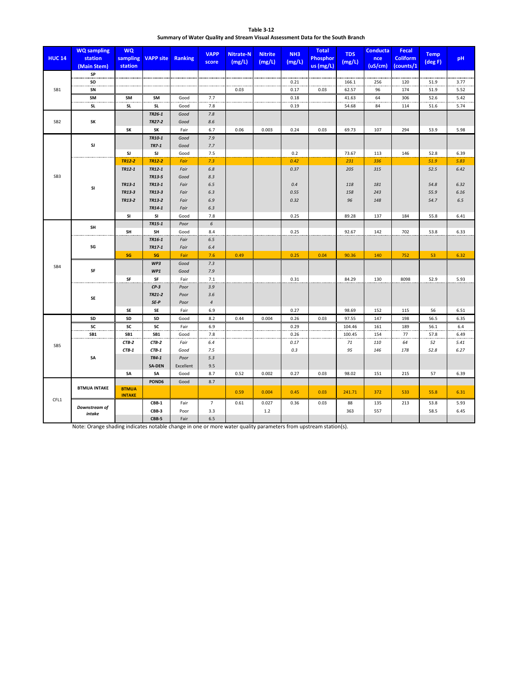| Table 3-12                                                                      |
|---------------------------------------------------------------------------------|
| Summary of Water Quality and Stream Visual Assessment Data for the South Branch |

| <b>HUC 14</b>   | <b>WQ</b> sampling<br>station<br>(Main Stem) | <b>WQ</b><br>sampling<br>station | <b>VAPP site</b>        | Ranking      | <b>VAPP</b><br>score | <b>Nitrate-N</b><br>(mg/L) | <b>Nitrite</b><br>(mg/L) | NH <sub>3</sub><br>(mg/L) | <b>Total</b><br><b>Phosphor</b><br>$\overline{us}$ (mg/L) | <b>TDS</b><br>(mg/L) | <b>Conducta</b><br>nce<br>(uS/cm) | <b>Fecal</b><br><b>Coliform</b><br>(counts/1 | <b>Temp</b><br>$(\text{deg } F)$ | pH           |
|-----------------|----------------------------------------------|----------------------------------|-------------------------|--------------|----------------------|----------------------------|--------------------------|---------------------------|-----------------------------------------------------------|----------------------|-----------------------------------|----------------------------------------------|----------------------------------|--------------|
|                 | SP                                           |                                  |                         |              |                      |                            |                          |                           |                                                           |                      |                                   |                                              |                                  |              |
|                 | so                                           |                                  |                         |              |                      |                            |                          | 0.21                      |                                                           | 166.1                | 256                               | 120                                          | 51.9                             | 3.77         |
| SB1             | SN                                           |                                  |                         |              |                      | 0.03                       |                          | 0.17                      | 0.03                                                      | 62.57                | 96                                | 174                                          | 51.9                             | 5.52         |
|                 | SM                                           | SM                               | SM                      | Good         | 7.7                  |                            |                          | 0.18                      |                                                           | 41.63                | 64                                | 306                                          | 52.6                             | 5.42         |
|                 | <b>SL</b>                                    | SL                               | <b>SL</b>               | Good         | 7.8                  |                            |                          | 0.19                      |                                                           | 54.68                | 84                                | 114                                          | 51.6                             | 5.74         |
|                 |                                              |                                  | TR26-1                  | Good         | $7.8$                |                            |                          |                           |                                                           |                      |                                   |                                              |                                  |              |
| SB <sub>2</sub> | SK                                           |                                  | TR27-2                  | Good         | 8.6                  |                            |                          |                           |                                                           |                      |                                   |                                              |                                  |              |
|                 |                                              | SK                               | SK                      | Fair         | 6.7                  | 0.06                       | 0.003                    | 0.24                      | 0.03                                                      | 69.73                | 107                               | 294                                          | 53.9                             | 5.98         |
|                 |                                              |                                  | TR10-1                  | Good         | 7.9                  |                            |                          |                           |                                                           |                      |                                   |                                              |                                  |              |
|                 | SJ                                           |                                  | <b>TR7-1</b>            | Good         | 7.7                  |                            |                          |                           |                                                           |                      |                                   |                                              |                                  |              |
|                 |                                              | <b>SJ</b>                        | SJ                      | Good         | 7.5                  |                            |                          | 0.2                       |                                                           | 73.67                | 113                               | 146                                          | 52.8                             | 6.39         |
|                 |                                              | <b>TR12-2</b><br>TR12-1          | <b>TR12-2</b><br>TR12-1 | Fair<br>Fair | 7.3<br>6.8           |                            |                          | 0.42<br>0.37              |                                                           | 231<br>205           | 336<br>315                        |                                              | 51.9<br>52.5                     | 5.83<br>6.42 |
| SB <sub>3</sub> |                                              |                                  | TR13-5                  | Good         | 8.3                  |                            |                          |                           |                                                           |                      |                                   |                                              |                                  |              |
|                 |                                              | TR13-1                           | TR13-1                  | Fair         | 6.5                  |                            |                          | 0.4                       |                                                           | 118                  | 181                               |                                              | 54.8                             | 6.32         |
|                 | SI                                           | TR13-3                           | TR13-3                  | Fair         | 6.3                  |                            |                          | 0.55                      |                                                           | 158                  | 243                               |                                              | 55.9                             | 6.16         |
|                 |                                              | TR13-2                           | TR13-2                  | Fair         | 6.9                  |                            |                          | 0.32                      |                                                           | 96                   | 148                               |                                              | 54.7                             | 6.5          |
|                 |                                              |                                  | TR14-1                  | Fair         | 6.3                  |                            |                          |                           |                                                           |                      |                                   |                                              |                                  |              |
|                 |                                              | SI                               | SI                      | Good         | 7.8                  |                            |                          | 0.25                      |                                                           | 89.28                | 137                               | 184                                          | 55.8                             | 6.41         |
|                 |                                              |                                  | TR15-1                  | Poor         | 6                    |                            |                          |                           |                                                           |                      |                                   |                                              |                                  |              |
|                 | SH                                           | SH                               | SH                      | Good         | 8.4                  |                            |                          | 0.25                      |                                                           | 92.67                | 142                               | 702                                          | 53.8                             | 6.33         |
|                 |                                              |                                  | TR16-1                  | Fair         | 6.5                  |                            |                          |                           |                                                           |                      |                                   |                                              |                                  |              |
|                 | SG                                           |                                  | TR17-1                  | Fair         | 6.4                  |                            |                          |                           |                                                           |                      |                                   |                                              |                                  |              |
|                 |                                              | SG                               | SG                      | Fair         | 7.6                  | 0.49                       |                          | 0.25                      | 0.04                                                      | 90.36                | 140                               | 752                                          | 53                               | 6.32         |
| SB4             |                                              |                                  | WP3                     | Good         | 7.3                  |                            |                          |                           |                                                           |                      |                                   |                                              |                                  |              |
|                 | SF                                           |                                  | WP1                     | Good         | 7.9                  |                            |                          |                           |                                                           |                      |                                   |                                              |                                  |              |
|                 |                                              | SF                               | SF                      | Fair         | 7.1                  |                            |                          | 0.31                      |                                                           | 84.29                | 130                               | 8098                                         | 52.9                             | 5.93         |
|                 |                                              |                                  | $CP-3$                  | Poor         | 3.9                  |                            |                          |                           |                                                           |                      |                                   |                                              |                                  |              |
|                 | SE                                           |                                  | TR21-2                  | Poor         | 3.6                  |                            |                          |                           |                                                           |                      |                                   |                                              |                                  |              |
|                 |                                              |                                  | $SE-P$                  | Poor         | $\sqrt{4}$           |                            |                          |                           |                                                           |                      |                                   |                                              |                                  |              |
|                 |                                              | <b>SE</b>                        | SE                      | Fair         | 6.9                  |                            |                          | 0.27                      |                                                           | 98.69                | 152                               | 115                                          | 56                               | 6.51         |
|                 | SD<br>SC                                     | SD<br>SC                         | SD<br>SC                | Good<br>Fair | 8.2<br>6.9           | 0.44                       | 0.004                    | 0.26<br>0.29              | 0.03                                                      | 97.55<br>104.46      | 147<br>161                        | 198<br>189                                   | 56.5<br>56.1                     | 6.35<br>6.4  |
|                 | SB1                                          | SB1                              | SB1                     | Good         | 7.8                  |                            |                          | 0.26                      |                                                           | 100.45               | 154                               | 77                                           | 57.8                             | 6.49         |
|                 |                                              | CTB-2                            | CTB-2                   | Fair         | 6.4                  |                            |                          | 0.17                      |                                                           | 71                   | 110                               | 64                                           | 52                               | 5.41         |
| SB <sub>5</sub> |                                              | CTB-1                            | $CTB-1$                 | Good         | 7.5                  |                            |                          | 0.3                       |                                                           | 95                   | 146                               | 178                                          | 52.8                             | 6.27         |
|                 | SA                                           |                                  | TR4-1                   | Poor         | 5.3                  |                            |                          |                           |                                                           |                      |                                   |                                              |                                  |              |
|                 |                                              |                                  | <b>SA-DEN</b>           | Excellent    | 9.5                  |                            |                          |                           |                                                           |                      |                                   |                                              |                                  |              |
|                 |                                              | <b>SA</b>                        | <b>SA</b>               | Good         | 8.7                  | 0.52                       | 0.002                    | 0.27                      | 0.03                                                      | 98.02                | 151                               | 215                                          | 57                               | 6.39         |
|                 |                                              |                                  | POND6                   | Good         | 8.7                  |                            |                          |                           |                                                           |                      |                                   |                                              |                                  |              |
|                 | <b>BTMUA INTAKE</b>                          | <b>BTMUA</b><br><b>INTAKE</b>    |                         |              |                      | 0.59                       | 0.004                    | 0.45                      | 0.03                                                      | 241.71               | 372                               | 533                                          | 55.8                             | 6.31         |
| CFL1            |                                              |                                  | CBB-1                   | Fair         | $\overline{7}$       | 0.61                       | 0.027                    | 0.36                      | 0.03                                                      | 88                   | 135                               | 213                                          | 53.8                             | 5.93         |
|                 | Downstream of<br>intake                      |                                  | CBB-3                   | Poor         | 3.3                  |                            | 1.2                      |                           |                                                           | 363                  | 557                               |                                              | 58.5                             | 6.45         |
|                 |                                              |                                  | CBB-5                   | Fair         | 6.5                  |                            |                          |                           |                                                           |                      |                                   |                                              |                                  |              |

Note: Orange shading indicates notable change in one or more water quality parameters from upstream station(s).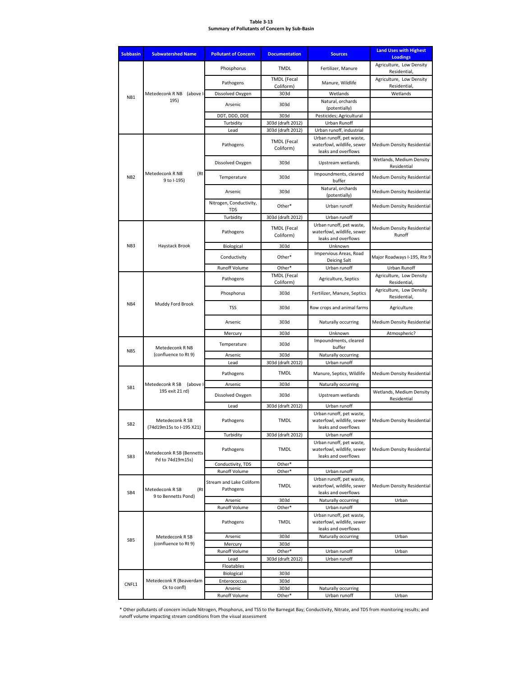#### **Table 3-13 Summary of Pollutants of Concern by Sub-Basin**

| <b>Subbasin</b> | <b>Subwatershed Name</b>                    | <b>Pollutant of Concern</b>                            | <b>Documentation</b>            | <b>Sources</b>                                                                                | <b>Land Uses with Highest</b><br><b>Loadings</b> |
|-----------------|---------------------------------------------|--------------------------------------------------------|---------------------------------|-----------------------------------------------------------------------------------------------|--------------------------------------------------|
|                 |                                             | Phosphorus                                             | <b>TMDL</b>                     | Fertilizer, Manure                                                                            | Agriculture, Low Density<br>Residential,         |
|                 |                                             | Pathogens                                              | <b>TMDL</b> (Fecal<br>Coliform) | Manure, Wildlife                                                                              | Agriculture, Low Density<br>Residential,         |
| NB <sub>1</sub> | Metedeconk R NB (above I-                   | Dissolved Oxygen                                       | 303d                            | Wetlands                                                                                      | Wetlands                                         |
|                 | 195)                                        | Arsenic                                                | 303d                            | Natural, orchards                                                                             |                                                  |
|                 |                                             |                                                        |                                 | (potentially)                                                                                 |                                                  |
|                 |                                             | DDT, DDD, DDE<br>Turbidity                             | 303d<br>303d (draft 2012)       | Pesticides; Agricultural<br>Urban Runoff                                                      |                                                  |
|                 |                                             | Lead                                                   | 303d (draft 2012)               | Urban runoff, industrial                                                                      |                                                  |
|                 |                                             | Pathogens                                              | <b>TMDL</b> (Fecal<br>Coliform) | Urban runoff, pet waste,<br>waterfowl, wildlife, sewer<br>leaks and overflows                 | Medium Density Residential                       |
|                 |                                             | Dissolved Oxygen                                       | 303d                            | Upstream wetlands                                                                             | Wetlands, Medium Density<br>Residential          |
| NB <sub>2</sub> | Metedeconk R NB<br>(Rt<br>9 to I-195)       | Temperature                                            | 303d                            | Impoundments, cleared<br>buffer                                                               | Medium Density Residential                       |
|                 |                                             | Arsenic                                                | 303d                            | Natural, orchards<br>(potentially)                                                            | <b>Medium Density Residential</b>                |
|                 |                                             | Nitrogen, Conductivity,<br><b>TDS</b>                  | Other*                          | Urban runoff                                                                                  | <b>Medium Density Residential</b>                |
|                 |                                             | Turbidity                                              | 303d (draft 2012)               | Urban runoff                                                                                  |                                                  |
|                 |                                             | Pathogens                                              | <b>TMDL</b> (Fecal<br>Coliform) | Urban runoff, pet waste,<br>waterfowl, wildlife, sewer<br>leaks and overflows                 | <b>Medium Density Residential</b><br>Runoff      |
| NB <sub>3</sub> | Haystack Brook                              | Biological                                             | 303d                            | Unknown                                                                                       |                                                  |
|                 |                                             | Conductivity                                           | Other*                          | Impervious Areas, Road<br>Deicing Salt                                                        | Major Roadways I-195, Rte 9                      |
|                 |                                             | Runoff Volume                                          | Other*                          | Urban runoff                                                                                  | Urban Runoff                                     |
|                 |                                             | Pathogens                                              | <b>TMDL</b> (Fecal<br>Coliform) | Agriculture, Septics                                                                          | Agriculture, Low Density<br>Residential,         |
|                 |                                             | Phosphorus                                             | 303d                            | Fertilizer, Manure, Septics                                                                   | Agriculture, Low Density<br>Residential,         |
| NB4             | Muddy Ford Brook                            | TSS                                                    | 303d                            | Row crops and animal farms                                                                    | Agriculture                                      |
|                 |                                             | Arsenic                                                | 303d                            | Naturally occurring                                                                           | <b>Medium Density Residential</b>                |
|                 |                                             | Mercury                                                | 303d                            | Unknown                                                                                       | Atmospheric?                                     |
| NB <sub>5</sub> | Temperature<br>Metedeconk R NB              |                                                        | 303d                            | Impoundments, cleared<br>buffer                                                               |                                                  |
|                 | (confluence to Rt 9)                        | Arsenic<br>Lead                                        | 303d<br>303d (draft 2012)       | Naturally occurring<br>Urban runoff                                                           |                                                  |
|                 |                                             | Pathogens                                              | <b>TMDL</b>                     | Manure, Septics, Wildlife                                                                     | <b>Medium Density Residential</b>                |
|                 | Metedeconk R SB (above I-                   | Arsenic                                                | 303d                            | Naturally occurring                                                                           |                                                  |
| SB1             | 195 exit 21 rd)                             | Dissolved Oxygen                                       | 303d                            | Upstream wetlands                                                                             | Wetlands, Medium Density                         |
|                 |                                             |                                                        |                                 |                                                                                               | Residential                                      |
|                 |                                             | Lead                                                   | 303d (draft 2012)               | Urban runoff<br>Urban runoff, pet waste,                                                      |                                                  |
| SB <sub>2</sub> | Metedeconk R SB<br>(74d19m15s to I-195 X21) | Pathogens                                              | <b>TMDL</b>                     | waterfowl, wildlife, sewer<br>leaks and overflows                                             | <b>Medium Density Residential</b>                |
|                 |                                             | Turbidity                                              | 303d (draft 2012)               | Urban runoff                                                                                  |                                                  |
| SB <sub>3</sub> | Metedeconk R SB (Bennetts                   | Pathogens                                              | <b>TMDL</b>                     | Urban runoff, pet waste,<br>waterfowl, wildlife, sewer<br>leaks and overflows                 | Medium Density Residential                       |
|                 | Pd to 74d19m15s)                            | Conductivity, TDS                                      | Other*                          |                                                                                               |                                                  |
| SB4             | Metedeconk R SB<br>(Rt                      | Runoff Volume<br>Stream and Lake Coliform<br>Pathogens | Other*<br>TMDL                  | Urban runoff<br>Urban runoff, pet waste,<br>waterfowl, wildlife, sewer<br>leaks and overflows | Medium Density Residential                       |
|                 | 9 to Bennetts Pond)                         | Arsenic                                                | 303d                            | Naturally occurring                                                                           | Urban                                            |
|                 |                                             | Runoff Volume<br>Pathogens                             | Other*<br><b>TMDL</b>           | Urban runoff<br>Urban runoff, pet waste,<br>waterfowl, wildlife, sewer                        |                                                  |
|                 |                                             |                                                        |                                 | leaks and overflows                                                                           |                                                  |
| SB <sub>5</sub> | Metedeconk R SB<br>(confluence to Rt 9)     | Arsenic                                                | 303d                            | Naturally occurring                                                                           | Urban                                            |
|                 |                                             | Mercury<br>Runoff Volume                               | 303d<br>Other*                  | Urban runoff                                                                                  | Urban                                            |
|                 |                                             | Lead                                                   | 303d (draft 2012)               | Urban runoff                                                                                  |                                                  |
|                 |                                             | Floatables                                             |                                 |                                                                                               |                                                  |
|                 |                                             | Biological                                             | 303d                            |                                                                                               |                                                  |
| CNFL1           | Metedeconk R (Beaverdam<br>Ck to confl)     | Enterococcus<br>Arsenic                                | 303d<br>303d                    | Naturally occurring                                                                           |                                                  |
|                 |                                             | Runoff Volume                                          | Other*                          | Urban runoff                                                                                  | Urban                                            |

\* Other pollutants of concern include Nitrogen, Phosphorus, and TSS to the Barnegat Bay; Conductivity, Nitrate, and TDS from monitoring results; and runoff volume impacting stream conditions from the visual assessment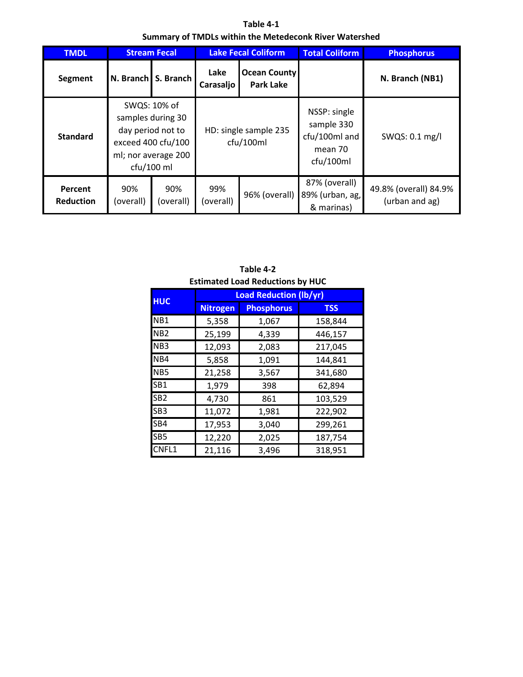**Table 4-1 Summary of TMDLs within the Metedeconk River Watershed**

| <b>TMDL</b>                 |                  | <b>Stream Fecal</b>                                                                                                 |                                                              | <b>Lake Fecal Coliform</b>         | <b>Total Coliform</b>                                               | <b>Phosphorus</b>                       |
|-----------------------------|------------------|---------------------------------------------------------------------------------------------------------------------|--------------------------------------------------------------|------------------------------------|---------------------------------------------------------------------|-----------------------------------------|
| Segment                     |                  | N. Branch S. Branch                                                                                                 | Lake<br><b>Ocean County</b><br><b>Park Lake</b><br>Carasaljo |                                    |                                                                     | N. Branch (NB1)                         |
| <b>Standard</b>             |                  | SWQS: 10% of<br>samples during 30<br>day period not to<br>exceed 400 cfu/100<br>ml; nor average 200<br>$ctu/100$ ml |                                                              | HD: single sample 235<br>cfu/100ml | NSSP: single<br>sample 330<br>cfu/100ml and<br>mean 70<br>cfu/100ml | SWQS: 0.1 mg/l                          |
| Percent<br><b>Reduction</b> | 90%<br>(overall) | 90%<br>(overall)                                                                                                    | 99%<br>(overall)                                             | 96% (overall)                      | 87% (overall)<br>89% (urban, ag,<br>& marinas)                      | 49.8% (overall) 84.9%<br>(urban and ag) |

|                 |                 | <b>Estimated Load Reductions by HUC</b> |            |  |  |  |  |  |  |  |
|-----------------|-----------------|-----------------------------------------|------------|--|--|--|--|--|--|--|
| <b>HUC</b>      |                 | <b>Load Reduction (lb/yr)</b>           |            |  |  |  |  |  |  |  |
|                 | <b>Nitrogen</b> | <b>Phosphorus</b>                       | <b>TSS</b> |  |  |  |  |  |  |  |
| NB <sub>1</sub> | 5,358           | 1,067                                   | 158,844    |  |  |  |  |  |  |  |
| NB <sub>2</sub> | 25,199          | 4,339                                   | 446,157    |  |  |  |  |  |  |  |
| NB <sub>3</sub> | 12,093          | 2,083                                   | 217,045    |  |  |  |  |  |  |  |
| NB4             | 5,858           | 1,091                                   | 144,841    |  |  |  |  |  |  |  |
| NB <sub>5</sub> | 21,258          | 3,567                                   | 341,680    |  |  |  |  |  |  |  |
| SB1             | 1,979           | 398                                     | 62,894     |  |  |  |  |  |  |  |
| SB <sub>2</sub> | 4,730           | 861                                     | 103,529    |  |  |  |  |  |  |  |
| SB <sub>3</sub> | 11,072          | 1,981                                   | 222,902    |  |  |  |  |  |  |  |
| SB4             | 17,953          | 3,040                                   | 299,261    |  |  |  |  |  |  |  |
| SB <sub>5</sub> | 12,220          | 2,025                                   | 187,754    |  |  |  |  |  |  |  |
| CNFL1           | 21,116          | 3,496                                   | 318,951    |  |  |  |  |  |  |  |

**Table 4-2**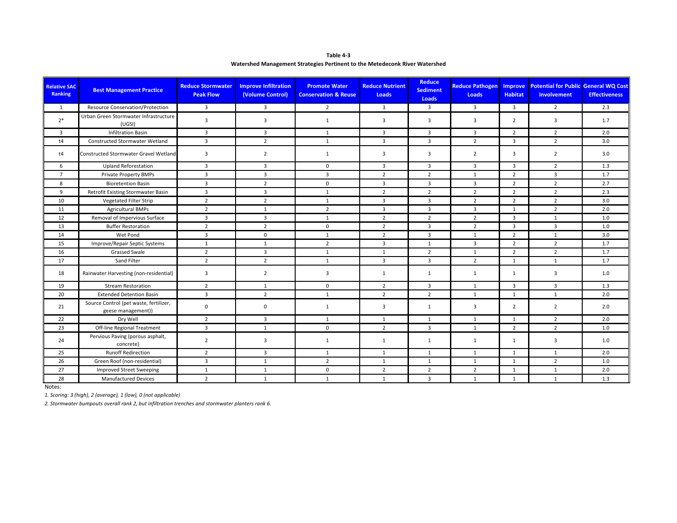| Table 4-3                                                                   |
|-----------------------------------------------------------------------------|
| Watershed Management Strategies Pertinent to the Metedeconk River Watershed |

| <b>Relative SAC</b><br>Ranking | <b>Best Management Practice</b>                              | <b>Reduce Stormwater</b><br><b>Peak Flow</b> | <b>Improve Infiltration</b><br>(Volume Control) | <b>Promote Water</b><br><b>Conservation &amp; Reuse</b> | <b>Reduce Nutrient</b><br>Loads | <b>Reduce</b><br><b>Sediment</b><br>Loads | <b>Reduce Pathogen</b><br>Loads | <b>Improve</b><br><b>Habitat</b> | <b>Potential for Public General WQ Cost</b><br>Involvement | <b>Effectiveness</b> |
|--------------------------------|--------------------------------------------------------------|----------------------------------------------|-------------------------------------------------|---------------------------------------------------------|---------------------------------|-------------------------------------------|---------------------------------|----------------------------------|------------------------------------------------------------|----------------------|
| 1                              | Resource Conservation/Protection                             | $\overline{3}$                               | $\overline{3}$                                  | $\overline{2}$                                          | $\overline{3}$                  | $\overline{3}$                            | $\overline{3}$                  | 3                                | $\overline{2}$                                             | 2.3                  |
| $2*$                           | Urban Green Stormwater Infrastructure<br>(UGSI)              | 3                                            | 3                                               | $\mathbf{1}$                                            | 3                               | 3                                         | $\overline{3}$                  | $\overline{2}$                   | 3                                                          | 1.7                  |
| $\overline{3}$                 | <b>Infiltration Basin</b>                                    | $\overline{3}$                               | $\overline{3}$                                  | $\mathbf{1}$                                            | $\overline{3}$                  | 3                                         | $\overline{3}$                  | $\overline{2}$                   | $\overline{2}$                                             | 2.0                  |
| t4                             | Constructed Stormwater Wetland                               | $\overline{3}$                               | $\overline{2}$                                  | 1                                                       | $\overline{3}$                  | $\overline{3}$                            | $\overline{2}$                  | $\overline{3}$                   | $\overline{2}$                                             | 3.0                  |
| t4                             | Constructed Stormwater Gravel Wetland                        | $\overline{3}$                               | $\overline{2}$                                  | 1                                                       | $\overline{3}$                  | 3                                         | $\overline{2}$                  | $\overline{3}$                   | $\overline{2}$                                             | 3.0                  |
| 6                              | <b>Upland Reforestation</b>                                  | $\overline{3}$                               | 3                                               | $\mathbf 0$                                             | $\overline{3}$                  | $\overline{\mathbf{3}}$                   | 3                               | $\overline{3}$                   | $\overline{2}$                                             | 1.3                  |
| $\overline{7}$                 | <b>Private Property BMPs</b>                                 | $\overline{3}$                               | $\overline{3}$                                  | $\overline{3}$                                          | $\overline{2}$                  | $\overline{2}$                            | 1                               | $\overline{2}$                   | $\overline{3}$                                             | 1.7                  |
| 8                              | <b>Bioretention Basin</b>                                    | $\overline{3}$                               | $\overline{2}$                                  | $\mathbf 0$                                             | $\overline{3}$                  | $\overline{3}$                            | 3                               | $\overline{2}$                   | $\overline{2}$                                             | 2.7                  |
| 9                              | Retrofit Existing Stormwater Basin                           | $\overline{3}$                               | $\overline{3}$                                  | $\mathbf{1}$                                            | $\overline{2}$                  | $\overline{2}$                            | $\overline{2}$                  | $\overline{2}$                   | $\overline{2}$                                             | 2.3                  |
| 10                             | <b>Vegetated Filter Strip</b>                                | $\overline{2}$                               | $\overline{2}$                                  | 1                                                       | $\overline{3}$                  | $\overline{3}$                            | $\overline{2}$                  | $\overline{2}$                   | $\overline{2}$                                             | 3.0                  |
| 11                             | <b>Agricultural BMPs</b>                                     | $\overline{2}$                               | $\mathbf{1}$                                    | $\overline{2}$                                          | 3                               | $\overline{\mathbf{3}}$                   | 3                               | 1                                | $\overline{2}$                                             | 2.0                  |
| 12                             | Removal of Impervious Surface                                | $\overline{3}$                               | $\overline{3}$                                  | 1                                                       | $\overline{2}$                  | $\overline{2}$                            | $\overline{2}$                  | $\overline{3}$                   | 1                                                          | 1.0                  |
| 13                             | <b>Buffer Restoration</b>                                    | $\overline{2}$                               | $\overline{2}$                                  | $\mathbf 0$                                             | $\overline{2}$                  | $\overline{3}$                            | $\overline{2}$                  | 3                                | $\overline{3}$                                             | 1.0                  |
| 14                             | Wet Pond                                                     | $\overline{3}$                               | $\mathbf 0$                                     | 1                                                       | $\overline{2}$                  | 3                                         | $\mathbf{1}$                    | $\overline{2}$                   | $\mathbf{1}$                                               | 3.0                  |
| 15                             | Improve/Repair Septic Systems                                | 1                                            | 1                                               | $\overline{2}$                                          | $\overline{3}$                  | 1                                         | $\overline{3}$                  | $\overline{2}$                   | $\overline{2}$                                             | 1.7                  |
| 16                             | <b>Grassed Swale</b>                                         | $\overline{2}$                               | $\overline{3}$                                  | 1                                                       | $\mathbf{1}$                    | $\overline{2}$                            | $\mathbf{1}$                    | $\overline{2}$                   | $\overline{2}$                                             | 1.7                  |
| 17                             | Sand Filter                                                  | $\overline{2}$                               | $\overline{2}$                                  | 1                                                       | $\overline{3}$                  | $\overline{3}$                            | $\overline{2}$                  | 1                                | 1                                                          | 1.7                  |
| 18                             | Rainwater Harvesting (non-residential)                       | $\overline{3}$                               | $\overline{2}$                                  | 3                                                       | $\mathbf{1}$                    | 1                                         | 1                               | $\mathbf{1}$                     | 3                                                          | 1.0                  |
| 19                             | <b>Stream Restoration</b>                                    | $\overline{2}$                               | $\mathbf{1}$                                    | $\mathbf 0$                                             | $\overline{2}$                  | $\overline{\mathbf{3}}$                   | $\mathbf{1}$                    | 3                                | 3                                                          | 1.3                  |
| 20                             | <b>Extended Detention Basin</b>                              | $\overline{3}$                               | $\overline{2}$                                  | $\mathbf{1}$                                            | $\overline{2}$                  | $\overline{2}$                            | $\mathbf{1}$                    | 1                                | $\mathbf{1}$                                               | 2.0                  |
| 21                             | Source Control (pet waste, fertilizer,<br>geese management)) | 0                                            | $\mathbf 0$                                     | 1                                                       | 3                               | 1                                         | 3                               | $\overline{2}$                   | $\overline{2}$                                             | 2.0                  |
| 22                             | Dry Well                                                     | $\overline{2}$                               | $\overline{3}$                                  | 1                                                       | $\mathbf{1}$                    | 1                                         | 1                               | 1                                | $\overline{2}$                                             | 2.0                  |
| 23                             | Off-line Regional Treatment                                  | $\overline{3}$                               | $\mathbf{1}$                                    | $\mathbf 0$                                             | $\overline{2}$                  | $\overline{3}$                            | 1                               | $\overline{2}$                   | $\overline{2}$                                             | 1.0                  |
| 24                             | Pervious Paving (porous asphalt,<br>concrete)                | $\overline{2}$                               | $\overline{\mathbf{3}}$                         | $\mathbf{1}$                                            | $\mathbf{1}$                    | $\mathbf{1}$                              | $\mathbf{1}$                    | $\mathbf{1}$                     | 3                                                          | 1.0                  |
| 25                             | <b>Runoff Redirection</b>                                    | $\overline{2}$                               | $\overline{3}$                                  | 1                                                       | $\mathbf{1}$                    | $\mathbf{1}$                              | 1                               | 1                                | 1                                                          | 2.0                  |
| 26                             | Green Roof (non-residential)                                 | $\overline{3}$                               | $\mathbf{1}$                                    | $\overline{2}$                                          | $\mathbf{1}$                    | $\mathbf{1}$                              | $\mathbf{1}$                    | $\mathbf{1}$                     | $\overline{2}$                                             | 1.0                  |
| 27                             | <b>Improved Street Sweeping</b>                              | 1                                            | $\mathbf{1}$                                    | $\mathbf 0$                                             | $\overline{2}$                  | $\overline{2}$                            | $\overline{2}$                  | 1                                | 1                                                          | 2.0                  |
| 28                             | <b>Manufactured Devices</b>                                  | $\overline{2}$                               | $\mathbf{1}$                                    | 1                                                       | $\mathbf{1}$                    | 3                                         | 1                               | 1                                | 1                                                          | 1.3                  |

Notes:

*1. Scoring: 3 (high), 2 (average), 1 (low), 0 (not applicable)*

*2. Stormwater bumpouts overall rank 2, but infiltration trenches and stormwater planters rank 6.*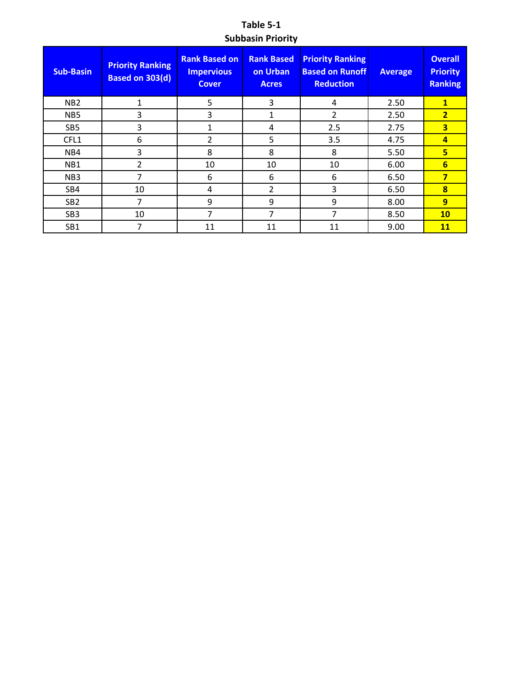**Table 5-1 Subbasin Priority**

| <b>Sub-Basin</b> | <b>Priority Ranking</b><br><b>Based on 303(d)</b> | <b>Rank Based on</b><br><b>Impervious</b><br><b>Cover</b> | <b>Rank Based</b><br>on Urban<br><b>Acres</b> | <b>Priority Ranking</b><br><b>Based on Runoff</b><br><b>Reduction</b> | <b>Average</b> | <b>Overall</b><br><b>Priority</b><br><b>Ranking</b> |
|------------------|---------------------------------------------------|-----------------------------------------------------------|-----------------------------------------------|-----------------------------------------------------------------------|----------------|-----------------------------------------------------|
| NB <sub>2</sub>  | $\mathbf{1}$                                      | 5                                                         | 3                                             | 4                                                                     | 2.50           | $\mathbf{1}$                                        |
| NB <sub>5</sub>  | 3                                                 | 3                                                         | 1                                             | 2                                                                     | 2.50           | $\overline{2}$                                      |
| SB <sub>5</sub>  | 3                                                 | 1                                                         | 4                                             | 2.5                                                                   | 2.75           | $\overline{\mathbf{3}}$                             |
| CFL1             | 6                                                 | 2                                                         | 5                                             | 3.5                                                                   | 4.75           | $\overline{a}$                                      |
| N <sub>B4</sub>  | 3                                                 | 8                                                         | 8                                             | 8                                                                     | 5.50           | 5                                                   |
| NB1              | 2                                                 | 10                                                        | 10                                            | 10                                                                    | 6.00           | $6\overline{6}$                                     |
| NB <sub>3</sub>  | 7                                                 | 6                                                         | 6                                             | 6                                                                     | 6.50           | 7                                                   |
| SB4              | 10                                                | 4                                                         | 2                                             | 3                                                                     | 6.50           | 8                                                   |
| SB <sub>2</sub>  | 7                                                 | 9                                                         | 9                                             | 9                                                                     | 8.00           | 9                                                   |
| SB <sub>3</sub>  | 10                                                | 7                                                         | 7                                             | 7                                                                     | 8.50           | <b>10</b>                                           |
| SB1              | 7                                                 | 11                                                        | 11                                            | 11                                                                    | 9.00           | 11                                                  |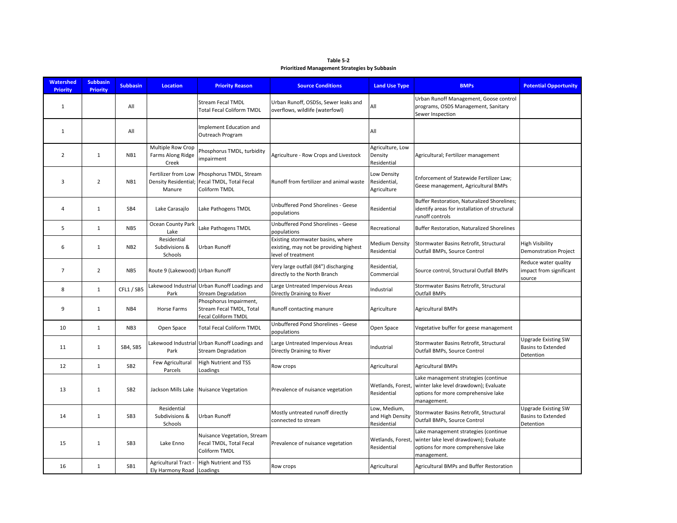| Table 5-2                                            |  |
|------------------------------------------------------|--|
| <b>Prioritized Management Strategies by Subbasin</b> |  |

| <b>Watershed</b><br><b>Priority</b> | <b>Subbasin</b><br><b>Priority</b> | <b>Subbasin</b> | <b>Location</b>                                       | <b>Priority Reason</b>                                                     | <b>Source Conditions</b>                                                                          | <b>Land Use Type</b>                            | <b>BMPs</b>                                                                                                                         | <b>Potential Opportunity</b>                                  |
|-------------------------------------|------------------------------------|-----------------|-------------------------------------------------------|----------------------------------------------------------------------------|---------------------------------------------------------------------------------------------------|-------------------------------------------------|-------------------------------------------------------------------------------------------------------------------------------------|---------------------------------------------------------------|
| $\mathbf{1}$                        |                                    | All             |                                                       | <b>Stream Fecal TMDL</b><br><b>Total Fecal Coliform TMDL</b>               | Urban Runoff, OSDSs, Sewer leaks and<br>overflows, wildlife (waterfowl)                           | All                                             | Urban Runoff Management, Goose control<br>programs, OSDS Management, Sanitary<br>Sewer Inspection                                   |                                                               |
| $\mathbf{1}$                        |                                    | All             |                                                       | Implement Education and<br>Outreach Program                                |                                                                                                   | All                                             |                                                                                                                                     |                                                               |
| $\overline{2}$                      | $\mathbf{1}$                       | NB1             | Multiple Row Crop<br>Farms Along Ridge<br>Creek       | Phosphorus TMDL, turbidity<br>impairment                                   | Agriculture - Row Crops and Livestock                                                             | Agriculture, Low<br>Density<br>Residential      | Agricultural; Fertilizer management                                                                                                 |                                                               |
| 3                                   | $\overline{2}$                     | NB1             | Fertilizer from Low<br>Density Residential;<br>Manure | Phosphorus TMDL, Stream<br>Fecal TMDL, Total Fecal<br>Coliform TMDL        | Runoff from fertilizer and animal waste                                                           | Low Density<br>Residential,<br>Agriculture      | Enforcement of Statewide Fertilizer Law;<br>Geese management, Agricultural BMPs                                                     |                                                               |
| 4                                   | $\mathbf{1}$                       | SB4             | Lake Carasajlo                                        | Lake Pathogens TMDL                                                        | Unbuffered Pond Shorelines - Geese<br>populations                                                 | Residential                                     | Buffer Restoration, Naturalized Shorelines;<br>identify areas for installation of structural<br>runoff controls                     |                                                               |
| 5                                   | $\mathbf{1}$                       | NB5             | Ocean County Park<br>Lake                             | Lake Pathogens TMDL                                                        | Unbuffered Pond Shorelines - Geese<br>populations                                                 | Recreational                                    | Buffer Restoration, Naturalized Shorelines                                                                                          |                                                               |
| 6                                   | $\mathbf{1}$                       | NB <sub>2</sub> | Residential<br>Subdivisions &<br>Schools              | Urban Runoff                                                               | Existing stormwater basins, where<br>existing, may not be providing highest<br>level of treatment | Medium Density<br>Residential                   | Stormwater Basins Retrofit, Structural<br>Outfall BMPs, Source Control                                                              | High Visibility<br><b>Demonstration Project</b>               |
| $\overline{7}$                      | $\overline{2}$                     | NB5             | Route 9 (Lakewood) Urban Runoff                       |                                                                            | Very large outfall (84") discharging<br>directly to the North Branch                              | Residential,<br>Commercial                      | Source control, Structural Outfall BMPs                                                                                             | Reduce water quality<br>impact from significant<br>source     |
| 8                                   | $\mathbf{1}$                       | CFL1 / SB5      | Park                                                  | Lakewood Industrial Urban Runoff Loadings and<br><b>Stream Degradation</b> | Large Untreated Impervious Areas<br>Directly Draining to River                                    | Industrial                                      | Stormwater Basins Retrofit, Structural<br><b>Outfall BMPs</b>                                                                       |                                                               |
| 9                                   | 1                                  | NB4             | Horse Farms                                           | Phosphorus Impairment,<br>Stream Fecal TMDL, Total<br>Fecal Coliform TMDL  | Runoff contacting manure                                                                          | Agriculture                                     | <b>Agricultural BMPs</b>                                                                                                            |                                                               |
| 10                                  | $\mathbf{1}$                       | NB3             | Open Space                                            | <b>Total Fecal Coliform TMDL</b>                                           | Unbuffered Pond Shorelines - Geese<br>populations                                                 | Open Space                                      | Vegetative buffer for geese management                                                                                              |                                                               |
| 11                                  | $\mathbf{1}$                       | SB4, SB5        | Park                                                  | Lakewood Industrial Urban Runoff Loadings and<br><b>Stream Degradation</b> | Large Untreated Impervious Areas<br>Directly Draining to River                                    | Industrial                                      | Stormwater Basins Retrofit, Structural<br>Outfall BMPs, Source Control                                                              | <b>Upgrade Existing SW</b><br>Basins to Extended<br>Detention |
| 12                                  | $\mathbf{1}$                       | SB <sub>2</sub> | Few Agricultural<br>Parcels                           | <b>High Nutrient and TSS</b><br>Loadings                                   | Row crops                                                                                         | Agricultural                                    | <b>Agricultural BMPs</b>                                                                                                            |                                                               |
| 13                                  | $\mathbf{1}$                       | SB <sub>2</sub> |                                                       | Jackson Mills Lake Nuisance Vegetation                                     | Prevalence of nuisance vegetation                                                                 | Wetlands, Forest,<br>Residential                | Lake management strategies (continue<br>winter lake level drawdown); Evaluate<br>options for more comprehensive lake<br>management. |                                                               |
| 14                                  | 1                                  | SB <sub>3</sub> | Residential<br>Subdivisions &<br>Schools              | Urban Runoff                                                               | Mostly untreated runoff directly<br>connected to stream                                           | Low, Medium,<br>and High Density<br>Residential | Stormwater Basins Retrofit, Structural<br>Outfall BMPs, Source Control                                                              | <b>Upgrade Existing SW</b><br>Basins to Extended<br>Detention |
| 15                                  | $\mathbf{1}$                       | SB <sub>3</sub> | Lake Enno                                             | Nuisance Vegetation, Stream<br>Fecal TMDL, Total Fecal<br>Coliform TMDL    | Prevalence of nuisance vegetation                                                                 | Wetlands, Forest,<br>Residential                | Lake management strategies (continue<br>winter lake level drawdown); Evaluate<br>options for more comprehensive lake<br>management. |                                                               |
| 16                                  | $\mathbf{1}$                       | SB1             | Ely Harmony Road Loadings                             | Agricultural Tract - High Nutrient and TSS                                 | Row crops                                                                                         | Agricultural                                    | Agricultural BMPs and Buffer Restoration                                                                                            |                                                               |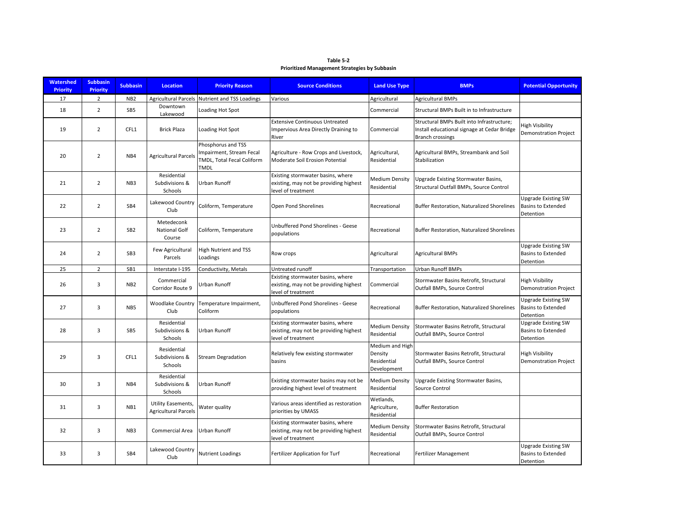| Table 5-2                                            |
|------------------------------------------------------|
| <b>Prioritized Management Strategies by Subbasin</b> |

| <b>Watershed</b><br><b>Priority</b> | <b>Subbasin</b><br><b>Priority</b> | <b>Subbasin</b> | <b>Location</b>                                   | <b>Priority Reason</b>                                                               | <b>Source Conditions</b>                                                                          | <b>Land Use Type</b>                                     | <b>BMPs</b>                                                                                                   | <b>Potential Opportunity</b>                                         |
|-------------------------------------|------------------------------------|-----------------|---------------------------------------------------|--------------------------------------------------------------------------------------|---------------------------------------------------------------------------------------------------|----------------------------------------------------------|---------------------------------------------------------------------------------------------------------------|----------------------------------------------------------------------|
| 17                                  | $\overline{2}$                     | NB <sub>2</sub> |                                                   | Agricultural Parcels Nutrient and TSS Loadings                                       | Various                                                                                           | Agricultural                                             | <b>Agricultural BMPs</b>                                                                                      |                                                                      |
| 18                                  | $\overline{2}$                     | SB <sub>5</sub> | Downtown<br>Lakewood                              | Loading Hot Spot                                                                     |                                                                                                   | Commercial                                               | Structural BMPs Built in to Infrastructure                                                                    |                                                                      |
| 19                                  | $\overline{2}$                     | CFL1            | <b>Brick Plaza</b>                                | Loading Hot Spot                                                                     | <b>Extensive Continuous Untreated</b><br>Impervious Area Directly Draining to<br>River            | Commercial                                               | Structural BMPs Built into Infrastructure;<br>Install educational signage at Cedar Bridge<br>Branch crossings | High Visibility<br><b>Demonstration Project</b>                      |
| 20                                  | $\overline{2}$                     | NB4             | <b>Agricultural Parcels</b>                       | Phosphorus and TSS<br>Impairment, Stream Fecal<br>TMDL, Total Fecal Coliform<br>TMDL | Agriculture - Row Crops and Livestock,<br>Moderate Soil Erosion Potential                         | Agricultural,<br>Residential                             | Agricultural BMPs, Streambank and Soil<br>Stabilization                                                       |                                                                      |
| 21                                  | $\overline{2}$                     | NB3             | Residential<br>Subdivisions &<br>Schools          | Urban Runoff                                                                         | Existing stormwater basins, where<br>existing, may not be providing highest<br>level of treatment | Medium Density<br>Residential                            | Upgrade Existing Stormwater Basins,<br>Structural Outfall BMPs, Source Control                                |                                                                      |
| 22                                  | $\overline{2}$                     | SB4             | Lakewood Country<br>Club                          | Coliform, Temperature                                                                | Open Pond Shorelines                                                                              | Recreational                                             | <b>Buffer Restoration, Naturalized Shorelines</b>                                                             | Upgrade Existing SW<br><b>Basins to Extended</b><br>Detention        |
| 23                                  | $\overline{2}$                     | SB <sub>2</sub> | Metedeconk<br>National Golf<br>Course             | Coliform, Temperature                                                                | Unbuffered Pond Shorelines - Geese<br>populations                                                 | Recreational                                             | Buffer Restoration, Naturalized Shorelines                                                                    |                                                                      |
| 24                                  | $\overline{2}$                     | SB <sub>3</sub> | Few Agricultural<br>Parcels                       | <b>High Nutrient and TSS</b><br>Loadings                                             | Row crops                                                                                         | Agricultural                                             | <b>Agricultural BMPs</b>                                                                                      | <b>Upgrade Existing SW</b><br><b>Basins to Extended</b><br>Detention |
| 25                                  | $\overline{2}$                     | SB1             | Interstate I-195                                  | Conductivity, Metals                                                                 | Untreated runoff                                                                                  | Transportation                                           | Urban Runoff BMPs                                                                                             |                                                                      |
| 26                                  | 3                                  | NB <sub>2</sub> | Commercial<br>Corridor Route 9                    | Urban Runoff                                                                         | Existing stormwater basins, where<br>existing, may not be providing highest<br>level of treatment | Commercial                                               | Stormwater Basins Retrofit, Structural<br>Outfall BMPs, Source Control                                        | <b>High Visibility</b><br><b>Demonstration Project</b>               |
| 27                                  | 3                                  | NB5             | <b>Woodlake Country</b><br>Club                   | Temperature Impairment,<br>Coliform                                                  | Unbuffered Pond Shorelines - Geese<br>populations                                                 | Recreational                                             | <b>Buffer Restoration, Naturalized Shorelines</b>                                                             | <b>Upgrade Existing SW</b><br><b>Basins to Extended</b><br>Detention |
| 28                                  | 3                                  | SB <sub>5</sub> | Residential<br>Subdivisions &<br>Schools          | <b>Urban Runoff</b>                                                                  | Existing stormwater basins, where<br>existing, may not be providing highest<br>level of treatment | Medium Density<br>Residential                            | Stormwater Basins Retrofit, Structural<br>Outfall BMPs, Source Control                                        | <b>Upgrade Existing SW</b><br><b>Basins to Extended</b><br>Detention |
| 29                                  | 3                                  | CFL1            | Residential<br>Subdivisions &<br>Schools          | Stream Degradation                                                                   | Relatively few existing stormwater<br>basins                                                      | Medium and High<br>Density<br>Residential<br>Development | Stormwater Basins Retrofit, Structural<br>Outfall BMPs, Source Control                                        | <b>High Visibility</b><br><b>Demonstration Project</b>               |
| 30                                  | 3                                  | NB4             | Residential<br>Subdivisions &<br>Schools          | Urban Runoff                                                                         | Existing stormwater basins may not be<br>providing highest level of treatment                     | <b>Medium Density</b><br>Residential                     | Upgrade Existing Stormwater Basins,<br>Source Control                                                         |                                                                      |
| 31                                  | 3                                  | NB1             | Utility Easements,<br><b>Agricultural Parcels</b> | Water quality                                                                        | Various areas identified as restoration<br>priorities by UMASS                                    | Wetlands,<br>Agriculture,<br>Residential                 | <b>Buffer Restoration</b>                                                                                     |                                                                      |
| 32                                  | 3                                  | NB <sub>3</sub> | Commercial Area                                   | Urban Runoff                                                                         | Existing stormwater basins, where<br>existing, may not be providing highest<br>level of treatment | Medium Density<br>Residential                            | Stormwater Basins Retrofit, Structural<br>Outfall BMPs, Source Control                                        |                                                                      |
| 33                                  | 3                                  | SB4             | Lakewood Country<br>Club                          | <b>Nutrient Loadings</b>                                                             | Fertilizer Application for Turf                                                                   | Recreational                                             | <b>Fertilizer Management</b>                                                                                  | <b>Upgrade Existing SW</b><br><b>Basins to Extended</b><br>Detention |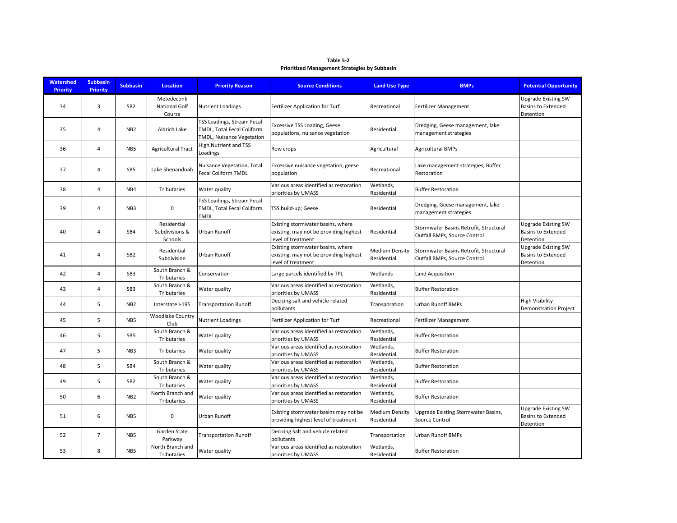| Table 5-2                                            |
|------------------------------------------------------|
| <b>Prioritized Management Strategies by Subbasin</b> |

| <b>Watershed</b><br><b>Priority</b> | <b>Subbasin</b><br><b>Priority</b> | <b>Subbasin</b> | <b>Location</b>                          | <b>Priority Reason</b>                                                                | <b>Source Conditions</b>                                                                          | <b>Land Use Type</b>                 | <b>BMPs</b>                                                            | <b>Potential Opportunity</b>                                         |
|-------------------------------------|------------------------------------|-----------------|------------------------------------------|---------------------------------------------------------------------------------------|---------------------------------------------------------------------------------------------------|--------------------------------------|------------------------------------------------------------------------|----------------------------------------------------------------------|
| 34                                  | 3                                  | SB <sub>2</sub> | Metedeconk<br>National Golf<br>Course    | <b>Nutrient Loadings</b>                                                              | Fertilizer Application for Turf                                                                   | Recreational                         | Fertilizer Management                                                  | <b>Upgrade Existing SW</b><br><b>Basins to Extended</b><br>Detention |
| 35                                  | 4                                  | N <sub>B2</sub> | Aldrich Lake                             | TSS Loadings, Stream Fecal<br>TMDL, Total Fecal Coliform<br>TMDL, Nuisance Vegetation | <b>Excessive TSS Loading, Geese</b><br>populations, nuisance vegetation                           | Residential                          | Dredging, Geese management, lake<br>management strategies              |                                                                      |
| 36                                  | 4                                  | NB <sub>5</sub> | <b>Agricultural Tract</b>                | <b>High Nutrient and TSS</b><br>Loadings                                              | Row crops                                                                                         | Agricultural                         | <b>Agricultural BMPs</b>                                               |                                                                      |
| 37                                  | 4                                  | SB <sub>5</sub> | Lake Shenandoah                          | Nuisance Vegetation, Total<br><b>Fecal Coliform TMDL</b>                              | Excessive nuisance vegetation, geese<br>population                                                | Recreational                         | Lake management strategies, Buffer<br>Restoration                      |                                                                      |
| 38                                  | $\overline{\mathbf{A}}$            | NB4             | Tributaries                              | Water quality                                                                         | Various areas identified as restoration<br>priorities by UMASS                                    | Wetlands,<br>Residential             | <b>Buffer Restoration</b>                                              |                                                                      |
| 39                                  | $\overline{4}$                     | NB <sub>3</sub> | 0                                        | TSS Loadings, Stream Fecal<br>TMDL, Total Fecal Coliform<br>TMDL                      | TSS build-up; Geese                                                                               | Residential                          | Dredging, Geese management, lake<br>management strategies              |                                                                      |
| 40                                  | 4                                  | SB4             | Residential<br>Subdivisions &<br>Schools | Urban Runoff                                                                          | Existing stormwater basins, where<br>existing, may not be providing highest<br>level of treatment | Residential                          | Stormwater Basins Retrofit, Structural<br>Outfall BMPs, Source Control | <b>Upgrade Existing SW</b><br>Basins to Extended<br>Detention        |
| 41                                  | 4                                  | SB <sub>2</sub> | Residential<br>Subdivision               | Urban Runoff                                                                          | Existing stormwater basins, where<br>existing, may not be providing highest<br>level of treatment | Medium Density<br>Residential        | Stormwater Basins Retrofit, Structural<br>Outfall BMPs, Source Control | <b>Upgrade Existing SW</b><br><b>Basins to Extended</b><br>Detention |
| 42                                  | $\overline{4}$                     | SB3             | South Branch &<br>Tributaries            | Conservation                                                                          | Large parcels identified by TPL                                                                   | Wetlands                             | Land Acquisition                                                       |                                                                      |
| 43                                  | $\overline{4}$                     | SB <sub>3</sub> | South Branch &<br>Tributaries            | Water quality                                                                         | Various areas identified as restoration<br>priorities by UMASS                                    | Wetlands,<br>Residential             | <b>Buffer Restoration</b>                                              |                                                                      |
| 44                                  | 5                                  | NB <sub>2</sub> | Interstate I-195                         | <b>Transportation Runoff</b>                                                          | Decicing salt and vehicle related<br>pollutants                                                   | Transporation                        | <b>Urban Runoff BMPs</b>                                               | <b>High Visibility</b><br><b>Demonstration Project</b>               |
| 45                                  | 5                                  | N <sub>B5</sub> | <b>Woodlake Country</b><br>Club          | <b>Nutrient Loadings</b>                                                              | Fertilizer Application for Turf                                                                   | Recreational                         | <b>Fertilizer Management</b>                                           |                                                                      |
| 46                                  | 5                                  | SB5             | South Branch &<br>Tributaries            | Water quality                                                                         | Various areas identified as restoration<br>priorities by UMASS                                    | Wetlands,<br>Residential             | <b>Buffer Restoration</b>                                              |                                                                      |
| 47                                  | 5                                  | NB <sub>3</sub> | Tributaries                              | Water quality                                                                         | Various areas identified as restoration<br>priorities by UMASS                                    | Wetlands,<br>Residential             | <b>Buffer Restoration</b>                                              |                                                                      |
| 48                                  | 5                                  | SB4             | South Branch &<br>Tributaries            | Water quality                                                                         | Various areas identified as restoration<br>priorities by UMASS                                    | Wetlands,<br>Residential             | <b>Buffer Restoration</b>                                              |                                                                      |
| 49                                  | 5                                  | SB <sub>2</sub> | South Branch &<br>Tributaries            | Water quality                                                                         | Various areas identified as restoration<br>priorities by UMASS                                    | Wetlands,<br>Residential             | <b>Buffer Restoration</b>                                              |                                                                      |
| 50                                  | 6                                  | NB <sub>2</sub> | North Branch and<br>Tributaries          | Water quality                                                                         | Various areas identified as restoration<br>priorities by UMASS                                    | Wetlands,<br>Residential             | <b>Buffer Restoration</b>                                              |                                                                      |
| 51                                  | 6                                  | NB <sub>5</sub> | 0                                        | Urban Runoff                                                                          | Existing stormwater basins may not be<br>providing highest level of treatment                     | <b>Medium Density</b><br>Residential | Upgrade Existing Stormwater Basins,<br>Source Control                  | <b>Upgrade Existing SW</b><br><b>Basins to Extended</b><br>Detention |
| 52                                  | $\overline{7}$                     | NB <sub>5</sub> | Garden State<br>Parkway                  | <b>Transportation Runoff</b>                                                          | Decicing Salt and vehicle related<br>pollutants                                                   | Transportation                       | <b>Urban Runoff BMPs</b>                                               |                                                                      |
| 53                                  | 8                                  | NB <sub>5</sub> | North Branch and<br>Tributaries          | Water quality                                                                         | Various areas identified as restoration<br>priorities by UMASS                                    | Wetlands,<br>Residential             | <b>Buffer Restoration</b>                                              |                                                                      |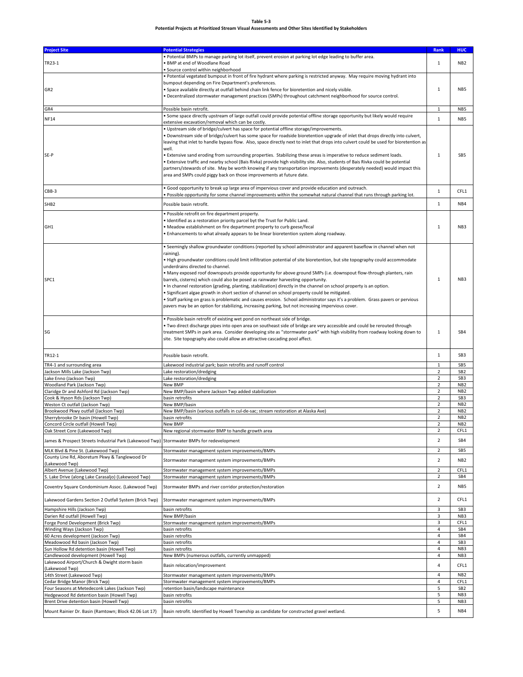#### **Table 5-3**

### **Potential Projects at Prioritized Stream Visual Assessments and Other Sites Identified by Stakeholders**

| <b>Project Site</b>                                                                                        | <b>Potential Strategies</b>                                                                                                                                                                                                                                                                                                                                                                                                                                                                                                                                                                                                                                                                                                                                                                                                                                                                                                                                                          | Rank                             | <b>HUC</b>                         |
|------------------------------------------------------------------------------------------------------------|--------------------------------------------------------------------------------------------------------------------------------------------------------------------------------------------------------------------------------------------------------------------------------------------------------------------------------------------------------------------------------------------------------------------------------------------------------------------------------------------------------------------------------------------------------------------------------------------------------------------------------------------------------------------------------------------------------------------------------------------------------------------------------------------------------------------------------------------------------------------------------------------------------------------------------------------------------------------------------------|----------------------------------|------------------------------------|
| TR23-1                                                                                                     | . Potential BMPs to manage parking lot itself, prevent erosion at parking lot edge leading to buffer area.<br>. BMP at end of Woodlane Road<br>· Source control within neighborhood                                                                                                                                                                                                                                                                                                                                                                                                                                                                                                                                                                                                                                                                                                                                                                                                  | $\mathbf{1}$                     | NB <sub>2</sub>                    |
| GR <sub>2</sub>                                                                                            | . Potential vegetated bumpout in front of fire hydrant where parking is restricted anyway. May require moving hydrant into<br>bumpout depending on Fire Department's preferences.<br>. Space available directly at outfall behind chain link fence for bioretention and nicely visible.<br>. Decentralized stormwater management practices (SMPs) throughout catchment neighborhood for source control.                                                                                                                                                                                                                                                                                                                                                                                                                                                                                                                                                                              | $\mathbf{1}$                     | NB <sub>5</sub>                    |
| GR4                                                                                                        | Possible basin retrofit.                                                                                                                                                                                                                                                                                                                                                                                                                                                                                                                                                                                                                                                                                                                                                                                                                                                                                                                                                             | $\mathbf{1}$                     | NB <sub>5</sub>                    |
| <b>NF14</b>                                                                                                | . Some space directly upstream of large outfall could provide potential offline storage opportunity but likely would require                                                                                                                                                                                                                                                                                                                                                                                                                                                                                                                                                                                                                                                                                                                                                                                                                                                         | $\mathbf 1$                      | NB5                                |
| SE-P                                                                                                       | extensive excavation/removal which can be costly.<br>. Upstream side of bridge/culvert has space for potential offline storage/improvements.<br>. Downstream side of bridge/culvert has some space for roadside bioretention upgrade of inlet that drops directly into culvert,<br>leaving that inlet to handle bypass flow. Also, space directly next to inlet that drops into culvert could be used for bioretention as<br>well.<br>. Extensive sand eroding from surrounding properties. Stabilizing these areas is imperative to reduce sediment loads.<br>Extensive traffic and nearby school (Bais Rivka) provide high visibility site. Also, students of Bais Rivka could be potential<br>partners/stewards of site. May be worth knowing if any transportation improvements (desperately needed) would impact this<br>area and SMPs could piggy back on those improvements at future date.                                                                                   | $\mathbf{1}$                     | SB <sub>5</sub>                    |
| CBB-3                                                                                                      | . Good opportunity to break up large area of impervious cover and provide education and outreach.<br>. Possible opportunity for some channel improvements within the somewhat natural channel that runs through parking lot.                                                                                                                                                                                                                                                                                                                                                                                                                                                                                                                                                                                                                                                                                                                                                         | $\,1\,$                          | CFL1                               |
| SHB <sub>2</sub>                                                                                           | Possible basin retrofit.                                                                                                                                                                                                                                                                                                                                                                                                                                                                                                                                                                                                                                                                                                                                                                                                                                                                                                                                                             | $\mathbf 1$                      | NB4                                |
| GH <sub>1</sub>                                                                                            | · Possible retrofit on fire department property.<br>. Identified as a restoration priority parcel byt the Trust for Public Land.<br>· Meadow establishment on fire department property to curb geese/fecal<br>. Enhancements to what already appears to be linear bioretention system along roadway.                                                                                                                                                                                                                                                                                                                                                                                                                                                                                                                                                                                                                                                                                 | $\mathbf 1$                      | NB <sub>3</sub>                    |
| SPC1                                                                                                       | . Seemingly shallow groundwater conditions (reported by school administrator and apparent baseflow in channel when not<br>raining).<br>. High groundwater conditions could limit infiltration potential of site bioretention, but site topography could accommodate<br>underdrains directed to channel.<br>• Many exposed roof downspouts provide opportunity for above ground SMPs (i.e. downspout flow-through planters, rain<br>barrels, cisterns) which could also be posed as rainwater harvesting opportunity.<br>. In channel restoration (grading, planting, stabilization) directly in the channel on school property is an option.<br>• Significant algae growth in short section of channel on school property could be mitigated.<br>· Staff parking on grass is problematic and causes erosion. School administrator says it's a problem. Grass pavers or pervious<br>pavers may be an option for stabilizing, increasing parking, but not increasing impervious cover. | $\mathbf 1$                      | NB <sub>3</sub>                    |
| SG                                                                                                         | · Possible basin retrofit of existing wet pond on northeast side of bridge.<br>• Two direct discharge pipes into open area on southeast side of bridge are very accessible and could be rerouted through<br>treatment SMPs in park area. Consider developing site as "stormwater park" with high visibility from roadway looking down to<br>site. Site topography also could allow an attractive cascading pool affect.                                                                                                                                                                                                                                                                                                                                                                                                                                                                                                                                                              | $\mathbf 1$                      | SB4                                |
| TR12-1                                                                                                     | Possible basin retrofit.                                                                                                                                                                                                                                                                                                                                                                                                                                                                                                                                                                                                                                                                                                                                                                                                                                                                                                                                                             | $\,1\,$                          | SB <sub>3</sub>                    |
| TR4-1 and surrounding area                                                                                 | Lakewood industrial park; basin retrofits and runoff control                                                                                                                                                                                                                                                                                                                                                                                                                                                                                                                                                                                                                                                                                                                                                                                                                                                                                                                         | $\mathbf{1}$                     | SB <sub>5</sub>                    |
| Jackson Mills Lake (Jackson Twp)                                                                           | Lake restoration/dredging                                                                                                                                                                                                                                                                                                                                                                                                                                                                                                                                                                                                                                                                                                                                                                                                                                                                                                                                                            | $\overline{2}$                   | SB <sub>2</sub>                    |
| Lake Enno (Jackson Twp)                                                                                    | Lake restoration/dredging                                                                                                                                                                                                                                                                                                                                                                                                                                                                                                                                                                                                                                                                                                                                                                                                                                                                                                                                                            | 2                                | SB <sub>3</sub>                    |
| Woodland Park (Jackson Twp)                                                                                | New BMP                                                                                                                                                                                                                                                                                                                                                                                                                                                                                                                                                                                                                                                                                                                                                                                                                                                                                                                                                                              | $\overline{2}$                   | NB <sub>2</sub>                    |
| Claridge Dr and Ashford Rd (Jackson Twp)                                                                   | New BMP/basin where Jackson Twp added stabilization                                                                                                                                                                                                                                                                                                                                                                                                                                                                                                                                                                                                                                                                                                                                                                                                                                                                                                                                  | $\overline{2}$                   | NB <sub>2</sub>                    |
| Cook & Hyson Rds (Jackson Twp)                                                                             | basin retrofits                                                                                                                                                                                                                                                                                                                                                                                                                                                                                                                                                                                                                                                                                                                                                                                                                                                                                                                                                                      | $\mathbf 2$                      | SB <sub>3</sub>                    |
| Weston Ct outfall (Jackson Twp)<br>Brookwood Pkwy outfall (Jackson Twp)                                    | New BMP/basin                                                                                                                                                                                                                                                                                                                                                                                                                                                                                                                                                                                                                                                                                                                                                                                                                                                                                                                                                                        | $\mathbf 2$<br>$\mathbf 2$       | NB <sub>2</sub><br>NB <sub>2</sub> |
| Sherrybrooke Dr basin (Howell Twp)                                                                         | New BMP/basin (various outfalls in cul-de-sac; stream restoration at Alaska Ave)<br>basin retrofits                                                                                                                                                                                                                                                                                                                                                                                                                                                                                                                                                                                                                                                                                                                                                                                                                                                                                  | $\overline{2}$                   | NB <sub>2</sub>                    |
| Concord Circle outfall (Howell Twp)                                                                        | New BMP                                                                                                                                                                                                                                                                                                                                                                                                                                                                                                                                                                                                                                                                                                                                                                                                                                                                                                                                                                              | $\overline{2}$                   | NB <sub>2</sub>                    |
| Oak Street Core (Lakewood Twp)                                                                             | New regional stormwater BMP to handle growth area                                                                                                                                                                                                                                                                                                                                                                                                                                                                                                                                                                                                                                                                                                                                                                                                                                                                                                                                    | 2                                | CFL1                               |
| James & Prospect Streets Industrial Park (Lakewood Twp                                                     | Stormwater BMPs for redevelopment                                                                                                                                                                                                                                                                                                                                                                                                                                                                                                                                                                                                                                                                                                                                                                                                                                                                                                                                                    | $\overline{2}$                   | SB4                                |
| MLK Blvd & Pine St. (Lakewood Twp)                                                                         | Stormwater management system improvements/BMPs                                                                                                                                                                                                                                                                                                                                                                                                                                                                                                                                                                                                                                                                                                                                                                                                                                                                                                                                       | $\overline{2}$                   | SB <sub>5</sub>                    |
| County Line Rd, Aboretum Pkwy & Tanglewood Dr<br>(Lakewood Twp)                                            | Stormwater management system improvements/BMPs                                                                                                                                                                                                                                                                                                                                                                                                                                                                                                                                                                                                                                                                                                                                                                                                                                                                                                                                       | 2                                | NB <sub>2</sub>                    |
| Albert Avenue (Lakewood Twp)                                                                               | Stormwater management system improvements/BMPs                                                                                                                                                                                                                                                                                                                                                                                                                                                                                                                                                                                                                                                                                                                                                                                                                                                                                                                                       | 2                                | CFL1                               |
| S. Lake Drive (along Lake Carasaljo) (Lakewood Twp)                                                        | Stormwater management system improvements/BMPs                                                                                                                                                                                                                                                                                                                                                                                                                                                                                                                                                                                                                                                                                                                                                                                                                                                                                                                                       | $\mathbf 2$                      | SB4                                |
| Coventry Square Condominium Assoc. (Lakewood Twp)<br>Lakewood Gardens Section 2 Outfall System (Brick Twp) | Stormwater BMPs and river corridor protection/restoration<br>Stormwater management system improvements/BMPs                                                                                                                                                                                                                                                                                                                                                                                                                                                                                                                                                                                                                                                                                                                                                                                                                                                                          | $\overline{2}$<br>$\overline{2}$ | NB5<br>CFL1                        |
| Hampshire Hills (Jackson Twp)                                                                              | basin retrofits                                                                                                                                                                                                                                                                                                                                                                                                                                                                                                                                                                                                                                                                                                                                                                                                                                                                                                                                                                      | 3                                | SB <sub>3</sub>                    |
| Darien Rd outfall (Howell Twp)                                                                             | New BMP/basin                                                                                                                                                                                                                                                                                                                                                                                                                                                                                                                                                                                                                                                                                                                                                                                                                                                                                                                                                                        | 3                                | NB <sub>3</sub>                    |
| Forge Pond Development (Brick Twp)                                                                         | Stormwater management system improvements/BMPs                                                                                                                                                                                                                                                                                                                                                                                                                                                                                                                                                                                                                                                                                                                                                                                                                                                                                                                                       | 3                                | CFL1                               |
| Winding Ways (Jackson Twp)                                                                                 | basin retrofits                                                                                                                                                                                                                                                                                                                                                                                                                                                                                                                                                                                                                                                                                                                                                                                                                                                                                                                                                                      | 4                                | SB4                                |
| 60 Acres development (Jackson Twp)                                                                         | basin retrofits                                                                                                                                                                                                                                                                                                                                                                                                                                                                                                                                                                                                                                                                                                                                                                                                                                                                                                                                                                      | 4                                | SB4                                |
| Meadowood Rd basin (Jackson Twp)                                                                           | basin retrofits                                                                                                                                                                                                                                                                                                                                                                                                                                                                                                                                                                                                                                                                                                                                                                                                                                                                                                                                                                      | $\overline{4}$                   | SB <sub>3</sub>                    |
| Sun Hollow Rd detention basin (Howell Twp)                                                                 | basin retrofits                                                                                                                                                                                                                                                                                                                                                                                                                                                                                                                                                                                                                                                                                                                                                                                                                                                                                                                                                                      | $\overline{4}$                   | NB3                                |
| Candlewood development (Howell Twp)<br>Lakewood Airport/Church & Dwight storm basin                        | New BMPs (numerous outfalls, currently unmapped)<br>Basin relocation/improvement                                                                                                                                                                                                                                                                                                                                                                                                                                                                                                                                                                                                                                                                                                                                                                                                                                                                                                     | 4<br>4                           | NB3<br>CFL1                        |
| (Lakewood Twp)<br>14th Street (Lakewood Twp)                                                               | Stormwater management system improvements/BMPs                                                                                                                                                                                                                                                                                                                                                                                                                                                                                                                                                                                                                                                                                                                                                                                                                                                                                                                                       | 4                                | NB <sub>2</sub>                    |
| Cedar Bridge Manor (Brick Twp)                                                                             | Stormwater management system improvements/BMPs                                                                                                                                                                                                                                                                                                                                                                                                                                                                                                                                                                                                                                                                                                                                                                                                                                                                                                                                       | 4                                | CFL1                               |
| Four Seasons at Metedeconk Lakes (Jackson Twp)                                                             | retention basin/landscape maintenance                                                                                                                                                                                                                                                                                                                                                                                                                                                                                                                                                                                                                                                                                                                                                                                                                                                                                                                                                | 5                                | SB <sub>2</sub>                    |
| Hedgewood Rd detention basin (Howell Twp)                                                                  | basin retrofits                                                                                                                                                                                                                                                                                                                                                                                                                                                                                                                                                                                                                                                                                                                                                                                                                                                                                                                                                                      | 5                                | NB <sub>3</sub>                    |
| Brent Drive detention basin (Howell Twp)                                                                   | basin retrofits                                                                                                                                                                                                                                                                                                                                                                                                                                                                                                                                                                                                                                                                                                                                                                                                                                                                                                                                                                      | 5                                | NB <sub>3</sub>                    |
| Mount Rainier Dr. Basin (Ramtown; Block 42.06 Lot 17)                                                      | Basin retrofit. Identified by Howell Township as candidate for constructed gravel wetland.                                                                                                                                                                                                                                                                                                                                                                                                                                                                                                                                                                                                                                                                                                                                                                                                                                                                                           | 5                                | NB4                                |